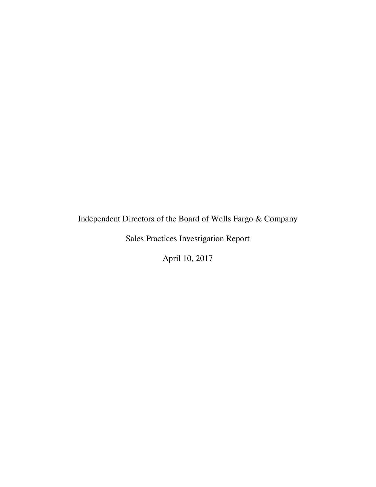# Independent Directors of the Board of Wells Fargo & Company

Sales Practices Investigation Report

April 10, 2017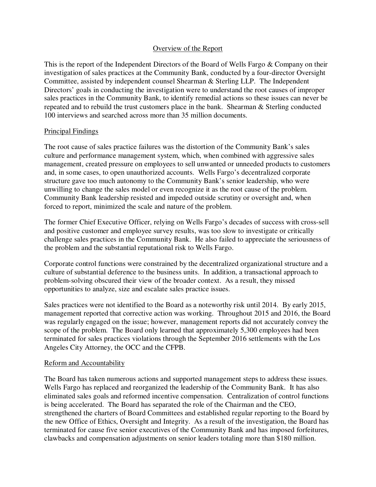# Overview of the Report

This is the report of the Independent Directors of the Board of Wells Fargo & Company on their investigation of sales practices at the Community Bank, conducted by a four-director Oversight Committee, assisted by independent counsel Shearman & Sterling LLP. The Independent Directors' goals in conducting the investigation were to understand the root causes of improper sales practices in the Community Bank, to identify remedial actions so these issues can never be repeated and to rebuild the trust customers place in the bank. Shearman & Sterling conducted 100 interviews and searched across more than 35 million documents.

# Principal Findings

The root cause of sales practice failures was the distortion of the Community Bank's sales culture and performance management system, which, when combined with aggressive sales management, created pressure on employees to sell unwanted or unneeded products to customers and, in some cases, to open unauthorized accounts. Wells Fargo's decentralized corporate structure gave too much autonomy to the Community Bank's senior leadership, who were unwilling to change the sales model or even recognize it as the root cause of the problem. Community Bank leadership resisted and impeded outside scrutiny or oversight and, when forced to report, minimized the scale and nature of the problem.

The former Chief Executive Officer, relying on Wells Fargo's decades of success with cross-sell and positive customer and employee survey results, was too slow to investigate or critically challenge sales practices in the Community Bank. He also failed to appreciate the seriousness of the problem and the substantial reputational risk to Wells Fargo.

Corporate control functions were constrained by the decentralized organizational structure and a culture of substantial deference to the business units. In addition, a transactional approach to problem-solving obscured their view of the broader context. As a result, they missed opportunities to analyze, size and escalate sales practice issues.

Sales practices were not identified to the Board as a noteworthy risk until 2014. By early 2015, management reported that corrective action was working. Throughout 2015 and 2016, the Board was regularly engaged on the issue; however, management reports did not accurately convey the scope of the problem. The Board only learned that approximately 5,300 employees had been terminated for sales practices violations through the September 2016 settlements with the Los Angeles City Attorney, the OCC and the CFPB.

# Reform and Accountability

The Board has taken numerous actions and supported management steps to address these issues. Wells Fargo has replaced and reorganized the leadership of the Community Bank. It has also eliminated sales goals and reformed incentive compensation. Centralization of control functions is being accelerated. The Board has separated the role of the Chairman and the CEO, strengthened the charters of Board Committees and established regular reporting to the Board by the new Office of Ethics, Oversight and Integrity. As a result of the investigation, the Board has terminated for cause five senior executives of the Community Bank and has imposed forfeitures, clawbacks and compensation adjustments on senior leaders totaling more than \$180 million.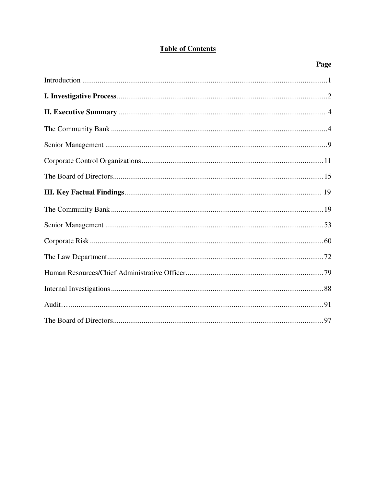# **Table of Contents**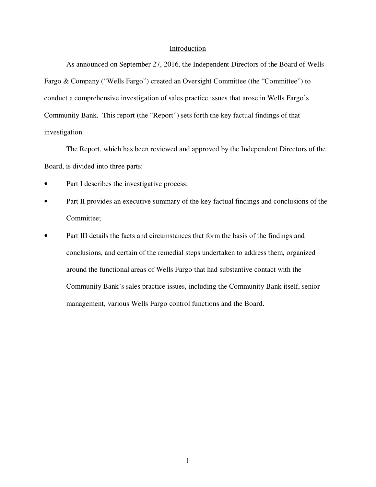#### Introduction

As announced on September 27, 2016, the Independent Directors of the Board of Wells Fargo & Company ("Wells Fargo") created an Oversight Committee (the "Committee") to conduct a comprehensive investigation of sales practice issues that arose in Wells Fargo's Community Bank. This report (the "Report") sets forth the key factual findings of that investigation.

The Report, which has been reviewed and approved by the Independent Directors of the Board, is divided into three parts:

- Part I describes the investigative process;
- Part II provides an executive summary of the key factual findings and conclusions of the Committee;
- Part III details the facts and circumstances that form the basis of the findings and conclusions, and certain of the remedial steps undertaken to address them, organized around the functional areas of Wells Fargo that had substantive contact with the Community Bank's sales practice issues, including the Community Bank itself, senior management, various Wells Fargo control functions and the Board.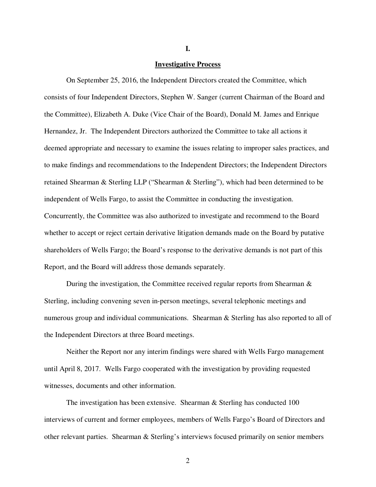#### **Investigative Process**

On September 25, 2016, the Independent Directors created the Committee, which consists of four Independent Directors, Stephen W. Sanger (current Chairman of the Board and the Committee), Elizabeth A. Duke (Vice Chair of the Board), Donald M. James and Enrique Hernandez, Jr. The Independent Directors authorized the Committee to take all actions it deemed appropriate and necessary to examine the issues relating to improper sales practices, and to make findings and recommendations to the Independent Directors; the Independent Directors retained Shearman & Sterling LLP ("Shearman & Sterling"), which had been determined to be independent of Wells Fargo, to assist the Committee in conducting the investigation. Concurrently, the Committee was also authorized to investigate and recommend to the Board whether to accept or reject certain derivative litigation demands made on the Board by putative shareholders of Wells Fargo; the Board's response to the derivative demands is not part of this Report, and the Board will address those demands separately.

During the investigation, the Committee received regular reports from Shearman & Sterling, including convening seven in-person meetings, several telephonic meetings and numerous group and individual communications. Shearman & Sterling has also reported to all of the Independent Directors at three Board meetings.

Neither the Report nor any interim findings were shared with Wells Fargo management until April 8, 2017. Wells Fargo cooperated with the investigation by providing requested witnesses, documents and other information.

The investigation has been extensive. Shearman & Sterling has conducted 100 interviews of current and former employees, members of Wells Fargo's Board of Directors and other relevant parties. Shearman & Sterling's interviews focused primarily on senior members

**I.**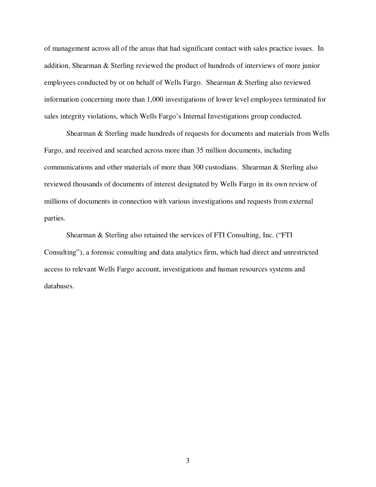of management across all of the areas that had significant contact with sales practice issues. In addition, Shearman & Sterling reviewed the product of hundreds of interviews of more junior employees conducted by or on behalf of Wells Fargo. Shearman & Sterling also reviewed information concerning more than 1,000 investigations of lower level employees terminated for sales integrity violations, which Wells Fargo's Internal Investigations group conducted.

Shearman & Sterling made hundreds of requests for documents and materials from Wells Fargo, and received and searched across more than 35 million documents, including communications and other materials of more than 300 custodians. Shearman & Sterling also reviewed thousands of documents of interest designated by Wells Fargo in its own review of millions of documents in connection with various investigations and requests from external parties.

Shearman & Sterling also retained the services of FTI Consulting, Inc. ("FTI Consulting"), a forensic consulting and data analytics firm, which had direct and unrestricted access to relevant Wells Fargo account, investigations and human resources systems and databases.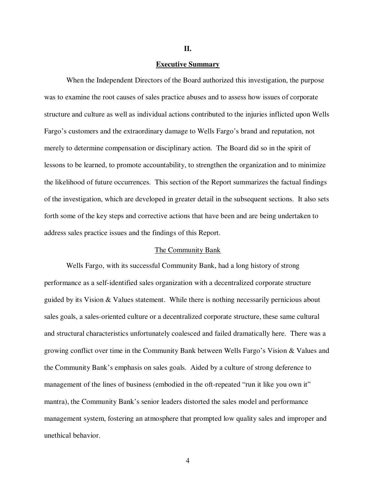#### **II.**

#### **Executive Summary**

When the Independent Directors of the Board authorized this investigation, the purpose was to examine the root causes of sales practice abuses and to assess how issues of corporate structure and culture as well as individual actions contributed to the injuries inflicted upon Wells Fargo's customers and the extraordinary damage to Wells Fargo's brand and reputation, not merely to determine compensation or disciplinary action. The Board did so in the spirit of lessons to be learned, to promote accountability, to strengthen the organization and to minimize the likelihood of future occurrences. This section of the Report summarizes the factual findings of the investigation, which are developed in greater detail in the subsequent sections. It also sets forth some of the key steps and corrective actions that have been and are being undertaken to address sales practice issues and the findings of this Report.

#### The Community Bank

Wells Fargo, with its successful Community Bank, had a long history of strong performance as a self-identified sales organization with a decentralized corporate structure guided by its Vision & Values statement. While there is nothing necessarily pernicious about sales goals, a sales-oriented culture or a decentralized corporate structure, these same cultural and structural characteristics unfortunately coalesced and failed dramatically here. There was a growing conflict over time in the Community Bank between Wells Fargo's Vision & Values and the Community Bank's emphasis on sales goals. Aided by a culture of strong deference to management of the lines of business (embodied in the oft-repeated "run it like you own it" mantra), the Community Bank's senior leaders distorted the sales model and performance management system, fostering an atmosphere that prompted low quality sales and improper and unethical behavior.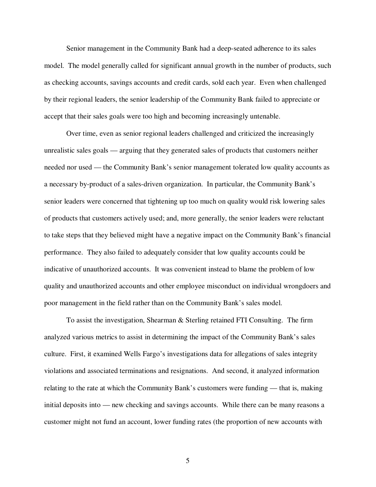Senior management in the Community Bank had a deep-seated adherence to its sales model. The model generally called for significant annual growth in the number of products, such as checking accounts, savings accounts and credit cards, sold each year. Even when challenged by their regional leaders, the senior leadership of the Community Bank failed to appreciate or accept that their sales goals were too high and becoming increasingly untenable.

Over time, even as senior regional leaders challenged and criticized the increasingly unrealistic sales goals — arguing that they generated sales of products that customers neither needed nor used — the Community Bank's senior management tolerated low quality accounts as a necessary by-product of a sales-driven organization. In particular, the Community Bank's senior leaders were concerned that tightening up too much on quality would risk lowering sales of products that customers actively used; and, more generally, the senior leaders were reluctant to take steps that they believed might have a negative impact on the Community Bank's financial performance. They also failed to adequately consider that low quality accounts could be indicative of unauthorized accounts. It was convenient instead to blame the problem of low quality and unauthorized accounts and other employee misconduct on individual wrongdoers and poor management in the field rather than on the Community Bank's sales model.

To assist the investigation, Shearman & Sterling retained FTI Consulting. The firm analyzed various metrics to assist in determining the impact of the Community Bank's sales culture. First, it examined Wells Fargo's investigations data for allegations of sales integrity violations and associated terminations and resignations. And second, it analyzed information relating to the rate at which the Community Bank's customers were funding — that is, making initial deposits into — new checking and savings accounts. While there can be many reasons a customer might not fund an account, lower funding rates (the proportion of new accounts with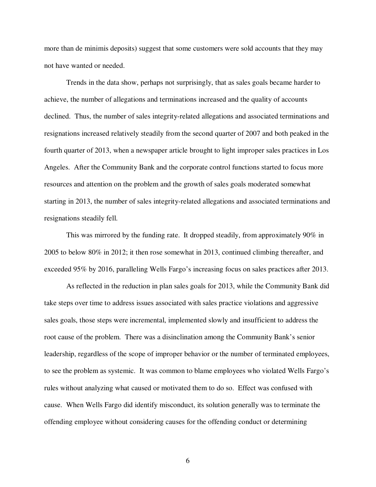more than de minimis deposits) suggest that some customers were sold accounts that they may not have wanted or needed.

Trends in the data show, perhaps not surprisingly, that as sales goals became harder to achieve, the number of allegations and terminations increased and the quality of accounts declined. Thus, the number of sales integrity-related allegations and associated terminations and resignations increased relatively steadily from the second quarter of 2007 and both peaked in the fourth quarter of 2013, when a newspaper article brought to light improper sales practices in Los Angeles. After the Community Bank and the corporate control functions started to focus more resources and attention on the problem and the growth of sales goals moderated somewhat starting in 2013, the number of sales integrity-related allegations and associated terminations and resignations steadily fell.

This was mirrored by the funding rate. It dropped steadily, from approximately 90% in 2005 to below 80% in 2012; it then rose somewhat in 2013, continued climbing thereafter, and exceeded 95% by 2016, paralleling Wells Fargo's increasing focus on sales practices after 2013.

As reflected in the reduction in plan sales goals for 2013, while the Community Bank did take steps over time to address issues associated with sales practice violations and aggressive sales goals, those steps were incremental, implemented slowly and insufficient to address the root cause of the problem. There was a disinclination among the Community Bank's senior leadership, regardless of the scope of improper behavior or the number of terminated employees, to see the problem as systemic. It was common to blame employees who violated Wells Fargo's rules without analyzing what caused or motivated them to do so. Effect was confused with cause. When Wells Fargo did identify misconduct, its solution generally was to terminate the offending employee without considering causes for the offending conduct or determining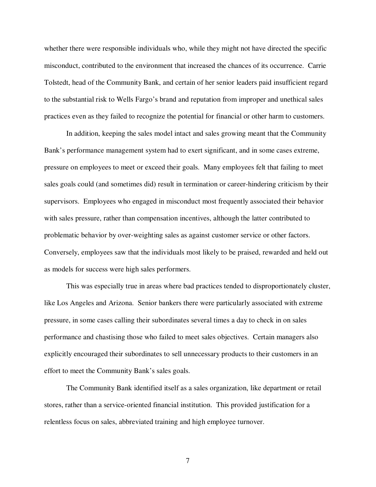whether there were responsible individuals who, while they might not have directed the specific misconduct, contributed to the environment that increased the chances of its occurrence. Carrie Tolstedt, head of the Community Bank, and certain of her senior leaders paid insufficient regard to the substantial risk to Wells Fargo's brand and reputation from improper and unethical sales practices even as they failed to recognize the potential for financial or other harm to customers.

In addition, keeping the sales model intact and sales growing meant that the Community Bank's performance management system had to exert significant, and in some cases extreme, pressure on employees to meet or exceed their goals. Many employees felt that failing to meet sales goals could (and sometimes did) result in termination or career-hindering criticism by their supervisors. Employees who engaged in misconduct most frequently associated their behavior with sales pressure, rather than compensation incentives, although the latter contributed to problematic behavior by over-weighting sales as against customer service or other factors. Conversely, employees saw that the individuals most likely to be praised, rewarded and held out as models for success were high sales performers.

This was especially true in areas where bad practices tended to disproportionately cluster, like Los Angeles and Arizona. Senior bankers there were particularly associated with extreme pressure, in some cases calling their subordinates several times a day to check in on sales performance and chastising those who failed to meet sales objectives. Certain managers also explicitly encouraged their subordinates to sell unnecessary products to their customers in an effort to meet the Community Bank's sales goals.

The Community Bank identified itself as a sales organization, like department or retail stores, rather than a service-oriented financial institution. This provided justification for a relentless focus on sales, abbreviated training and high employee turnover.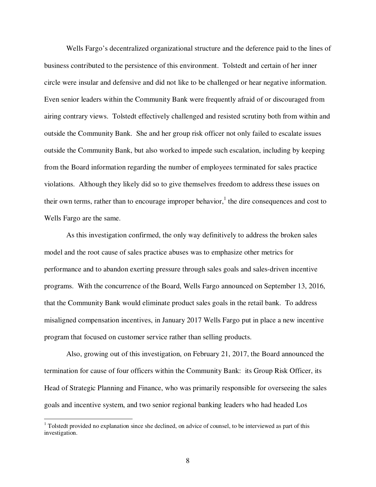Wells Fargo's decentralized organizational structure and the deference paid to the lines of business contributed to the persistence of this environment. Tolstedt and certain of her inner circle were insular and defensive and did not like to be challenged or hear negative information. Even senior leaders within the Community Bank were frequently afraid of or discouraged from airing contrary views. Tolstedt effectively challenged and resisted scrutiny both from within and outside the Community Bank. She and her group risk officer not only failed to escalate issues outside the Community Bank, but also worked to impede such escalation, including by keeping from the Board information regarding the number of employees terminated for sales practice violations. Although they likely did so to give themselves freedom to address these issues on their own terms, rather than to encourage improper behavior,<sup>1</sup> the dire consequences and cost to Wells Fargo are the same.

As this investigation confirmed, the only way definitively to address the broken sales model and the root cause of sales practice abuses was to emphasize other metrics for performance and to abandon exerting pressure through sales goals and sales-driven incentive programs. With the concurrence of the Board, Wells Fargo announced on September 13, 2016, that the Community Bank would eliminate product sales goals in the retail bank. To address misaligned compensation incentives, in January 2017 Wells Fargo put in place a new incentive program that focused on customer service rather than selling products.

Also, growing out of this investigation, on February 21, 2017, the Board announced the termination for cause of four officers within the Community Bank: its Group Risk Officer, its Head of Strategic Planning and Finance, who was primarily responsible for overseeing the sales goals and incentive system, and two senior regional banking leaders who had headed Los

-

<sup>&</sup>lt;sup>1</sup> Tolstedt provided no explanation since she declined, on advice of counsel, to be interviewed as part of this investigation.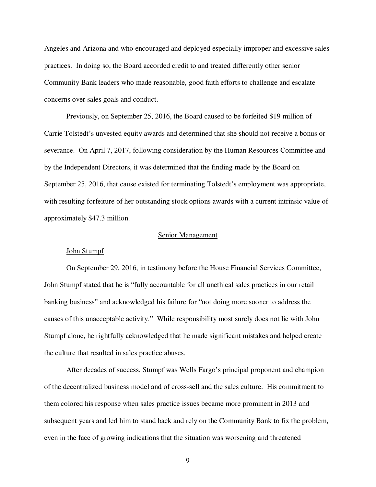Angeles and Arizona and who encouraged and deployed especially improper and excessive sales practices. In doing so, the Board accorded credit to and treated differently other senior Community Bank leaders who made reasonable, good faith efforts to challenge and escalate concerns over sales goals and conduct.

Previously, on September 25, 2016, the Board caused to be forfeited \$19 million of Carrie Tolstedt's unvested equity awards and determined that she should not receive a bonus or severance. On April 7, 2017, following consideration by the Human Resources Committee and by the Independent Directors, it was determined that the finding made by the Board on September 25, 2016, that cause existed for terminating Tolstedt's employment was appropriate, with resulting forfeiture of her outstanding stock options awards with a current intrinsic value of approximately \$47.3 million.

# Senior Management

#### John Stumpf

On September 29, 2016, in testimony before the House Financial Services Committee, John Stumpf stated that he is "fully accountable for all unethical sales practices in our retail banking business" and acknowledged his failure for "not doing more sooner to address the causes of this unacceptable activity." While responsibility most surely does not lie with John Stumpf alone, he rightfully acknowledged that he made significant mistakes and helped create the culture that resulted in sales practice abuses.

After decades of success, Stumpf was Wells Fargo's principal proponent and champion of the decentralized business model and of cross-sell and the sales culture. His commitment to them colored his response when sales practice issues became more prominent in 2013 and subsequent years and led him to stand back and rely on the Community Bank to fix the problem, even in the face of growing indications that the situation was worsening and threatened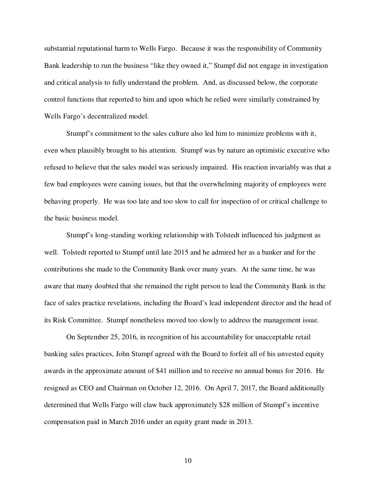substantial reputational harm to Wells Fargo. Because it was the responsibility of Community Bank leadership to run the business "like they owned it," Stumpf did not engage in investigation and critical analysis to fully understand the problem. And, as discussed below, the corporate control functions that reported to him and upon which he relied were similarly constrained by Wells Fargo's decentralized model.

Stumpf's commitment to the sales culture also led him to minimize problems with it, even when plausibly brought to his attention. Stumpf was by nature an optimistic executive who refused to believe that the sales model was seriously impaired. His reaction invariably was that a few bad employees were causing issues, but that the overwhelming majority of employees were behaving properly. He was too late and too slow to call for inspection of or critical challenge to the basic business model.

Stumpf's long-standing working relationship with Tolstedt influenced his judgment as well. Tolstedt reported to Stumpf until late 2015 and he admired her as a banker and for the contributions she made to the Community Bank over many years. At the same time, he was aware that many doubted that she remained the right person to lead the Community Bank in the face of sales practice revelations, including the Board's lead independent director and the head of its Risk Committee. Stumpf nonetheless moved too slowly to address the management issue.

On September 25, 2016, in recognition of his accountability for unacceptable retail banking sales practices, John Stumpf agreed with the Board to forfeit all of his unvested equity awards in the approximate amount of \$41 million and to receive no annual bonus for 2016. He resigned as CEO and Chairman on October 12, 2016. On April 7, 2017, the Board additionally determined that Wells Fargo will claw back approximately \$28 million of Stumpf's incentive compensation paid in March 2016 under an equity grant made in 2013.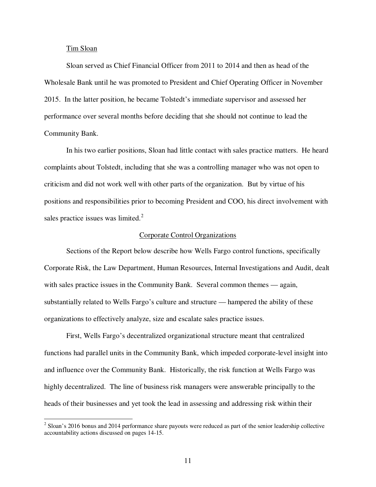#### Tim Sloan

-

Sloan served as Chief Financial Officer from 2011 to 2014 and then as head of the Wholesale Bank until he was promoted to President and Chief Operating Officer in November 2015. In the latter position, he became Tolstedt's immediate supervisor and assessed her performance over several months before deciding that she should not continue to lead the Community Bank.

In his two earlier positions, Sloan had little contact with sales practice matters. He heard complaints about Tolstedt, including that she was a controlling manager who was not open to criticism and did not work well with other parts of the organization. But by virtue of his positions and responsibilities prior to becoming President and COO, his direct involvement with sales practice issues was limited. $^{2}$ 

#### Corporate Control Organizations

Sections of the Report below describe how Wells Fargo control functions, specifically Corporate Risk, the Law Department, Human Resources, Internal Investigations and Audit, dealt with sales practice issues in the Community Bank. Several common themes — again, substantially related to Wells Fargo's culture and structure — hampered the ability of these organizations to effectively analyze, size and escalate sales practice issues.

First, Wells Fargo's decentralized organizational structure meant that centralized functions had parallel units in the Community Bank, which impeded corporate-level insight into and influence over the Community Bank. Historically, the risk function at Wells Fargo was highly decentralized. The line of business risk managers were answerable principally to the heads of their businesses and yet took the lead in assessing and addressing risk within their

 $2$  Sloan's 2016 bonus and 2014 performance share payouts were reduced as part of the senior leadership collective accountability actions discussed on pages 14-15.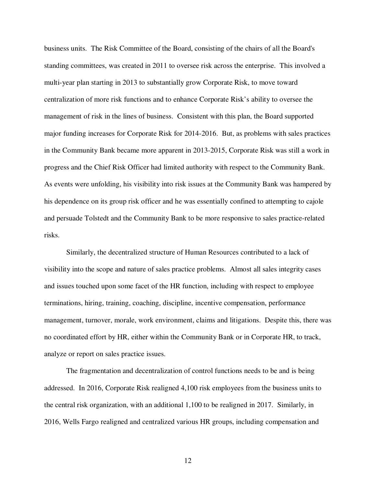business units. The Risk Committee of the Board, consisting of the chairs of all the Board's standing committees, was created in 2011 to oversee risk across the enterprise. This involved a multi-year plan starting in 2013 to substantially grow Corporate Risk, to move toward centralization of more risk functions and to enhance Corporate Risk's ability to oversee the management of risk in the lines of business. Consistent with this plan, the Board supported major funding increases for Corporate Risk for 2014-2016. But, as problems with sales practices in the Community Bank became more apparent in 2013-2015, Corporate Risk was still a work in progress and the Chief Risk Officer had limited authority with respect to the Community Bank. As events were unfolding, his visibility into risk issues at the Community Bank was hampered by his dependence on its group risk officer and he was essentially confined to attempting to cajole and persuade Tolstedt and the Community Bank to be more responsive to sales practice-related risks.

Similarly, the decentralized structure of Human Resources contributed to a lack of visibility into the scope and nature of sales practice problems. Almost all sales integrity cases and issues touched upon some facet of the HR function, including with respect to employee terminations, hiring, training, coaching, discipline, incentive compensation, performance management, turnover, morale, work environment, claims and litigations. Despite this, there was no coordinated effort by HR, either within the Community Bank or in Corporate HR, to track, analyze or report on sales practice issues.

The fragmentation and decentralization of control functions needs to be and is being addressed. In 2016, Corporate Risk realigned 4,100 risk employees from the business units to the central risk organization, with an additional 1,100 to be realigned in 2017. Similarly, in 2016, Wells Fargo realigned and centralized various HR groups, including compensation and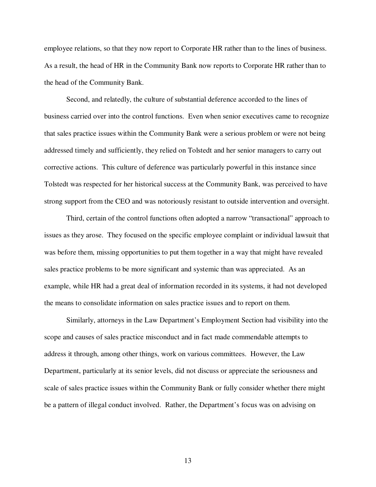employee relations, so that they now report to Corporate HR rather than to the lines of business. As a result, the head of HR in the Community Bank now reports to Corporate HR rather than to the head of the Community Bank.

Second, and relatedly, the culture of substantial deference accorded to the lines of business carried over into the control functions. Even when senior executives came to recognize that sales practice issues within the Community Bank were a serious problem or were not being addressed timely and sufficiently, they relied on Tolstedt and her senior managers to carry out corrective actions. This culture of deference was particularly powerful in this instance since Tolstedt was respected for her historical success at the Community Bank, was perceived to have strong support from the CEO and was notoriously resistant to outside intervention and oversight.

Third, certain of the control functions often adopted a narrow "transactional" approach to issues as they arose. They focused on the specific employee complaint or individual lawsuit that was before them, missing opportunities to put them together in a way that might have revealed sales practice problems to be more significant and systemic than was appreciated. As an example, while HR had a great deal of information recorded in its systems, it had not developed the means to consolidate information on sales practice issues and to report on them.

Similarly, attorneys in the Law Department's Employment Section had visibility into the scope and causes of sales practice misconduct and in fact made commendable attempts to address it through, among other things, work on various committees. However, the Law Department, particularly at its senior levels, did not discuss or appreciate the seriousness and scale of sales practice issues within the Community Bank or fully consider whether there might be a pattern of illegal conduct involved. Rather, the Department's focus was on advising on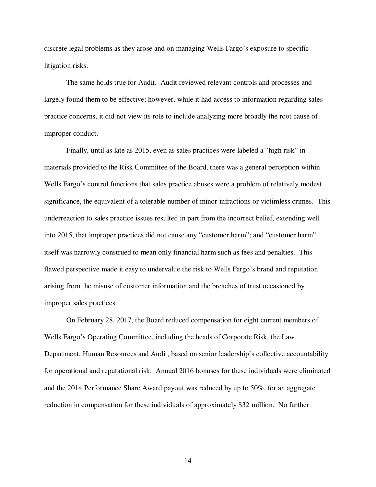discrete legal problems as they arose and on managing Wells Fargo's exposure to specific litigation risks.

The same holds true for Audit. Audit reviewed relevant controls and processes and largely found them to be effective; however, while it had access to information regarding sales practice concerns, it did not view its role to include analyzing more broadly the root cause of improper conduct.

Finally, until as late as 2015, even as sales practices were labeled a "high risk" in materials provided to the Risk Committee of the Board, there was a general perception within Wells Fargo's control functions that sales practice abuses were a problem of relatively modest significance, the equivalent of a tolerable number of minor infractions or victimless crimes. This underreaction to sales practice issues resulted in part from the incorrect belief, extending well into 2015, that improper practices did not cause any "customer harm"; and "customer harm" itself was narrowly construed to mean only financial harm such as fees and penalties. This flawed perspective made it easy to undervalue the risk to Wells Fargo's brand and reputation arising from the misuse of customer information and the breaches of trust occasioned by improper sales practices.

On February 28, 2017, the Board reduced compensation for eight current members of Wells Fargo's Operating Committee, including the heads of Corporate Risk, the Law Department, Human Resources and Audit, based on senior leadership's collective accountability for operational and reputational risk. Annual 2016 bonuses for these individuals were eliminated and the 2014 Performance Share Award payout was reduced by up to 50%, for an aggregate reduction in compensation for these individuals of approximately \$32 million. No further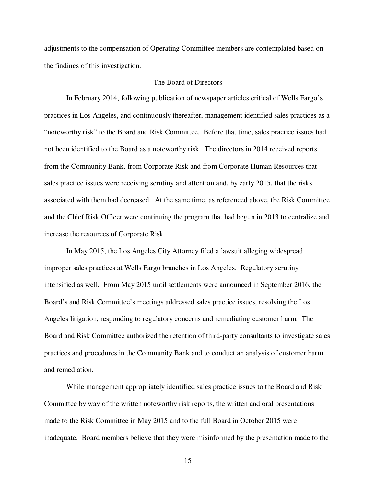adjustments to the compensation of Operating Committee members are contemplated based on the findings of this investigation.

# The Board of Directors

In February 2014, following publication of newspaper articles critical of Wells Fargo's practices in Los Angeles, and continuously thereafter, management identified sales practices as a "noteworthy risk" to the Board and Risk Committee. Before that time, sales practice issues had not been identified to the Board as a noteworthy risk. The directors in 2014 received reports from the Community Bank, from Corporate Risk and from Corporate Human Resources that sales practice issues were receiving scrutiny and attention and, by early 2015, that the risks associated with them had decreased. At the same time, as referenced above, the Risk Committee and the Chief Risk Officer were continuing the program that had begun in 2013 to centralize and increase the resources of Corporate Risk.

In May 2015, the Los Angeles City Attorney filed a lawsuit alleging widespread improper sales practices at Wells Fargo branches in Los Angeles. Regulatory scrutiny intensified as well. From May 2015 until settlements were announced in September 2016, the Board's and Risk Committee's meetings addressed sales practice issues, resolving the Los Angeles litigation, responding to regulatory concerns and remediating customer harm. The Board and Risk Committee authorized the retention of third-party consultants to investigate sales practices and procedures in the Community Bank and to conduct an analysis of customer harm and remediation.

While management appropriately identified sales practice issues to the Board and Risk Committee by way of the written noteworthy risk reports, the written and oral presentations made to the Risk Committee in May 2015 and to the full Board in October 2015 were inadequate. Board members believe that they were misinformed by the presentation made to the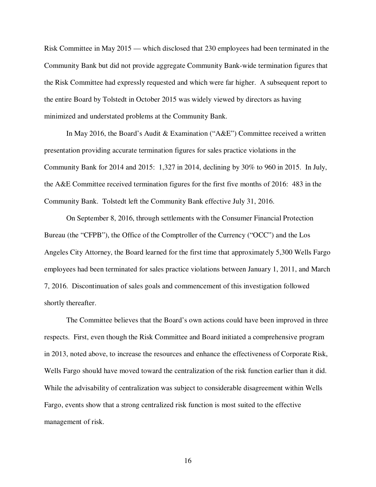Risk Committee in May 2015 — which disclosed that 230 employees had been terminated in the Community Bank but did not provide aggregate Community Bank-wide termination figures that the Risk Committee had expressly requested and which were far higher. A subsequent report to the entire Board by Tolstedt in October 2015 was widely viewed by directors as having minimized and understated problems at the Community Bank.

In May 2016, the Board's Audit & Examination ("A&E") Committee received a written presentation providing accurate termination figures for sales practice violations in the Community Bank for 2014 and 2015: 1,327 in 2014, declining by 30% to 960 in 2015. In July, the A&E Committee received termination figures for the first five months of 2016: 483 in the Community Bank. Tolstedt left the Community Bank effective July 31, 2016.

On September 8, 2016, through settlements with the Consumer Financial Protection Bureau (the "CFPB"), the Office of the Comptroller of the Currency ("OCC") and the Los Angeles City Attorney, the Board learned for the first time that approximately 5,300 Wells Fargo employees had been terminated for sales practice violations between January 1, 2011, and March 7, 2016. Discontinuation of sales goals and commencement of this investigation followed shortly thereafter.

The Committee believes that the Board's own actions could have been improved in three respects. First, even though the Risk Committee and Board initiated a comprehensive program in 2013, noted above, to increase the resources and enhance the effectiveness of Corporate Risk, Wells Fargo should have moved toward the centralization of the risk function earlier than it did. While the advisability of centralization was subject to considerable disagreement within Wells Fargo, events show that a strong centralized risk function is most suited to the effective management of risk.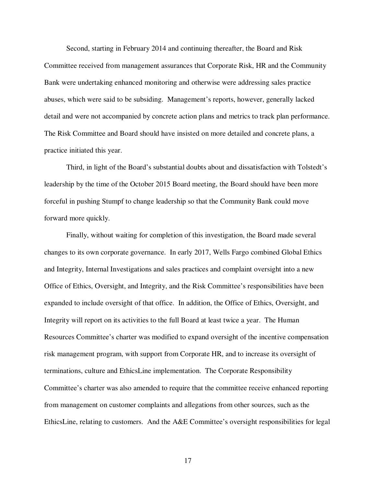Second, starting in February 2014 and continuing thereafter, the Board and Risk

Committee received from management assurances that Corporate Risk, HR and the Community Bank were undertaking enhanced monitoring and otherwise were addressing sales practice abuses, which were said to be subsiding. Management's reports, however, generally lacked detail and were not accompanied by concrete action plans and metrics to track plan performance. The Risk Committee and Board should have insisted on more detailed and concrete plans, a practice initiated this year.

Third, in light of the Board's substantial doubts about and dissatisfaction with Tolstedt's leadership by the time of the October 2015 Board meeting, the Board should have been more forceful in pushing Stumpf to change leadership so that the Community Bank could move forward more quickly.

Finally, without waiting for completion of this investigation, the Board made several changes to its own corporate governance. In early 2017, Wells Fargo combined Global Ethics and Integrity, Internal Investigations and sales practices and complaint oversight into a new Office of Ethics, Oversight, and Integrity, and the Risk Committee's responsibilities have been expanded to include oversight of that office. In addition, the Office of Ethics, Oversight, and Integrity will report on its activities to the full Board at least twice a year. The Human Resources Committee's charter was modified to expand oversight of the incentive compensation risk management program, with support from Corporate HR, and to increase its oversight of terminations, culture and EthicsLine implementation. The Corporate Responsibility Committee's charter was also amended to require that the committee receive enhanced reporting from management on customer complaints and allegations from other sources, such as the EthicsLine, relating to customers. And the A&E Committee's oversight responsibilities for legal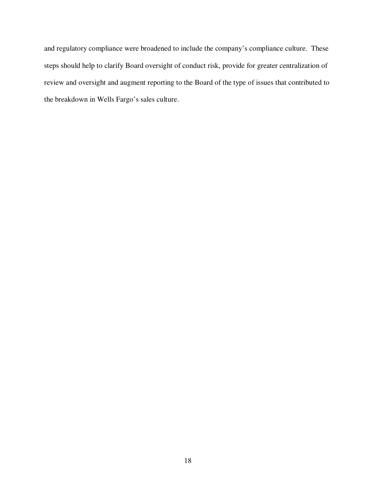and regulatory compliance were broadened to include the company's compliance culture. These steps should help to clarify Board oversight of conduct risk, provide for greater centralization of review and oversight and augment reporting to the Board of the type of issues that contributed to the breakdown in Wells Fargo's sales culture.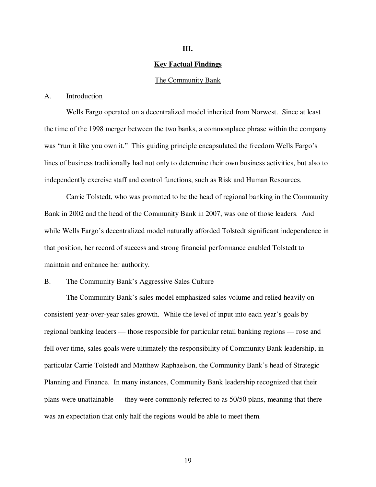# **III.**

#### **Key Factual Findings**

#### The Community Bank

#### A. Introduction

Wells Fargo operated on a decentralized model inherited from Norwest. Since at least the time of the 1998 merger between the two banks, a commonplace phrase within the company was "run it like you own it." This guiding principle encapsulated the freedom Wells Fargo's lines of business traditionally had not only to determine their own business activities, but also to independently exercise staff and control functions, such as Risk and Human Resources.

Carrie Tolstedt, who was promoted to be the head of regional banking in the Community Bank in 2002 and the head of the Community Bank in 2007, was one of those leaders. And while Wells Fargo's decentralized model naturally afforded Tolstedt significant independence in that position, her record of success and strong financial performance enabled Tolstedt to maintain and enhance her authority.

# B. The Community Bank's Aggressive Sales Culture

The Community Bank's sales model emphasized sales volume and relied heavily on consistent year-over-year sales growth. While the level of input into each year's goals by regional banking leaders — those responsible for particular retail banking regions — rose and fell over time, sales goals were ultimately the responsibility of Community Bank leadership, in particular Carrie Tolstedt and Matthew Raphaelson, the Community Bank's head of Strategic Planning and Finance. In many instances, Community Bank leadership recognized that their plans were unattainable — they were commonly referred to as 50/50 plans, meaning that there was an expectation that only half the regions would be able to meet them.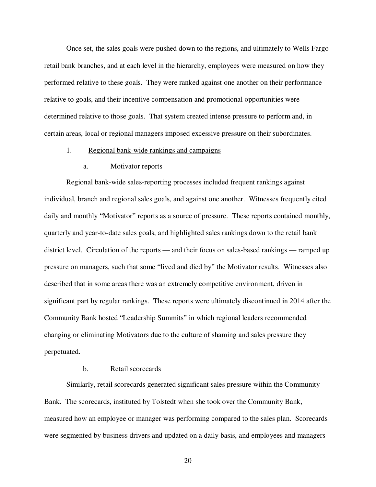Once set, the sales goals were pushed down to the regions, and ultimately to Wells Fargo retail bank branches, and at each level in the hierarchy, employees were measured on how they performed relative to these goals. They were ranked against one another on their performance relative to goals, and their incentive compensation and promotional opportunities were determined relative to those goals. That system created intense pressure to perform and, in certain areas, local or regional managers imposed excessive pressure on their subordinates.

#### 1. Regional bank-wide rankings and campaigns

#### a. Motivator reports

Regional bank-wide sales-reporting processes included frequent rankings against individual, branch and regional sales goals, and against one another. Witnesses frequently cited daily and monthly "Motivator" reports as a source of pressure. These reports contained monthly, quarterly and year-to-date sales goals, and highlighted sales rankings down to the retail bank district level. Circulation of the reports — and their focus on sales-based rankings — ramped up pressure on managers, such that some "lived and died by" the Motivator results. Witnesses also described that in some areas there was an extremely competitive environment, driven in significant part by regular rankings. These reports were ultimately discontinued in 2014 after the Community Bank hosted "Leadership Summits" in which regional leaders recommended changing or eliminating Motivators due to the culture of shaming and sales pressure they perpetuated.

# b. Retail scorecards

Similarly, retail scorecards generated significant sales pressure within the Community Bank. The scorecards, instituted by Tolstedt when she took over the Community Bank, measured how an employee or manager was performing compared to the sales plan. Scorecards were segmented by business drivers and updated on a daily basis, and employees and managers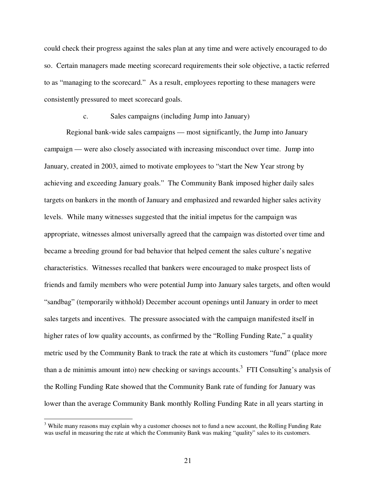could check their progress against the sales plan at any time and were actively encouraged to do so. Certain managers made meeting scorecard requirements their sole objective, a tactic referred to as "managing to the scorecard." As a result, employees reporting to these managers were consistently pressured to meet scorecard goals.

#### c. Sales campaigns (including Jump into January)

Regional bank-wide sales campaigns — most significantly, the Jump into January campaign — were also closely associated with increasing misconduct over time. Jump into January, created in 2003, aimed to motivate employees to "start the New Year strong by achieving and exceeding January goals." The Community Bank imposed higher daily sales targets on bankers in the month of January and emphasized and rewarded higher sales activity levels. While many witnesses suggested that the initial impetus for the campaign was appropriate, witnesses almost universally agreed that the campaign was distorted over time and became a breeding ground for bad behavior that helped cement the sales culture's negative characteristics. Witnesses recalled that bankers were encouraged to make prospect lists of friends and family members who were potential Jump into January sales targets, and often would "sandbag" (temporarily withhold) December account openings until January in order to meet sales targets and incentives. The pressure associated with the campaign manifested itself in higher rates of low quality accounts, as confirmed by the "Rolling Funding Rate," a quality metric used by the Community Bank to track the rate at which its customers "fund" (place more than a de minimis amount into) new checking or savings accounts.<sup>3</sup> FTI Consulting's analysis of the Rolling Funding Rate showed that the Community Bank rate of funding for January was lower than the average Community Bank monthly Rolling Funding Rate in all years starting in

 $\overline{a}$ 

<sup>&</sup>lt;sup>3</sup> While many reasons may explain why a customer chooses not to fund a new account, the Rolling Funding Rate was useful in measuring the rate at which the Community Bank was making "quality" sales to its customers.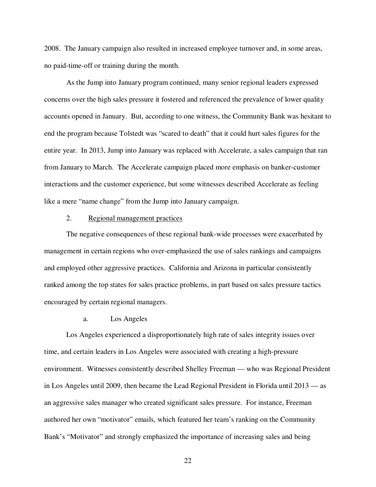2008. The January campaign also resulted in increased employee turnover and, in some areas, no paid-time-off or training during the month.

As the Jump into January program continued, many senior regional leaders expressed concerns over the high sales pressure it fostered and referenced the prevalence of lower quality accounts opened in January. But, according to one witness, the Community Bank was hesitant to end the program because Tolstedt was "scared to death" that it could hurt sales figures for the entire year. In 2013, Jump into January was replaced with Accelerate, a sales campaign that ran from January to March. The Accelerate campaign placed more emphasis on banker-customer interactions and the customer experience, but some witnesses described Accelerate as feeling like a mere "name change" from the Jump into January campaign.

#### 2. Regional management practices

The negative consequences of these regional bank-wide processes were exacerbated by management in certain regions who over-emphasized the use of sales rankings and campaigns and employed other aggressive practices. California and Arizona in particular consistently ranked among the top states for sales practice problems, in part based on sales pressure tactics encouraged by certain regional managers.

# a. Los Angeles

Los Angeles experienced a disproportionately high rate of sales integrity issues over time, and certain leaders in Los Angeles were associated with creating a high-pressure environment. Witnesses consistently described Shelley Freeman — who was Regional President in Los Angeles until 2009, then became the Lead Regional President in Florida until 2013 — as an aggressive sales manager who created significant sales pressure. For instance, Freeman authored her own "motivator" emails, which featured her team's ranking on the Community Bank's "Motivator" and strongly emphasized the importance of increasing sales and being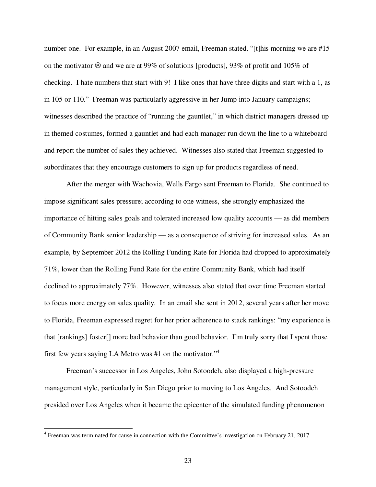number one. For example, in an August 2007 email, Freeman stated, "[t]his morning we are #15 on the motivator  $\odot$  and we are at 99% of solutions [products], 93% of profit and 105% of checking. I hate numbers that start with 9! I like ones that have three digits and start with a 1, as in 105 or 110." Freeman was particularly aggressive in her Jump into January campaigns; witnesses described the practice of "running the gauntlet," in which district managers dressed up in themed costumes, formed a gauntlet and had each manager run down the line to a whiteboard and report the number of sales they achieved. Witnesses also stated that Freeman suggested to subordinates that they encourage customers to sign up for products regardless of need.

After the merger with Wachovia, Wells Fargo sent Freeman to Florida. She continued to impose significant sales pressure; according to one witness, she strongly emphasized the importance of hitting sales goals and tolerated increased low quality accounts — as did members of Community Bank senior leadership — as a consequence of striving for increased sales. As an example, by September 2012 the Rolling Funding Rate for Florida had dropped to approximately 71%, lower than the Rolling Fund Rate for the entire Community Bank, which had itself declined to approximately 77%. However, witnesses also stated that over time Freeman started to focus more energy on sales quality. In an email she sent in 2012, several years after her move to Florida, Freeman expressed regret for her prior adherence to stack rankings: "my experience is that [rankings] foster[] more bad behavior than good behavior. I'm truly sorry that I spent those first few years saying LA Metro was #1 on the motivator."<sup>4</sup>

Freeman's successor in Los Angeles, John Sotoodeh, also displayed a high-pressure management style, particularly in San Diego prior to moving to Los Angeles. And Sotoodeh presided over Los Angeles when it became the epicenter of the simulated funding phenomenon

-

<sup>&</sup>lt;sup>4</sup> Freeman was terminated for cause in connection with the Committee's investigation on February 21, 2017.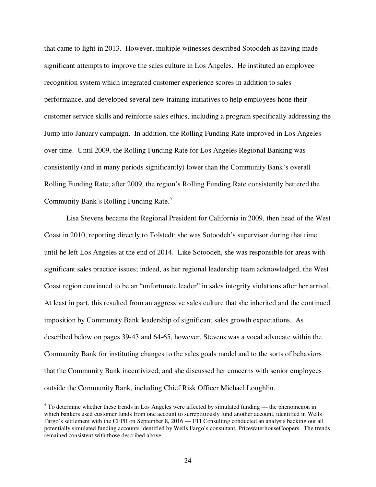that came to light in 2013. However, multiple witnesses described Sotoodeh as having made significant attempts to improve the sales culture in Los Angeles. He instituted an employee recognition system which integrated customer experience scores in addition to sales performance, and developed several new training initiatives to help employees hone their customer service skills and reinforce sales ethics, including a program specifically addressing the Jump into January campaign. In addition, the Rolling Funding Rate improved in Los Angeles over time. Until 2009, the Rolling Funding Rate for Los Angeles Regional Banking was consistently (and in many periods significantly) lower than the Community Bank's overall Rolling Funding Rate; after 2009, the region's Rolling Funding Rate consistently bettered the Community Bank's Rolling Funding Rate.<sup>5</sup>

Lisa Stevens became the Regional President for California in 2009, then head of the West Coast in 2010, reporting directly to Tolstedt; she was Sotoodeh's supervisor during that time until he left Los Angeles at the end of 2014. Like Sotoodeh, she was responsible for areas with significant sales practice issues; indeed, as her regional leadership team acknowledged, the West Coast region continued to be an "unfortunate leader" in sales integrity violations after her arrival. At least in part, this resulted from an aggressive sales culture that she inherited and the continued imposition by Community Bank leadership of significant sales growth expectations. As described below on pages 39-43 and 64-65, however, Stevens was a vocal advocate within the Community Bank for instituting changes to the sales goals model and to the sorts of behaviors that the Community Bank incentivized, and she discussed her concerns with senior employees outside the Community Bank, including Chief Risk Officer Michael Loughlin.

<sup>&</sup>lt;sup>5</sup> To determine whether these trends in Los Angeles were affected by simulated funding — the phenomenon in which bankers used customer funds from one account to surreptitiously fund another account, identified in Wells Fargo's settlement with the CFPB on September 8, 2016 — FTI Consulting conducted an analysis backing out all potentially simulated funding accounts identified by Wells Fargo's consultant, PricewaterhouseCoopers. The trends remained consistent with those described above.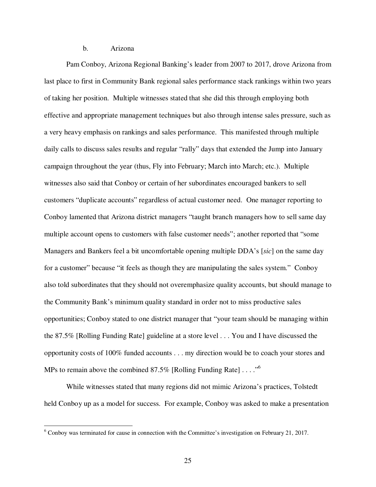#### b. Arizona

Pam Conboy, Arizona Regional Banking's leader from 2007 to 2017, drove Arizona from last place to first in Community Bank regional sales performance stack rankings within two years of taking her position. Multiple witnesses stated that she did this through employing both effective and appropriate management techniques but also through intense sales pressure, such as a very heavy emphasis on rankings and sales performance. This manifested through multiple daily calls to discuss sales results and regular "rally" days that extended the Jump into January campaign throughout the year (thus, Fly into February; March into March; etc.). Multiple witnesses also said that Conboy or certain of her subordinates encouraged bankers to sell customers "duplicate accounts" regardless of actual customer need. One manager reporting to Conboy lamented that Arizona district managers "taught branch managers how to sell same day multiple account opens to customers with false customer needs"; another reported that "some Managers and Bankers feel a bit uncomfortable opening multiple DDA's [*sic*] on the same day for a customer" because "it feels as though they are manipulating the sales system." Conboy also told subordinates that they should not overemphasize quality accounts, but should manage to the Community Bank's minimum quality standard in order not to miss productive sales opportunities; Conboy stated to one district manager that "your team should be managing within the 87.5% [Rolling Funding Rate] guideline at a store level . . . You and I have discussed the opportunity costs of 100% funded accounts . . . my direction would be to coach your stores and MPs to remain above the combined 87.5% [Rolling Funding Rate]  $\dots$ ."<sup>6</sup>

While witnesses stated that many regions did not mimic Arizona's practices, Tolstedt held Conboy up as a model for success. For example, Conboy was asked to make a presentation

<sup>&</sup>lt;sup>6</sup> Conboy was terminated for cause in connection with the Committee's investigation on February 21, 2017.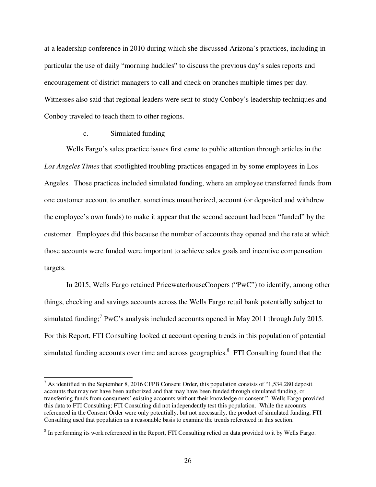at a leadership conference in 2010 during which she discussed Arizona's practices, including in particular the use of daily "morning huddles" to discuss the previous day's sales reports and encouragement of district managers to call and check on branches multiple times per day. Witnesses also said that regional leaders were sent to study Conboy's leadership techniques and Conboy traveled to teach them to other regions.

## c. Simulated funding

-

Wells Fargo's sales practice issues first came to public attention through articles in the *Los Angeles Times* that spotlighted troubling practices engaged in by some employees in Los Angeles. Those practices included simulated funding, where an employee transferred funds from one customer account to another, sometimes unauthorized, account (or deposited and withdrew the employee's own funds) to make it appear that the second account had been "funded" by the customer. Employees did this because the number of accounts they opened and the rate at which those accounts were funded were important to achieve sales goals and incentive compensation targets.

In 2015, Wells Fargo retained PricewaterhouseCoopers ("PwC") to identify, among other things, checking and savings accounts across the Wells Fargo retail bank potentially subject to simulated funding;<sup>7</sup> PwC's analysis included accounts opened in May 2011 through July 2015. For this Report, FTI Consulting looked at account opening trends in this population of potential simulated funding accounts over time and across geographies.<sup>8</sup> FTI Consulting found that the

 $<sup>7</sup>$  As identified in the September 8, 2016 CFPB Consent Order, this population consists of "1,534,280 deposit</sup> accounts that may not have been authorized and that may have been funded through simulated funding, or transferring funds from consumers' existing accounts without their knowledge or consent." Wells Fargo provided this data to FTI Consulting; FTI Consulting did not independently test this population. While the accounts referenced in the Consent Order were only potentially, but not necessarily, the product of simulated funding, FTI Consulting used that population as a reasonable basis to examine the trends referenced in this section.

<sup>&</sup>lt;sup>8</sup> In performing its work referenced in the Report, FTI Consulting relied on data provided to it by Wells Fargo.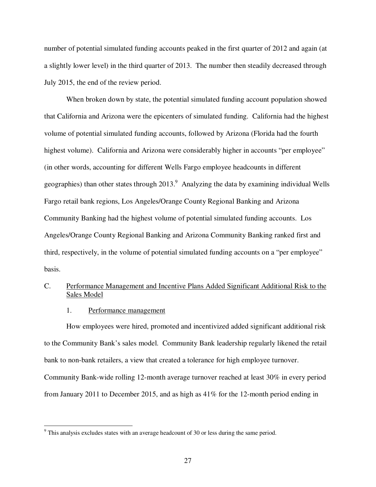number of potential simulated funding accounts peaked in the first quarter of 2012 and again (at a slightly lower level) in the third quarter of 2013. The number then steadily decreased through July 2015, the end of the review period.

When broken down by state, the potential simulated funding account population showed that California and Arizona were the epicenters of simulated funding. California had the highest volume of potential simulated funding accounts, followed by Arizona (Florida had the fourth highest volume). California and Arizona were considerably higher in accounts "per employee" (in other words, accounting for different Wells Fargo employee headcounts in different geographies) than other states through  $2013<sup>9</sup>$  Analyzing the data by examining individual Wells Fargo retail bank regions, Los Angeles/Orange County Regional Banking and Arizona Community Banking had the highest volume of potential simulated funding accounts. Los Angeles/Orange County Regional Banking and Arizona Community Banking ranked first and third, respectively, in the volume of potential simulated funding accounts on a "per employee" basis.

# C. Performance Management and Incentive Plans Added Significant Additional Risk to the Sales Model

#### 1. Performance management

How employees were hired, promoted and incentivized added significant additional risk to the Community Bank's sales model. Community Bank leadership regularly likened the retail bank to non-bank retailers, a view that created a tolerance for high employee turnover. Community Bank-wide rolling 12-month average turnover reached at least 30% in every period from January 2011 to December 2015, and as high as 41% for the 12-month period ending in

<sup>&</sup>lt;sup>9</sup> This analysis excludes states with an average headcount of 30 or less during the same period.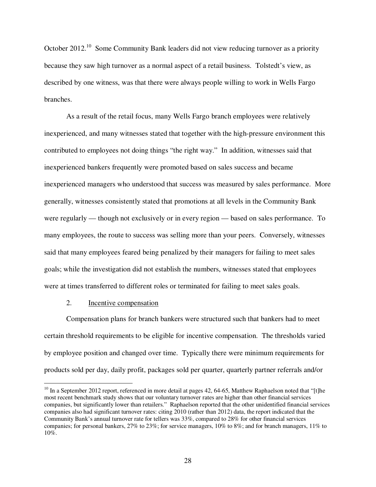October 2012.<sup>10</sup> Some Community Bank leaders did not view reducing turnover as a priority because they saw high turnover as a normal aspect of a retail business. Tolstedt's view, as described by one witness, was that there were always people willing to work in Wells Fargo branches.

As a result of the retail focus, many Wells Fargo branch employees were relatively inexperienced, and many witnesses stated that together with the high-pressure environment this contributed to employees not doing things "the right way." In addition, witnesses said that inexperienced bankers frequently were promoted based on sales success and became inexperienced managers who understood that success was measured by sales performance. More generally, witnesses consistently stated that promotions at all levels in the Community Bank were regularly — though not exclusively or in every region — based on sales performance. To many employees, the route to success was selling more than your peers. Conversely, witnesses said that many employees feared being penalized by their managers for failing to meet sales goals; while the investigation did not establish the numbers, witnesses stated that employees were at times transferred to different roles or terminated for failing to meet sales goals.

# 2. Incentive compensation

<u>.</u>

Compensation plans for branch bankers were structured such that bankers had to meet certain threshold requirements to be eligible for incentive compensation. The thresholds varied by employee position and changed over time. Typically there were minimum requirements for products sold per day, daily profit, packages sold per quarter, quarterly partner referrals and/or

 $10$  In a September 2012 report, referenced in more detail at pages 42, 64-65, Matthew Raphaelson noted that "[t]he most recent benchmark study shows that our voluntary turnover rates are higher than other financial services companies, but significantly lower than retailers." Raphaelson reported that the other unidentified financial services companies also had significant turnover rates: citing 2010 (rather than 2012) data, the report indicated that the Community Bank's annual turnover rate for tellers was 33%, compared to 28% for other financial services companies; for personal bankers, 27% to 23%; for service managers, 10% to 8%; and for branch managers, 11% to 10%.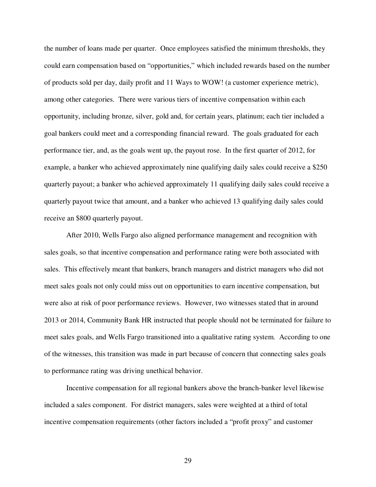the number of loans made per quarter. Once employees satisfied the minimum thresholds, they could earn compensation based on "opportunities," which included rewards based on the number of products sold per day, daily profit and 11 Ways to WOW! (a customer experience metric), among other categories. There were various tiers of incentive compensation within each opportunity, including bronze, silver, gold and, for certain years, platinum; each tier included a goal bankers could meet and a corresponding financial reward. The goals graduated for each performance tier, and, as the goals went up, the payout rose. In the first quarter of 2012, for example, a banker who achieved approximately nine qualifying daily sales could receive a \$250 quarterly payout; a banker who achieved approximately 11 qualifying daily sales could receive a quarterly payout twice that amount, and a banker who achieved 13 qualifying daily sales could receive an \$800 quarterly payout.

After 2010, Wells Fargo also aligned performance management and recognition with sales goals, so that incentive compensation and performance rating were both associated with sales. This effectively meant that bankers, branch managers and district managers who did not meet sales goals not only could miss out on opportunities to earn incentive compensation, but were also at risk of poor performance reviews. However, two witnesses stated that in around 2013 or 2014, Community Bank HR instructed that people should not be terminated for failure to meet sales goals, and Wells Fargo transitioned into a qualitative rating system. According to one of the witnesses, this transition was made in part because of concern that connecting sales goals to performance rating was driving unethical behavior.

Incentive compensation for all regional bankers above the branch-banker level likewise included a sales component. For district managers, sales were weighted at a third of total incentive compensation requirements (other factors included a "profit proxy" and customer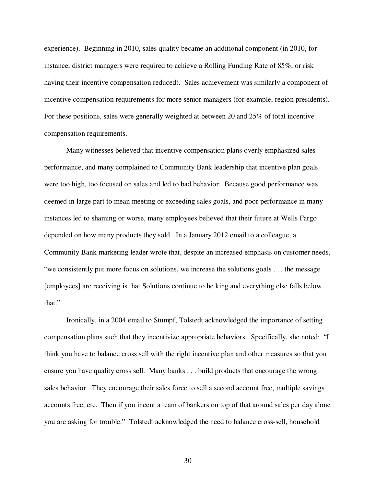experience). Beginning in 2010, sales quality became an additional component (in 2010, for instance, district managers were required to achieve a Rolling Funding Rate of 85%, or risk having their incentive compensation reduced). Sales achievement was similarly a component of incentive compensation requirements for more senior managers (for example, region presidents). For these positions, sales were generally weighted at between 20 and 25% of total incentive compensation requirements.

Many witnesses believed that incentive compensation plans overly emphasized sales performance, and many complained to Community Bank leadership that incentive plan goals were too high, too focused on sales and led to bad behavior. Because good performance was deemed in large part to mean meeting or exceeding sales goals, and poor performance in many instances led to shaming or worse, many employees believed that their future at Wells Fargo depended on how many products they sold. In a January 2012 email to a colleague, a Community Bank marketing leader wrote that, despite an increased emphasis on customer needs, "we consistently put more focus on solutions, we increase the solutions goals . . . the message [employees] are receiving is that Solutions continue to be king and everything else falls below that."

Ironically, in a 2004 email to Stumpf, Tolstedt acknowledged the importance of setting compensation plans such that they incentivize appropriate behaviors. Specifically, she noted: "I think you have to balance cross sell with the right incentive plan and other measures so that you ensure you have quality cross sell. Many banks . . . build products that encourage the wrong sales behavior. They encourage their sales force to sell a second account free, multiple savings accounts free, etc. Then if you incent a team of bankers on top of that around sales per day alone you are asking for trouble." Tolstedt acknowledged the need to balance cross-sell, household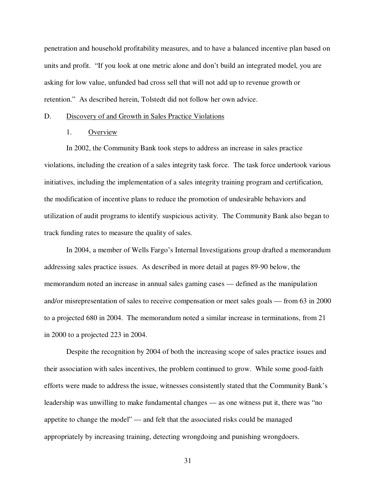penetration and household profitability measures, and to have a balanced incentive plan based on units and profit. "If you look at one metric alone and don't build an integrated model, you are asking for low value, unfunded bad cross sell that will not add up to revenue growth or retention." As described herein, Tolstedt did not follow her own advice.

#### D. Discovery of and Growth in Sales Practice Violations

#### 1. Overview

In 2002, the Community Bank took steps to address an increase in sales practice violations, including the creation of a sales integrity task force. The task force undertook various initiatives, including the implementation of a sales integrity training program and certification, the modification of incentive plans to reduce the promotion of undesirable behaviors and utilization of audit programs to identify suspicious activity. The Community Bank also began to track funding rates to measure the quality of sales.

In 2004, a member of Wells Fargo's Internal Investigations group drafted a memorandum addressing sales practice issues. As described in more detail at pages 89-90 below, the memorandum noted an increase in annual sales gaming cases — defined as the manipulation and/or misrepresentation of sales to receive compensation or meet sales goals — from 63 in 2000 to a projected 680 in 2004. The memorandum noted a similar increase in terminations, from 21 in 2000 to a projected 223 in 2004.

Despite the recognition by 2004 of both the increasing scope of sales practice issues and their association with sales incentives, the problem continued to grow. While some good-faith efforts were made to address the issue, witnesses consistently stated that the Community Bank's leadership was unwilling to make fundamental changes — as one witness put it, there was "no appetite to change the model" — and felt that the associated risks could be managed appropriately by increasing training, detecting wrongdoing and punishing wrongdoers.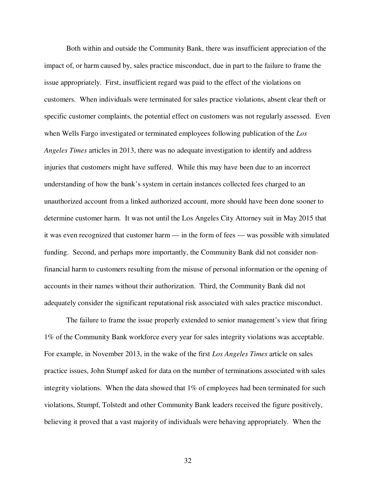Both within and outside the Community Bank, there was insufficient appreciation of the impact of, or harm caused by, sales practice misconduct, due in part to the failure to frame the issue appropriately. First, insufficient regard was paid to the effect of the violations on customers. When individuals were terminated for sales practice violations, absent clear theft or specific customer complaints, the potential effect on customers was not regularly assessed. Even when Wells Fargo investigated or terminated employees following publication of the *Los Angeles Times* articles in 2013, there was no adequate investigation to identify and address injuries that customers might have suffered. While this may have been due to an incorrect understanding of how the bank's system in certain instances collected fees charged to an unauthorized account from a linked authorized account, more should have been done sooner to determine customer harm. It was not until the Los Angeles City Attorney suit in May 2015 that it was even recognized that customer harm — in the form of fees — was possible with simulated funding. Second, and perhaps more importantly, the Community Bank did not consider nonfinancial harm to customers resulting from the misuse of personal information or the opening of accounts in their names without their authorization. Third, the Community Bank did not adequately consider the significant reputational risk associated with sales practice misconduct.

The failure to frame the issue properly extended to senior management's view that firing 1% of the Community Bank workforce every year for sales integrity violations was acceptable. For example, in November 2013, in the wake of the first *Los Angeles Times* article on sales practice issues, John Stumpf asked for data on the number of terminations associated with sales integrity violations. When the data showed that  $1\%$  of employees had been terminated for such violations, Stumpf, Tolstedt and other Community Bank leaders received the figure positively, believing it proved that a vast majority of individuals were behaving appropriately. When the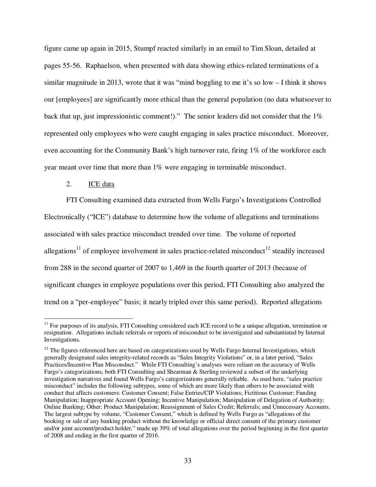figure came up again in 2015, Stumpf reacted similarly in an email to Tim Sloan, detailed at pages 55-56. Raphaelson, when presented with data showing ethics-related terminations of a similar magnitude in 2013, wrote that it was "mind boggling to me it's so low – I think it shows our [employees] are significantly more ethical than the general population (no data whatsoever to back that up, just impressionistic comment!)." The senior leaders did not consider that the 1% represented only employees who were caught engaging in sales practice misconduct. Moreover, even accounting for the Community Bank's high turnover rate, firing 1% of the workforce each year meant over time that more than 1% were engaging in terminable misconduct.

# 2. ICE data

FTI Consulting examined data extracted from Wells Fargo's Investigations Controlled Electronically ("ICE") database to determine how the volume of allegations and terminations associated with sales practice misconduct trended over time. The volume of reported allegations<sup>11</sup> of employee involvement in sales practice-related misconduct<sup>12</sup> steadily increased from 288 in the second quarter of 2007 to 1,469 in the fourth quarter of 2013 (because of significant changes in employee populations over this period, FTI Consulting also analyzed the trend on a "per-employee" basis; it nearly tripled over this same period). Reported allegations

 $\overline{a}$  $11$  For purposes of its analysis, FTI Consulting considered each ICE record to be a unique allegation, termination or resignation. Allegations include referrals or reports of misconduct to be investigated and substantiated by Internal Investigations.

<sup>&</sup>lt;sup>12</sup> The figures referenced here are based on categorizations used by Wells Fargo Internal Investigations, which generally designated sales integrity-related records as "Sales Integrity Violations" or, in a later period, "Sales Practices/Incentive Plan Misconduct." While FTI Consulting's analyses were reliant on the accuracy of Wells Fargo's categorizations, both FTI Consulting and Shearman & Sterling reviewed a subset of the underlying investigation narratives and found Wells Fargo's categorizations generally reliable. As used here, "sales practice misconduct" includes the following subtypes, some of which are more likely than others to be associated with conduct that affects customers: Customer Consent; False Entries/CIP Violations; Fictitious Customer; Funding Manipulation; Inappropriate Account Opening; Incentive Manipulation; Manipulation of Delegation of Authority; Online Banking; Other; Product Manipulation; Reassignment of Sales Credit; Referrals; and Unnecessary Accounts. The largest subtype by volume, "Customer Consent," which is defined by Wells Fargo as "allegations of the booking or sale of any banking product without the knowledge or official direct consent of the primary customer and/or joint account/product holder," made up 39% of total allegations over the period beginning in the first quarter of 2008 and ending in the first quarter of 2016.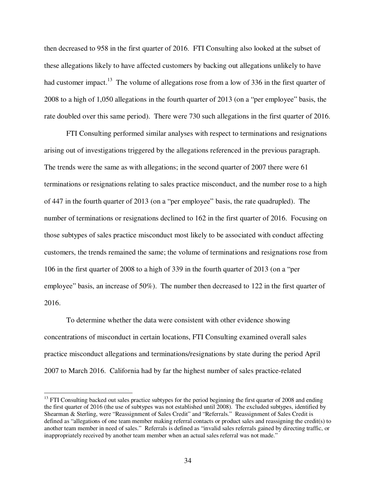then decreased to 958 in the first quarter of 2016. FTI Consulting also looked at the subset of these allegations likely to have affected customers by backing out allegations unlikely to have had customer impact.<sup>13</sup> The volume of allegations rose from a low of 336 in the first quarter of 2008 to a high of 1,050 allegations in the fourth quarter of 2013 (on a "per employee" basis, the rate doubled over this same period). There were 730 such allegations in the first quarter of 2016.

FTI Consulting performed similar analyses with respect to terminations and resignations arising out of investigations triggered by the allegations referenced in the previous paragraph. The trends were the same as with allegations; in the second quarter of 2007 there were 61 terminations or resignations relating to sales practice misconduct, and the number rose to a high of 447 in the fourth quarter of 2013 (on a "per employee" basis, the rate quadrupled). The number of terminations or resignations declined to 162 in the first quarter of 2016. Focusing on those subtypes of sales practice misconduct most likely to be associated with conduct affecting customers, the trends remained the same; the volume of terminations and resignations rose from 106 in the first quarter of 2008 to a high of 339 in the fourth quarter of 2013 (on a "per employee" basis, an increase of 50%). The number then decreased to 122 in the first quarter of 2016.

To determine whether the data were consistent with other evidence showing concentrations of misconduct in certain locations, FTI Consulting examined overall sales practice misconduct allegations and terminations/resignations by state during the period April 2007 to March 2016. California had by far the highest number of sales practice-related

 $\overline{a}$ 

<sup>&</sup>lt;sup>13</sup> FTI Consulting backed out sales practice subtypes for the period beginning the first quarter of 2008 and ending the first quarter of 2016 (the use of subtypes was not established until 2008). The excluded subtypes, identified by Shearman & Sterling, were "Reassignment of Sales Credit" and "Referrals." Reassignment of Sales Credit is defined as "allegations of one team member making referral contacts or product sales and reassigning the credit(s) to another team member in need of sales." Referrals is defined as "invalid sales referrals gained by directing traffic, or inappropriately received by another team member when an actual sales referral was not made."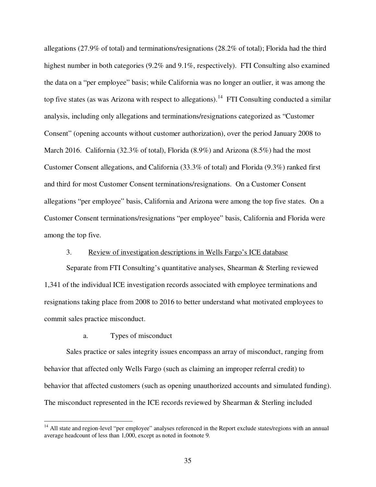allegations (27.9% of total) and terminations/resignations (28.2% of total); Florida had the third highest number in both categories (9.2% and 9.1%, respectively). FTI Consulting also examined the data on a "per employee" basis; while California was no longer an outlier, it was among the top five states (as was Arizona with respect to allegations).<sup>14</sup> FTI Consulting conducted a similar analysis, including only allegations and terminations/resignations categorized as "Customer Consent" (opening accounts without customer authorization), over the period January 2008 to March 2016. California (32.3% of total), Florida (8.9%) and Arizona (8.5%) had the most Customer Consent allegations, and California (33.3% of total) and Florida (9.3%) ranked first and third for most Customer Consent terminations/resignations. On a Customer Consent allegations "per employee" basis, California and Arizona were among the top five states. On a Customer Consent terminations/resignations "per employee" basis, California and Florida were among the top five.

## 3. Review of investigation descriptions in Wells Fargo's ICE database

Separate from FTI Consulting's quantitative analyses, Shearman & Sterling reviewed 1,341 of the individual ICE investigation records associated with employee terminations and resignations taking place from 2008 to 2016 to better understand what motivated employees to commit sales practice misconduct.

#### a. Types of misconduct

-

Sales practice or sales integrity issues encompass an array of misconduct, ranging from behavior that affected only Wells Fargo (such as claiming an improper referral credit) to behavior that affected customers (such as opening unauthorized accounts and simulated funding). The misconduct represented in the ICE records reviewed by Shearman & Sterling included

<sup>&</sup>lt;sup>14</sup> All state and region-level "per employee" analyses referenced in the Report exclude states/regions with an annual average headcount of less than 1,000, except as noted in footnote 9.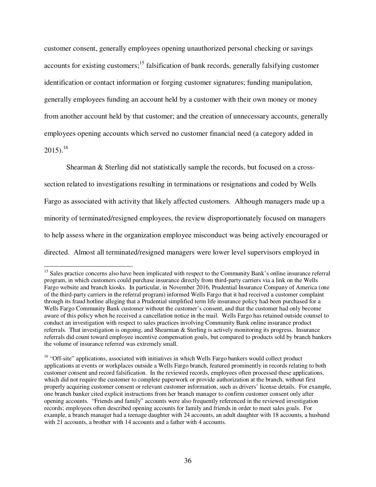customer consent, generally employees opening unauthorized personal checking or savings accounts for existing customers;<sup>15</sup> falsification of bank records, generally falsifying customer identification or contact information or forging customer signatures; funding manipulation, generally employees funding an account held by a customer with their own money or money from another account held by that customer; and the creation of unnecessary accounts, generally employees opening accounts which served no customer financial need (a category added in  $2015$ ).<sup>16</sup>

Shearman & Sterling did not statistically sample the records, but focused on a crosssection related to investigations resulting in terminations or resignations and coded by Wells Fargo as associated with activity that likely affected customers. Although managers made up a minority of terminated/resigned employees, the review disproportionately focused on managers to help assess where in the organization employee misconduct was being actively encouraged or directed. Almost all terminated/resigned managers were lower level supervisors employed in

<u>.</u>

<sup>&</sup>lt;sup>15</sup> Sales practice concerns also have been implicated with respect to the Community Bank's online insurance referral program, in which customers could purchase insurance directly from third-party carriers via a link on the Wells Fargo website and branch kiosks. In particular, in November 2016, Prudential Insurance Company of America (one of the third-party carriers in the referral program) informed Wells Fargo that it had received a customer complaint through its fraud hotline alleging that a Prudential simplified term life insurance policy had been purchased for a Wells Fargo Community Bank customer without the customer's consent, and that the customer had only become aware of this policy when he received a cancellation notice in the mail. Wells Fargo has retained outside counsel to conduct an investigation with respect to sales practices involving Community Bank online insurance product referrals. That investigation is ongoing, and Shearman & Sterling is actively monitoring its progress. Insurance referrals did count toward employee incentive compensation goals, but compared to products sold by branch bankers the volume of insurance referred was extremely small.

<sup>&</sup>lt;sup>16</sup> "Off-site" applications, associated with initiatives in which Wells Fargo bankers would collect product applications at events or workplaces outside a Wells Fargo branch, featured prominently in records relating to both customer consent and record falsification. In the reviewed records, employees often processed these applications, which did not require the customer to complete paperwork or provide authorization at the branch, without first properly acquiring customer consent or relevant customer information, such as drivers' license details. For example, one branch banker cited explicit instructions from her branch manager to confirm customer consent only after opening accounts. "Friends and family" accounts were also frequently referenced in the reviewed investigation records; employees often described opening accounts for family and friends in order to meet sales goals. For example, a branch manager had a teenage daughter with 24 accounts, an adult daughter with 18 accounts, a husband with 21 accounts, a brother with 14 accounts and a father with 4 accounts.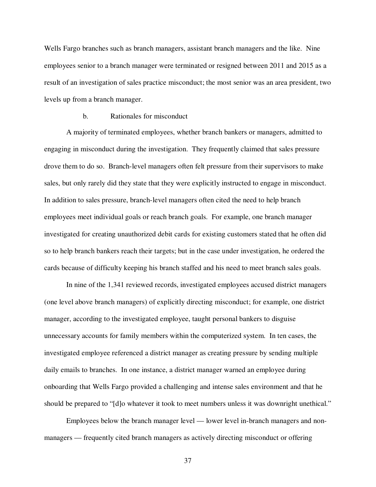Wells Fargo branches such as branch managers, assistant branch managers and the like. Nine employees senior to a branch manager were terminated or resigned between 2011 and 2015 as a result of an investigation of sales practice misconduct; the most senior was an area president, two levels up from a branch manager.

## b. Rationales for misconduct

A majority of terminated employees, whether branch bankers or managers, admitted to engaging in misconduct during the investigation. They frequently claimed that sales pressure drove them to do so. Branch-level managers often felt pressure from their supervisors to make sales, but only rarely did they state that they were explicitly instructed to engage in misconduct. In addition to sales pressure, branch-level managers often cited the need to help branch employees meet individual goals or reach branch goals. For example, one branch manager investigated for creating unauthorized debit cards for existing customers stated that he often did so to help branch bankers reach their targets; but in the case under investigation, he ordered the cards because of difficulty keeping his branch staffed and his need to meet branch sales goals.

In nine of the 1,341 reviewed records, investigated employees accused district managers (one level above branch managers) of explicitly directing misconduct; for example, one district manager, according to the investigated employee, taught personal bankers to disguise unnecessary accounts for family members within the computerized system. In ten cases, the investigated employee referenced a district manager as creating pressure by sending multiple daily emails to branches. In one instance, a district manager warned an employee during onboarding that Wells Fargo provided a challenging and intense sales environment and that he should be prepared to "[d]o whatever it took to meet numbers unless it was downright unethical."

Employees below the branch manager level — lower level in-branch managers and nonmanagers — frequently cited branch managers as actively directing misconduct or offering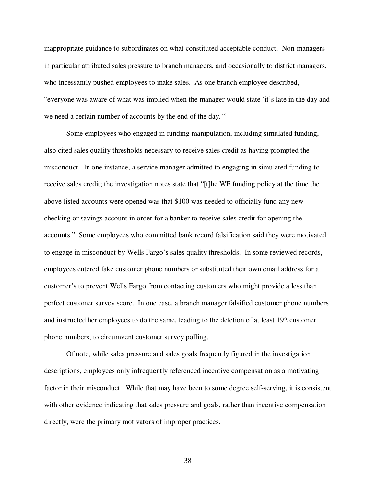inappropriate guidance to subordinates on what constituted acceptable conduct. Non-managers in particular attributed sales pressure to branch managers, and occasionally to district managers, who incessantly pushed employees to make sales. As one branch employee described, "everyone was aware of what was implied when the manager would state 'it's late in the day and we need a certain number of accounts by the end of the day.'"

Some employees who engaged in funding manipulation, including simulated funding, also cited sales quality thresholds necessary to receive sales credit as having prompted the misconduct. In one instance, a service manager admitted to engaging in simulated funding to receive sales credit; the investigation notes state that "[t]he WF funding policy at the time the above listed accounts were opened was that \$100 was needed to officially fund any new checking or savings account in order for a banker to receive sales credit for opening the accounts." Some employees who committed bank record falsification said they were motivated to engage in misconduct by Wells Fargo's sales quality thresholds. In some reviewed records, employees entered fake customer phone numbers or substituted their own email address for a customer's to prevent Wells Fargo from contacting customers who might provide a less than perfect customer survey score. In one case, a branch manager falsified customer phone numbers and instructed her employees to do the same, leading to the deletion of at least 192 customer phone numbers, to circumvent customer survey polling.

Of note, while sales pressure and sales goals frequently figured in the investigation descriptions, employees only infrequently referenced incentive compensation as a motivating factor in their misconduct. While that may have been to some degree self-serving, it is consistent with other evidence indicating that sales pressure and goals, rather than incentive compensation directly, were the primary motivators of improper practices.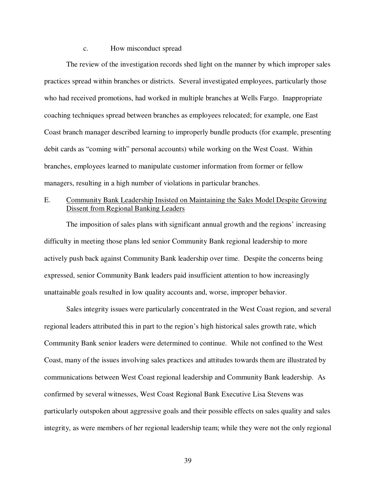#### c. How misconduct spread

The review of the investigation records shed light on the manner by which improper sales practices spread within branches or districts. Several investigated employees, particularly those who had received promotions, had worked in multiple branches at Wells Fargo. Inappropriate coaching techniques spread between branches as employees relocated; for example, one East Coast branch manager described learning to improperly bundle products (for example, presenting debit cards as "coming with" personal accounts) while working on the West Coast. Within branches, employees learned to manipulate customer information from former or fellow managers, resulting in a high number of violations in particular branches.

# E. Community Bank Leadership Insisted on Maintaining the Sales Model Despite Growing Dissent from Regional Banking Leaders

The imposition of sales plans with significant annual growth and the regions' increasing difficulty in meeting those plans led senior Community Bank regional leadership to more actively push back against Community Bank leadership over time. Despite the concerns being expressed, senior Community Bank leaders paid insufficient attention to how increasingly unattainable goals resulted in low quality accounts and, worse, improper behavior.

Sales integrity issues were particularly concentrated in the West Coast region, and several regional leaders attributed this in part to the region's high historical sales growth rate, which Community Bank senior leaders were determined to continue. While not confined to the West Coast, many of the issues involving sales practices and attitudes towards them are illustrated by communications between West Coast regional leadership and Community Bank leadership. As confirmed by several witnesses, West Coast Regional Bank Executive Lisa Stevens was particularly outspoken about aggressive goals and their possible effects on sales quality and sales integrity, as were members of her regional leadership team; while they were not the only regional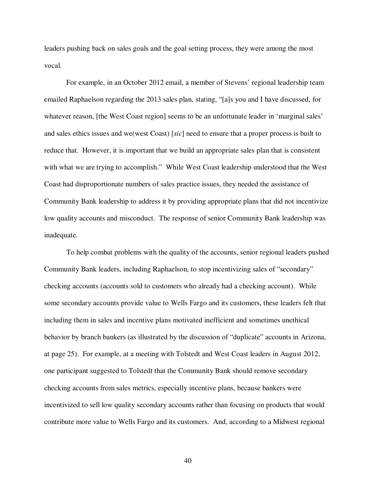leaders pushing back on sales goals and the goal setting process, they were among the most vocal.

For example, in an October 2012 email, a member of Stevens' regional leadership team emailed Raphaelson regarding the 2013 sales plan, stating, "[a]s you and I have discussed, for whatever reason, [the West Coast region] seems to be an unfortunate leader in 'marginal sales' and sales ethics issues and we(west Coast) [*sic*] need to ensure that a proper process is built to reduce that. However, it is important that we build an appropriate sales plan that is consistent with what we are trying to accomplish." While West Coast leadership understood that the West Coast had disproportionate numbers of sales practice issues, they needed the assistance of Community Bank leadership to address it by providing appropriate plans that did not incentivize low quality accounts and misconduct. The response of senior Community Bank leadership was inadequate.

To help combat problems with the quality of the accounts, senior regional leaders pushed Community Bank leaders, including Raphaelson, to stop incentivizing sales of "secondary" checking accounts (accounts sold to customers who already had a checking account). While some secondary accounts provide value to Wells Fargo and its customers, these leaders felt that including them in sales and incentive plans motivated inefficient and sometimes unethical behavior by branch bankers (as illustrated by the discussion of "duplicate" accounts in Arizona, at page 25). For example, at a meeting with Tolstedt and West Coast leaders in August 2012, one participant suggested to Tolstedt that the Community Bank should remove secondary checking accounts from sales metrics, especially incentive plans, because bankers were incentivized to sell low quality secondary accounts rather than focusing on products that would contribute more value to Wells Fargo and its customers. And, according to a Midwest regional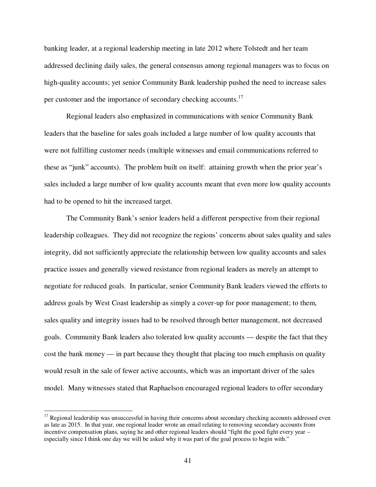banking leader, at a regional leadership meeting in late 2012 where Tolstedt and her team addressed declining daily sales, the general consensus among regional managers was to focus on high-quality accounts; yet senior Community Bank leadership pushed the need to increase sales per customer and the importance of secondary checking accounts.<sup>17</sup>

Regional leaders also emphasized in communications with senior Community Bank leaders that the baseline for sales goals included a large number of low quality accounts that were not fulfilling customer needs (multiple witnesses and email communications referred to these as "junk" accounts). The problem built on itself: attaining growth when the prior year's sales included a large number of low quality accounts meant that even more low quality accounts had to be opened to hit the increased target.

The Community Bank's senior leaders held a different perspective from their regional leadership colleagues. They did not recognize the regions' concerns about sales quality and sales integrity, did not sufficiently appreciate the relationship between low quality accounts and sales practice issues and generally viewed resistance from regional leaders as merely an attempt to negotiate for reduced goals. In particular, senior Community Bank leaders viewed the efforts to address goals by West Coast leadership as simply a cover-up for poor management; to them, sales quality and integrity issues had to be resolved through better management, not decreased goals. Community Bank leaders also tolerated low quality accounts — despite the fact that they cost the bank money — in part because they thought that placing too much emphasis on quality would result in the sale of fewer active accounts, which was an important driver of the sales model. Many witnesses stated that Raphaelson encouraged regional leaders to offer secondary

 $\overline{a}$ 

 $17$  Regional leadership was unsuccessful in having their concerns about secondary checking accounts addressed even as late as 2015. In that year, one regional leader wrote an email relating to removing secondary accounts from incentive compensation plans, saying he and other regional leaders should "fight the good fight every year – especially since I think one day we will be asked why it was part of the goal process to begin with."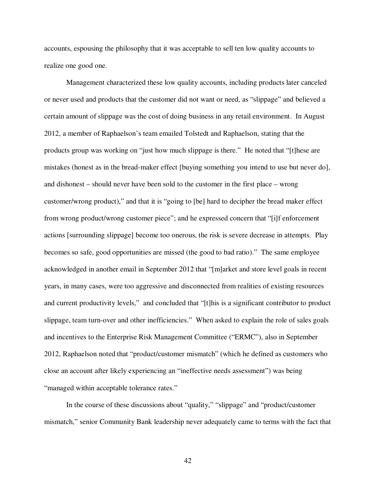accounts, espousing the philosophy that it was acceptable to sell ten low quality accounts to realize one good one.

Management characterized these low quality accounts, including products later canceled or never used and products that the customer did not want or need, as "slippage" and believed a certain amount of slippage was the cost of doing business in any retail environment. In August 2012, a member of Raphaelson's team emailed Tolstedt and Raphaelson, stating that the products group was working on "just how much slippage is there." He noted that "[t]hese are mistakes (honest as in the bread-maker effect [buying something you intend to use but never do], and dishonest – should never have been sold to the customer in the first place – wrong customer/wrong product)," and that it is "going to [be] hard to decipher the bread maker effect from wrong product/wrong customer piece"; and he expressed concern that "[i]f enforcement actions [surrounding slippage] become too onerous, the risk is severe decrease in attempts. Play becomes so safe, good opportunities are missed (the good to bad ratio)." The same employee acknowledged in another email in September 2012 that "[m]arket and store level goals in recent years, in many cases, were too aggressive and disconnected from realities of existing resources and current productivity levels," and concluded that "[t]his is a significant contributor to product slippage, team turn-over and other inefficiencies." When asked to explain the role of sales goals and incentives to the Enterprise Risk Management Committee ("ERMC"), also in September 2012, Raphaelson noted that "product/customer mismatch" (which he defined as customers who close an account after likely experiencing an "ineffective needs assessment") was being "managed within acceptable tolerance rates."

In the course of these discussions about "quality," "slippage" and "product/customer mismatch," senior Community Bank leadership never adequately came to terms with the fact that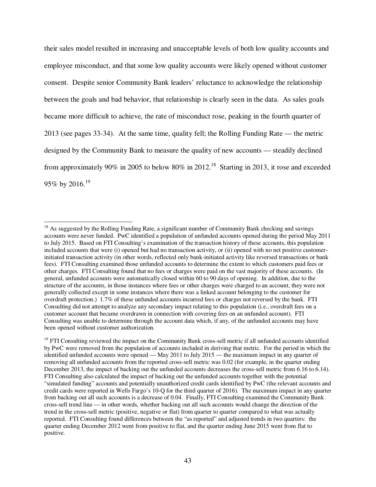their sales model resulted in increasing and unacceptable levels of both low quality accounts and employee misconduct, and that some low quality accounts were likely opened without customer consent. Despite senior Community Bank leaders' reluctance to acknowledge the relationship between the goals and bad behavior, that relationship is clearly seen in the data. As sales goals became more difficult to achieve, the rate of misconduct rose, peaking in the fourth quarter of 2013 (see pages 33-34). At the same time, quality fell; the Rolling Funding Rate — the metric designed by the Community Bank to measure the quality of new accounts — steadily declined from approximately 90% in 2005 to below 80% in 2012.<sup>18</sup> Starting in 2013, it rose and exceeded 95% by 2016.<sup>19</sup>

 $\overline{a}$ 

<sup>&</sup>lt;sup>18</sup> As suggested by the Rolling Funding Rate, a significant number of Community Bank checking and savings accounts were never funded. PwC identified a population of unfunded accounts opened during the period May 2011 to July 2015. Based on FTI Consulting's examination of the transaction history of these accounts, this population included accounts that were (i) opened but had no transaction activity, or (ii) opened with no net positive customerinitiated transaction activity (in other words, reflected only bank-initiated activity like reversed transactions or bank fees). FTI Consulting examined those unfunded accounts to determine the extent to which customers paid fees or other charges. FTI Consulting found that no fees or charges were paid on the vast majority of these accounts. (In general, unfunded accounts were automatically closed within 60 to 90 days of opening. In addition, due to the structure of the accounts, in those instances where fees or other charges were charged to an account, they were not generally collected except in some instances where there was a linked account belonging to the customer for overdraft protection.) 1.7% of these unfunded accounts incurred fees or charges not reversed by the bank. FTI Consulting did not attempt to analyze any secondary impact relating to this population (i.e., overdraft fees on a customer account that became overdrawn in connection with covering fees on an unfunded account). FTI Consulting was unable to determine through the account data which, if any, of the unfunded accounts may have been opened without customer authorization.

 $19$  FTI Consulting reviewed the impact on the Community Bank cross-sell metric if all unfunded accounts identified by PwC were removed from the population of accounts included in deriving that metric. For the period in which the identified unfunded accounts were opened — May 2011 to July 2015 — the maximum impact in any quarter of removing all unfunded accounts from the reported cross-sell metric was 0.02 (for example, in the quarter ending December 2013, the impact of backing out the unfunded accounts decreases the cross-sell metric from 6.16 to 6.14). FTI Consulting also calculated the impact of backing out the unfunded accounts together with the potential "simulated funding" accounts and potentially unauthorized credit cards identified by PwC (the relevant accounts and credit cards were reported in Wells Fargo's 10-Q for the third quarter of 2016). The maximum impact in any quarter from backing out all such accounts is a decrease of 0.04. Finally, FTI Consulting examined the Community Bank cross-sell trend line — in other words, whether backing out all such accounts would change the direction of the trend in the cross-sell metric (positive, negative or flat) from quarter to quarter compared to what was actually reported. FTI Consulting found differences between the "as reported" and adjusted trends in two quarters: the quarter ending December 2012 went from positive to flat, and the quarter ending June 2015 went from flat to positive.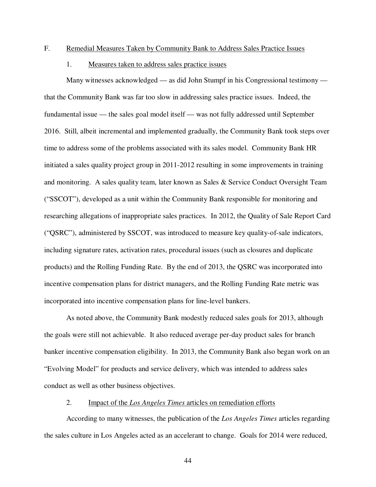#### F. Remedial Measures Taken by Community Bank to Address Sales Practice Issues

## 1. Measures taken to address sales practice issues

Many witnesses acknowledged — as did John Stumpf in his Congressional testimony that the Community Bank was far too slow in addressing sales practice issues. Indeed, the fundamental issue — the sales goal model itself — was not fully addressed until September 2016. Still, albeit incremental and implemented gradually, the Community Bank took steps over time to address some of the problems associated with its sales model. Community Bank HR initiated a sales quality project group in 2011-2012 resulting in some improvements in training and monitoring. A sales quality team, later known as Sales & Service Conduct Oversight Team ("SSCOT"), developed as a unit within the Community Bank responsible for monitoring and researching allegations of inappropriate sales practices. In 2012, the Quality of Sale Report Card ("QSRC"), administered by SSCOT, was introduced to measure key quality-of-sale indicators, including signature rates, activation rates, procedural issues (such as closures and duplicate products) and the Rolling Funding Rate. By the end of 2013, the QSRC was incorporated into incentive compensation plans for district managers, and the Rolling Funding Rate metric was incorporated into incentive compensation plans for line-level bankers.

As noted above, the Community Bank modestly reduced sales goals for 2013, although the goals were still not achievable. It also reduced average per-day product sales for branch banker incentive compensation eligibility. In 2013, the Community Bank also began work on an "Evolving Model" for products and service delivery, which was intended to address sales conduct as well as other business objectives.

# 2. Impact of the *Los Angeles Times* articles on remediation efforts

According to many witnesses, the publication of the *Los Angeles Times* articles regarding the sales culture in Los Angeles acted as an accelerant to change. Goals for 2014 were reduced,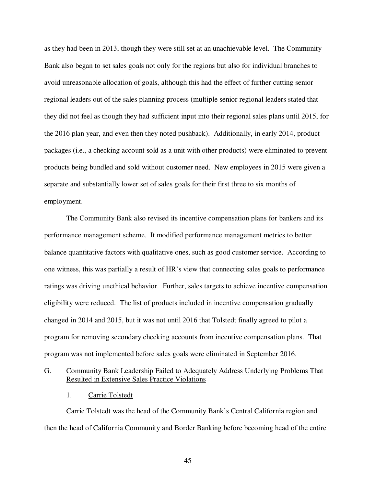as they had been in 2013, though they were still set at an unachievable level. The Community Bank also began to set sales goals not only for the regions but also for individual branches to avoid unreasonable allocation of goals, although this had the effect of further cutting senior regional leaders out of the sales planning process (multiple senior regional leaders stated that they did not feel as though they had sufficient input into their regional sales plans until 2015, for the 2016 plan year, and even then they noted pushback). Additionally, in early 2014, product packages (i.e., a checking account sold as a unit with other products) were eliminated to prevent products being bundled and sold without customer need. New employees in 2015 were given a separate and substantially lower set of sales goals for their first three to six months of employment.

The Community Bank also revised its incentive compensation plans for bankers and its performance management scheme. It modified performance management metrics to better balance quantitative factors with qualitative ones, such as good customer service. According to one witness, this was partially a result of HR's view that connecting sales goals to performance ratings was driving unethical behavior. Further, sales targets to achieve incentive compensation eligibility were reduced. The list of products included in incentive compensation gradually changed in 2014 and 2015, but it was not until 2016 that Tolstedt finally agreed to pilot a program for removing secondary checking accounts from incentive compensation plans. That program was not implemented before sales goals were eliminated in September 2016.

# G. Community Bank Leadership Failed to Adequately Address Underlying Problems That Resulted in Extensive Sales Practice Violations

1. Carrie Tolstedt

Carrie Tolstedt was the head of the Community Bank's Central California region and then the head of California Community and Border Banking before becoming head of the entire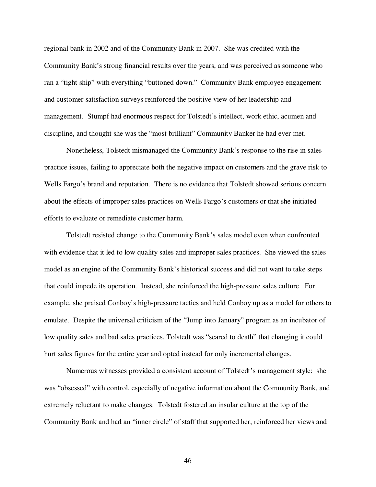regional bank in 2002 and of the Community Bank in 2007. She was credited with the Community Bank's strong financial results over the years, and was perceived as someone who ran a "tight ship" with everything "buttoned down." Community Bank employee engagement and customer satisfaction surveys reinforced the positive view of her leadership and management. Stumpf had enormous respect for Tolstedt's intellect, work ethic, acumen and discipline, and thought she was the "most brilliant" Community Banker he had ever met.

Nonetheless, Tolstedt mismanaged the Community Bank's response to the rise in sales practice issues, failing to appreciate both the negative impact on customers and the grave risk to Wells Fargo's brand and reputation. There is no evidence that Tolstedt showed serious concern about the effects of improper sales practices on Wells Fargo's customers or that she initiated efforts to evaluate or remediate customer harm.

Tolstedt resisted change to the Community Bank's sales model even when confronted with evidence that it led to low quality sales and improper sales practices. She viewed the sales model as an engine of the Community Bank's historical success and did not want to take steps that could impede its operation. Instead, she reinforced the high-pressure sales culture. For example, she praised Conboy's high-pressure tactics and held Conboy up as a model for others to emulate. Despite the universal criticism of the "Jump into January" program as an incubator of low quality sales and bad sales practices, Tolstedt was "scared to death" that changing it could hurt sales figures for the entire year and opted instead for only incremental changes.

Numerous witnesses provided a consistent account of Tolstedt's management style: she was "obsessed" with control, especially of negative information about the Community Bank, and extremely reluctant to make changes. Tolstedt fostered an insular culture at the top of the Community Bank and had an "inner circle" of staff that supported her, reinforced her views and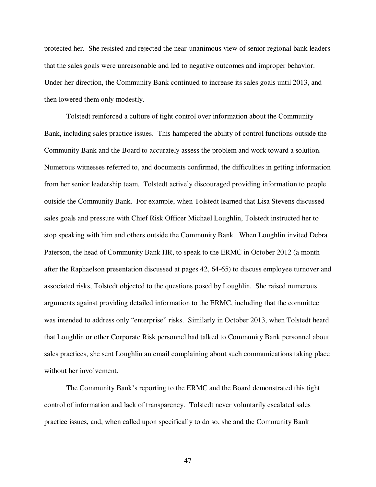protected her. She resisted and rejected the near-unanimous view of senior regional bank leaders that the sales goals were unreasonable and led to negative outcomes and improper behavior. Under her direction, the Community Bank continued to increase its sales goals until 2013, and then lowered them only modestly.

Tolstedt reinforced a culture of tight control over information about the Community Bank, including sales practice issues. This hampered the ability of control functions outside the Community Bank and the Board to accurately assess the problem and work toward a solution. Numerous witnesses referred to, and documents confirmed, the difficulties in getting information from her senior leadership team. Tolstedt actively discouraged providing information to people outside the Community Bank. For example, when Tolstedt learned that Lisa Stevens discussed sales goals and pressure with Chief Risk Officer Michael Loughlin, Tolstedt instructed her to stop speaking with him and others outside the Community Bank. When Loughlin invited Debra Paterson, the head of Community Bank HR, to speak to the ERMC in October 2012 (a month after the Raphaelson presentation discussed at pages 42, 64-65) to discuss employee turnover and associated risks, Tolstedt objected to the questions posed by Loughlin. She raised numerous arguments against providing detailed information to the ERMC, including that the committee was intended to address only "enterprise" risks. Similarly in October 2013, when Tolstedt heard that Loughlin or other Corporate Risk personnel had talked to Community Bank personnel about sales practices, she sent Loughlin an email complaining about such communications taking place without her involvement.

The Community Bank's reporting to the ERMC and the Board demonstrated this tight control of information and lack of transparency. Tolstedt never voluntarily escalated sales practice issues, and, when called upon specifically to do so, she and the Community Bank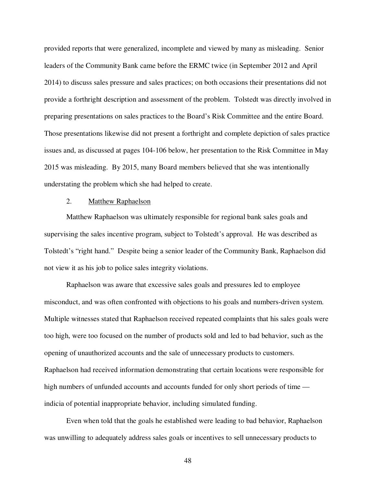provided reports that were generalized, incomplete and viewed by many as misleading. Senior leaders of the Community Bank came before the ERMC twice (in September 2012 and April 2014) to discuss sales pressure and sales practices; on both occasions their presentations did not provide a forthright description and assessment of the problem. Tolstedt was directly involved in preparing presentations on sales practices to the Board's Risk Committee and the entire Board. Those presentations likewise did not present a forthright and complete depiction of sales practice issues and, as discussed at pages 104-106 below, her presentation to the Risk Committee in May 2015 was misleading. By 2015, many Board members believed that she was intentionally understating the problem which she had helped to create.

## 2. Matthew Raphaelson

Matthew Raphaelson was ultimately responsible for regional bank sales goals and supervising the sales incentive program, subject to Tolstedt's approval. He was described as Tolstedt's "right hand." Despite being a senior leader of the Community Bank, Raphaelson did not view it as his job to police sales integrity violations.

Raphaelson was aware that excessive sales goals and pressures led to employee misconduct, and was often confronted with objections to his goals and numbers-driven system. Multiple witnesses stated that Raphaelson received repeated complaints that his sales goals were too high, were too focused on the number of products sold and led to bad behavior, such as the opening of unauthorized accounts and the sale of unnecessary products to customers. Raphaelson had received information demonstrating that certain locations were responsible for high numbers of unfunded accounts and accounts funded for only short periods of time indicia of potential inappropriate behavior, including simulated funding.

Even when told that the goals he established were leading to bad behavior, Raphaelson was unwilling to adequately address sales goals or incentives to sell unnecessary products to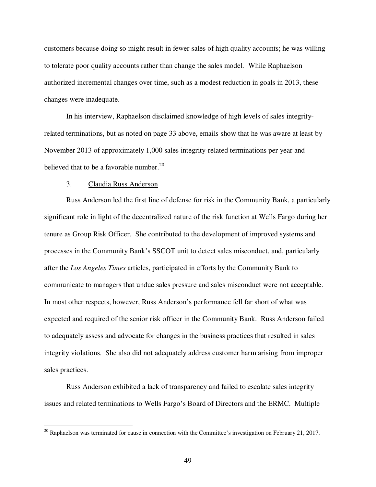customers because doing so might result in fewer sales of high quality accounts; he was willing to tolerate poor quality accounts rather than change the sales model. While Raphaelson authorized incremental changes over time, such as a modest reduction in goals in 2013, these changes were inadequate.

In his interview, Raphaelson disclaimed knowledge of high levels of sales integrityrelated terminations, but as noted on page 33 above, emails show that he was aware at least by November 2013 of approximately 1,000 sales integrity-related terminations per year and believed that to be a favorable number.<sup>20</sup>

## 3. Claudia Russ Anderson

-

Russ Anderson led the first line of defense for risk in the Community Bank, a particularly significant role in light of the decentralized nature of the risk function at Wells Fargo during her tenure as Group Risk Officer. She contributed to the development of improved systems and processes in the Community Bank's SSCOT unit to detect sales misconduct, and, particularly after the *Los Angeles Times* articles, participated in efforts by the Community Bank to communicate to managers that undue sales pressure and sales misconduct were not acceptable. In most other respects, however, Russ Anderson's performance fell far short of what was expected and required of the senior risk officer in the Community Bank. Russ Anderson failed to adequately assess and advocate for changes in the business practices that resulted in sales integrity violations. She also did not adequately address customer harm arising from improper sales practices.

Russ Anderson exhibited a lack of transparency and failed to escalate sales integrity issues and related terminations to Wells Fargo's Board of Directors and the ERMC. Multiple

 $20$  Raphaelson was terminated for cause in connection with the Committee's investigation on February 21, 2017.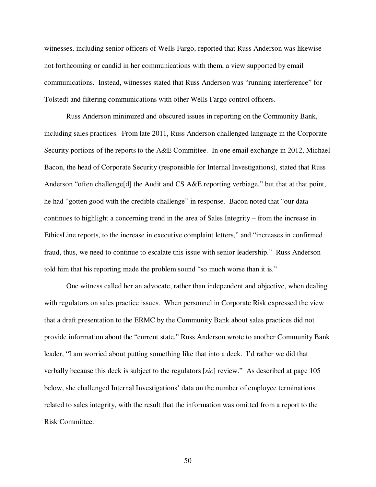witnesses, including senior officers of Wells Fargo, reported that Russ Anderson was likewise not forthcoming or candid in her communications with them, a view supported by email communications. Instead, witnesses stated that Russ Anderson was "running interference" for Tolstedt and filtering communications with other Wells Fargo control officers.

Russ Anderson minimized and obscured issues in reporting on the Community Bank, including sales practices. From late 2011, Russ Anderson challenged language in the Corporate Security portions of the reports to the A&E Committee. In one email exchange in 2012, Michael Bacon, the head of Corporate Security (responsible for Internal Investigations), stated that Russ Anderson "often challenge<sup>[d]</sup> the Audit and CS A&E reporting verbiage," but that at that point, he had "gotten good with the credible challenge" in response. Bacon noted that "our data continues to highlight a concerning trend in the area of Sales Integrity – from the increase in EthicsLine reports, to the increase in executive complaint letters," and "increases in confirmed fraud, thus, we need to continue to escalate this issue with senior leadership." Russ Anderson told him that his reporting made the problem sound "so much worse than it is."

One witness called her an advocate, rather than independent and objective, when dealing with regulators on sales practice issues. When personnel in Corporate Risk expressed the view that a draft presentation to the ERMC by the Community Bank about sales practices did not provide information about the "current state," Russ Anderson wrote to another Community Bank leader, "I am worried about putting something like that into a deck. I'd rather we did that verbally because this deck is subject to the regulators [*sic*] review." As described at page 105 below, she challenged Internal Investigations' data on the number of employee terminations related to sales integrity, with the result that the information was omitted from a report to the Risk Committee.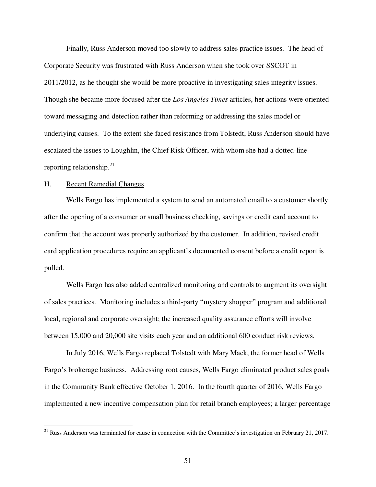Finally, Russ Anderson moved too slowly to address sales practice issues. The head of Corporate Security was frustrated with Russ Anderson when she took over SSCOT in 2011/2012, as he thought she would be more proactive in investigating sales integrity issues. Though she became more focused after the *Los Angeles Times* articles, her actions were oriented toward messaging and detection rather than reforming or addressing the sales model or underlying causes. To the extent she faced resistance from Tolstedt, Russ Anderson should have escalated the issues to Loughlin, the Chief Risk Officer, with whom she had a dotted-line reporting relationship.<sup>21</sup>

#### H. Recent Remedial Changes

-

Wells Fargo has implemented a system to send an automated email to a customer shortly after the opening of a consumer or small business checking, savings or credit card account to confirm that the account was properly authorized by the customer. In addition, revised credit card application procedures require an applicant's documented consent before a credit report is pulled.

Wells Fargo has also added centralized monitoring and controls to augment its oversight of sales practices. Monitoring includes a third-party "mystery shopper" program and additional local, regional and corporate oversight; the increased quality assurance efforts will involve between 15,000 and 20,000 site visits each year and an additional 600 conduct risk reviews.

In July 2016, Wells Fargo replaced Tolstedt with Mary Mack, the former head of Wells Fargo's brokerage business. Addressing root causes, Wells Fargo eliminated product sales goals in the Community Bank effective October 1, 2016. In the fourth quarter of 2016, Wells Fargo implemented a new incentive compensation plan for retail branch employees; a larger percentage

<sup>&</sup>lt;sup>21</sup> Russ Anderson was terminated for cause in connection with the Committee's investigation on February 21, 2017.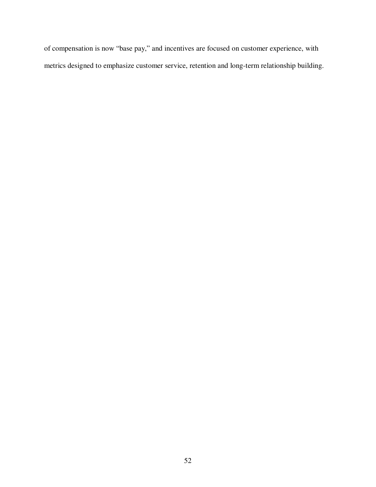of compensation is now "base pay," and incentives are focused on customer experience, with metrics designed to emphasize customer service, retention and long-term relationship building.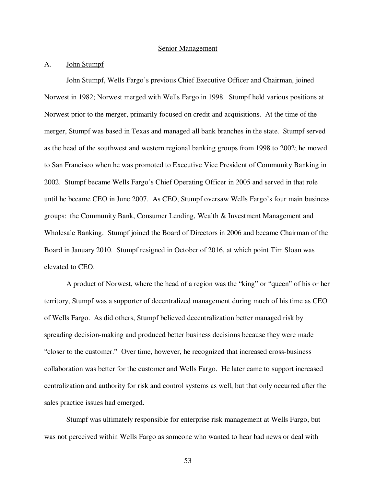#### Senior Management

## A. John Stumpf

John Stumpf, Wells Fargo's previous Chief Executive Officer and Chairman, joined Norwest in 1982; Norwest merged with Wells Fargo in 1998. Stumpf held various positions at Norwest prior to the merger, primarily focused on credit and acquisitions. At the time of the merger, Stumpf was based in Texas and managed all bank branches in the state. Stumpf served as the head of the southwest and western regional banking groups from 1998 to 2002; he moved to San Francisco when he was promoted to Executive Vice President of Community Banking in 2002. Stumpf became Wells Fargo's Chief Operating Officer in 2005 and served in that role until he became CEO in June 2007. As CEO, Stumpf oversaw Wells Fargo's four main business groups: the Community Bank, Consumer Lending, Wealth & Investment Management and Wholesale Banking. Stumpf joined the Board of Directors in 2006 and became Chairman of the Board in January 2010. Stumpf resigned in October of 2016, at which point Tim Sloan was elevated to CEO.

A product of Norwest, where the head of a region was the "king" or "queen" of his or her territory, Stumpf was a supporter of decentralized management during much of his time as CEO of Wells Fargo. As did others, Stumpf believed decentralization better managed risk by spreading decision-making and produced better business decisions because they were made "closer to the customer." Over time, however, he recognized that increased cross-business collaboration was better for the customer and Wells Fargo. He later came to support increased centralization and authority for risk and control systems as well, but that only occurred after the sales practice issues had emerged.

Stumpf was ultimately responsible for enterprise risk management at Wells Fargo, but was not perceived within Wells Fargo as someone who wanted to hear bad news or deal with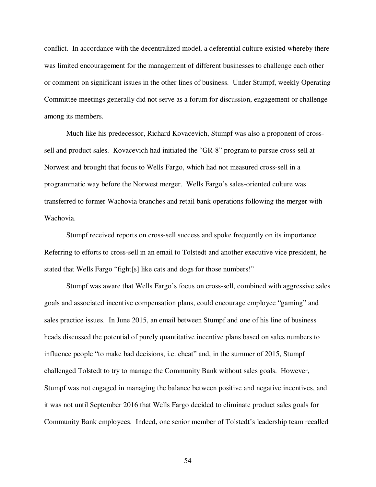conflict. In accordance with the decentralized model, a deferential culture existed whereby there was limited encouragement for the management of different businesses to challenge each other or comment on significant issues in the other lines of business. Under Stumpf, weekly Operating Committee meetings generally did not serve as a forum for discussion, engagement or challenge among its members.

Much like his predecessor, Richard Kovacevich, Stumpf was also a proponent of crosssell and product sales. Kovacevich had initiated the "GR-8" program to pursue cross-sell at Norwest and brought that focus to Wells Fargo, which had not measured cross-sell in a programmatic way before the Norwest merger. Wells Fargo's sales-oriented culture was transferred to former Wachovia branches and retail bank operations following the merger with Wachovia.

Stumpf received reports on cross-sell success and spoke frequently on its importance. Referring to efforts to cross-sell in an email to Tolstedt and another executive vice president, he stated that Wells Fargo "fight[s] like cats and dogs for those numbers!"

Stumpf was aware that Wells Fargo's focus on cross-sell, combined with aggressive sales goals and associated incentive compensation plans, could encourage employee "gaming" and sales practice issues. In June 2015, an email between Stumpf and one of his line of business heads discussed the potential of purely quantitative incentive plans based on sales numbers to influence people "to make bad decisions, i.e. cheat" and, in the summer of 2015, Stumpf challenged Tolstedt to try to manage the Community Bank without sales goals. However, Stumpf was not engaged in managing the balance between positive and negative incentives, and it was not until September 2016 that Wells Fargo decided to eliminate product sales goals for Community Bank employees. Indeed, one senior member of Tolstedt's leadership team recalled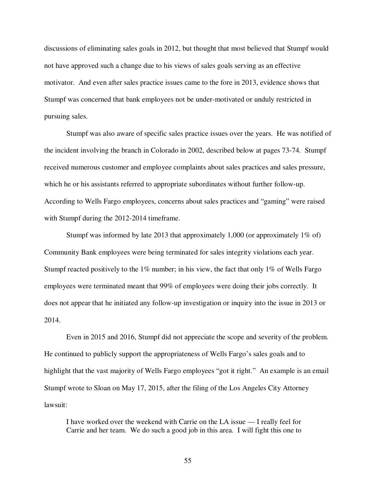discussions of eliminating sales goals in 2012, but thought that most believed that Stumpf would not have approved such a change due to his views of sales goals serving as an effective motivator. And even after sales practice issues came to the fore in 2013, evidence shows that Stumpf was concerned that bank employees not be under-motivated or unduly restricted in pursuing sales.

Stumpf was also aware of specific sales practice issues over the years. He was notified of the incident involving the branch in Colorado in 2002, described below at pages 73-74. Stumpf received numerous customer and employee complaints about sales practices and sales pressure, which he or his assistants referred to appropriate subordinates without further follow-up. According to Wells Fargo employees, concerns about sales practices and "gaming" were raised with Stumpf during the 2012-2014 timeframe.

Stumpf was informed by late 2013 that approximately 1,000 (or approximately 1% of) Community Bank employees were being terminated for sales integrity violations each year. Stumpf reacted positively to the  $1\%$  number; in his view, the fact that only  $1\%$  of Wells Fargo employees were terminated meant that 99% of employees were doing their jobs correctly. It does not appear that he initiated any follow-up investigation or inquiry into the issue in 2013 or 2014.

Even in 2015 and 2016, Stumpf did not appreciate the scope and severity of the problem. He continued to publicly support the appropriateness of Wells Fargo's sales goals and to highlight that the vast majority of Wells Fargo employees "got it right." An example is an email Stumpf wrote to Sloan on May 17, 2015, after the filing of the Los Angeles City Attorney lawsuit:

I have worked over the weekend with Carrie on the LA issue — I really feel for Carrie and her team. We do such a good job in this area. I will fight this one to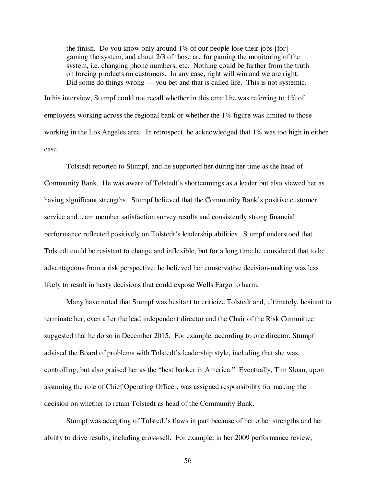the finish. Do you know only around  $1\%$  of our people lose their jobs [for] gaming the system, and about 2/3 of those are for gaming the monitoring of the system, i.e. changing phone numbers, etc. Nothing could be further from the truth on forcing products on customers. In any case, right will win and we are right. Did some do things wrong — you bet and that is called life. This is not systemic.

In his interview, Stumpf could not recall whether in this email he was referring to 1% of employees working across the regional bank or whether the 1% figure was limited to those working in the Los Angeles area. In retrospect, he acknowledged that 1% was too high in either case.

Tolstedt reported to Stumpf, and he supported her during her time as the head of Community Bank. He was aware of Tolstedt's shortcomings as a leader but also viewed her as having significant strengths. Stumpf believed that the Community Bank's positive customer service and team member satisfaction survey results and consistently strong financial performance reflected positively on Tolstedt's leadership abilities. Stumpf understood that Tolstedt could be resistant to change and inflexible, but for a long time he considered that to be advantageous from a risk perspective; he believed her conservative decision-making was less likely to result in hasty decisions that could expose Wells Fargo to harm.

Many have noted that Stumpf was hesitant to criticize Tolstedt and, ultimately, hesitant to terminate her, even after the lead independent director and the Chair of the Risk Committee suggested that he do so in December 2015. For example, according to one director, Stumpf advised the Board of problems with Tolstedt's leadership style, including that she was controlling, but also praised her as the "best banker in America." Eventually, Tim Sloan, upon assuming the role of Chief Operating Officer, was assigned responsibility for making the decision on whether to retain Tolstedt as head of the Community Bank.

Stumpf was accepting of Tolstedt's flaws in part because of her other strengths and her ability to drive results, including cross-sell. For example, in her 2009 performance review,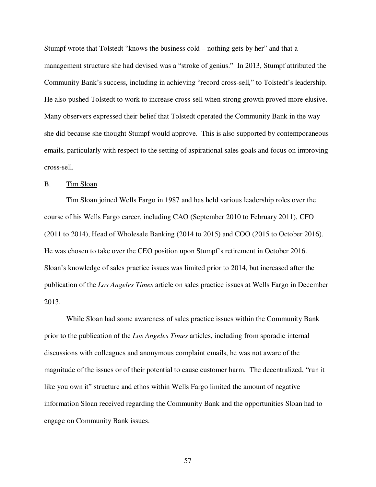Stumpf wrote that Tolstedt "knows the business cold – nothing gets by her" and that a management structure she had devised was a "stroke of genius." In 2013, Stumpf attributed the Community Bank's success, including in achieving "record cross-sell," to Tolstedt's leadership. He also pushed Tolstedt to work to increase cross-sell when strong growth proved more elusive. Many observers expressed their belief that Tolstedt operated the Community Bank in the way she did because she thought Stumpf would approve. This is also supported by contemporaneous emails, particularly with respect to the setting of aspirational sales goals and focus on improving cross-sell.

#### B. Tim Sloan

Tim Sloan joined Wells Fargo in 1987 and has held various leadership roles over the course of his Wells Fargo career, including CAO (September 2010 to February 2011), CFO (2011 to 2014), Head of Wholesale Banking (2014 to 2015) and COO (2015 to October 2016). He was chosen to take over the CEO position upon Stumpf's retirement in October 2016. Sloan's knowledge of sales practice issues was limited prior to 2014, but increased after the publication of the *Los Angeles Times* article on sales practice issues at Wells Fargo in December 2013.

While Sloan had some awareness of sales practice issues within the Community Bank prior to the publication of the *Los Angeles Times* articles, including from sporadic internal discussions with colleagues and anonymous complaint emails, he was not aware of the magnitude of the issues or of their potential to cause customer harm. The decentralized, "run it like you own it" structure and ethos within Wells Fargo limited the amount of negative information Sloan received regarding the Community Bank and the opportunities Sloan had to engage on Community Bank issues.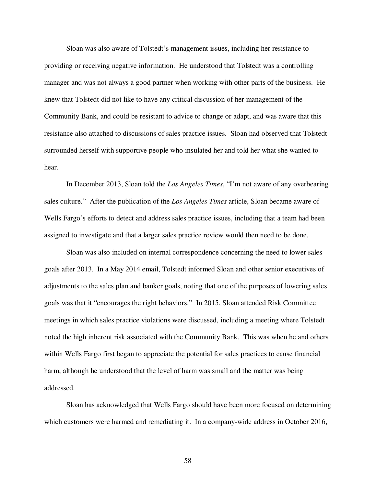Sloan was also aware of Tolstedt's management issues, including her resistance to providing or receiving negative information. He understood that Tolstedt was a controlling manager and was not always a good partner when working with other parts of the business. He knew that Tolstedt did not like to have any critical discussion of her management of the Community Bank, and could be resistant to advice to change or adapt, and was aware that this resistance also attached to discussions of sales practice issues. Sloan had observed that Tolstedt surrounded herself with supportive people who insulated her and told her what she wanted to hear.

In December 2013, Sloan told the *Los Angeles Times*, "I'm not aware of any overbearing sales culture." After the publication of the *Los Angeles Times* article, Sloan became aware of Wells Fargo's efforts to detect and address sales practice issues, including that a team had been assigned to investigate and that a larger sales practice review would then need to be done.

Sloan was also included on internal correspondence concerning the need to lower sales goals after 2013. In a May 2014 email, Tolstedt informed Sloan and other senior executives of adjustments to the sales plan and banker goals, noting that one of the purposes of lowering sales goals was that it "encourages the right behaviors." In 2015, Sloan attended Risk Committee meetings in which sales practice violations were discussed, including a meeting where Tolstedt noted the high inherent risk associated with the Community Bank. This was when he and others within Wells Fargo first began to appreciate the potential for sales practices to cause financial harm, although he understood that the level of harm was small and the matter was being addressed.

Sloan has acknowledged that Wells Fargo should have been more focused on determining which customers were harmed and remediating it. In a company-wide address in October 2016,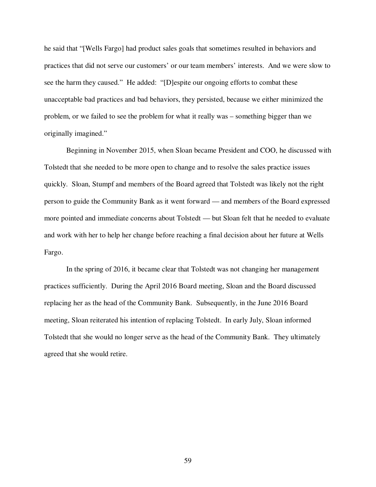he said that "[Wells Fargo] had product sales goals that sometimes resulted in behaviors and practices that did not serve our customers' or our team members' interests. And we were slow to see the harm they caused." He added: "[D]espite our ongoing efforts to combat these unacceptable bad practices and bad behaviors, they persisted, because we either minimized the problem, or we failed to see the problem for what it really was – something bigger than we originally imagined."

Beginning in November 2015, when Sloan became President and COO, he discussed with Tolstedt that she needed to be more open to change and to resolve the sales practice issues quickly. Sloan, Stumpf and members of the Board agreed that Tolstedt was likely not the right person to guide the Community Bank as it went forward — and members of the Board expressed more pointed and immediate concerns about Tolstedt — but Sloan felt that he needed to evaluate and work with her to help her change before reaching a final decision about her future at Wells Fargo.

In the spring of 2016, it became clear that Tolstedt was not changing her management practices sufficiently. During the April 2016 Board meeting, Sloan and the Board discussed replacing her as the head of the Community Bank. Subsequently, in the June 2016 Board meeting, Sloan reiterated his intention of replacing Tolstedt. In early July, Sloan informed Tolstedt that she would no longer serve as the head of the Community Bank. They ultimately agreed that she would retire.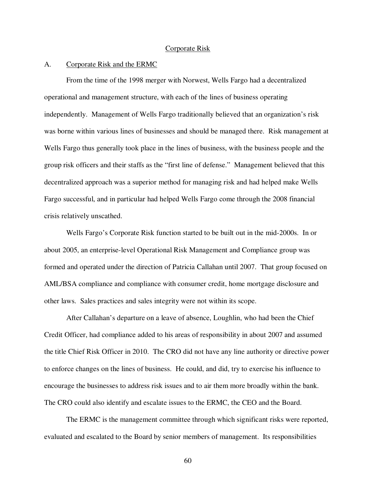#### Corporate Risk

#### A. Corporate Risk and the ERMC

From the time of the 1998 merger with Norwest, Wells Fargo had a decentralized operational and management structure, with each of the lines of business operating independently. Management of Wells Fargo traditionally believed that an organization's risk was borne within various lines of businesses and should be managed there. Risk management at Wells Fargo thus generally took place in the lines of business, with the business people and the group risk officers and their staffs as the "first line of defense." Management believed that this decentralized approach was a superior method for managing risk and had helped make Wells Fargo successful, and in particular had helped Wells Fargo come through the 2008 financial crisis relatively unscathed.

Wells Fargo's Corporate Risk function started to be built out in the mid-2000s. In or about 2005, an enterprise-level Operational Risk Management and Compliance group was formed and operated under the direction of Patricia Callahan until 2007. That group focused on AML/BSA compliance and compliance with consumer credit, home mortgage disclosure and other laws. Sales practices and sales integrity were not within its scope.

After Callahan's departure on a leave of absence, Loughlin, who had been the Chief Credit Officer, had compliance added to his areas of responsibility in about 2007 and assumed the title Chief Risk Officer in 2010. The CRO did not have any line authority or directive power to enforce changes on the lines of business. He could, and did, try to exercise his influence to encourage the businesses to address risk issues and to air them more broadly within the bank. The CRO could also identify and escalate issues to the ERMC, the CEO and the Board.

The ERMC is the management committee through which significant risks were reported, evaluated and escalated to the Board by senior members of management. Its responsibilities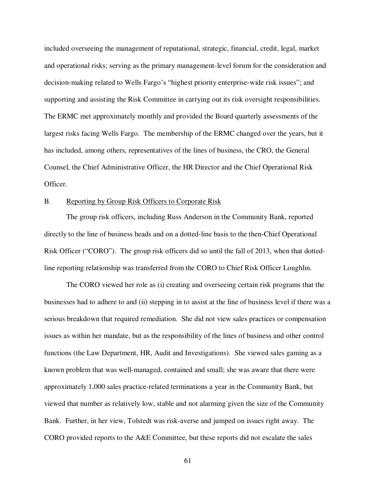included overseeing the management of reputational, strategic, financial, credit, legal, market and operational risks; serving as the primary management-level forum for the consideration and decision-making related to Wells Fargo's "highest priority enterprise-wide risk issues"; and supporting and assisting the Risk Committee in carrying out its risk oversight responsibilities. The ERMC met approximately monthly and provided the Board quarterly assessments of the largest risks facing Wells Fargo. The membership of the ERMC changed over the years, but it has included, among others, representatives of the lines of business, the CRO, the General Counsel, the Chief Administrative Officer, the HR Director and the Chief Operational Risk Officer.

#### B. Reporting by Group Risk Officers to Corporate Risk

The group risk officers, including Russ Anderson in the Community Bank, reported directly to the line of business heads and on a dotted-line basis to the then-Chief Operational Risk Officer ("CORO"). The group risk officers did so until the fall of 2013, when that dottedline reporting relationship was transferred from the CORO to Chief Risk Officer Loughlin.

The CORO viewed her role as (i) creating and overseeing certain risk programs that the businesses had to adhere to and (ii) stepping in to assist at the line of business level if there was a serious breakdown that required remediation. She did not view sales practices or compensation issues as within her mandate, but as the responsibility of the lines of business and other control functions (the Law Department, HR, Audit and Investigations). She viewed sales gaming as a known problem that was well-managed, contained and small; she was aware that there were approximately 1,000 sales practice-related terminations a year in the Community Bank, but viewed that number as relatively low, stable and not alarming given the size of the Community Bank. Further, in her view, Tolstedt was risk-averse and jumped on issues right away. The CORO provided reports to the A&E Committee, but these reports did not escalate the sales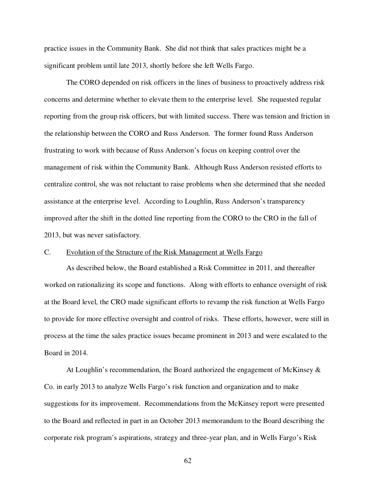practice issues in the Community Bank. She did not think that sales practices might be a significant problem until late 2013, shortly before she left Wells Fargo.

The CORO depended on risk officers in the lines of business to proactively address risk concerns and determine whether to elevate them to the enterprise level. She requested regular reporting from the group risk officers, but with limited success. There was tension and friction in the relationship between the CORO and Russ Anderson. The former found Russ Anderson frustrating to work with because of Russ Anderson's focus on keeping control over the management of risk within the Community Bank. Although Russ Anderson resisted efforts to centralize control, she was not reluctant to raise problems when she determined that she needed assistance at the enterprise level. According to Loughlin, Russ Anderson's transparency improved after the shift in the dotted line reporting from the CORO to the CRO in the fall of 2013, but was never satisfactory.

#### C. Evolution of the Structure of the Risk Management at Wells Fargo

As described below, the Board established a Risk Committee in 2011, and thereafter worked on rationalizing its scope and functions. Along with efforts to enhance oversight of risk at the Board level, the CRO made significant efforts to revamp the risk function at Wells Fargo to provide for more effective oversight and control of risks. These efforts, however, were still in process at the time the sales practice issues became prominent in 2013 and were escalated to the Board in 2014.

At Loughlin's recommendation, the Board authorized the engagement of McKinsey  $\&$ Co. in early 2013 to analyze Wells Fargo's risk function and organization and to make suggestions for its improvement. Recommendations from the McKinsey report were presented to the Board and reflected in part in an October 2013 memorandum to the Board describing the corporate risk program's aspirations, strategy and three-year plan, and in Wells Fargo's Risk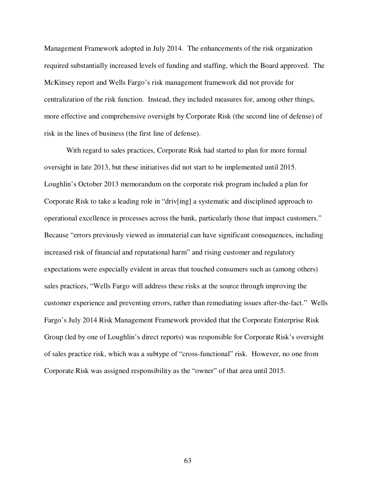Management Framework adopted in July 2014. The enhancements of the risk organization required substantially increased levels of funding and staffing, which the Board approved. The McKinsey report and Wells Fargo's risk management framework did not provide for centralization of the risk function. Instead, they included measures for, among other things, more effective and comprehensive oversight by Corporate Risk (the second line of defense) of risk in the lines of business (the first line of defense).

With regard to sales practices, Corporate Risk had started to plan for more formal oversight in late 2013, but these initiatives did not start to be implemented until 2015. Loughlin's October 2013 memorandum on the corporate risk program included a plan for Corporate Risk to take a leading role in "driv[ing] a systematic and disciplined approach to operational excellence in processes across the bank, particularly those that impact customers." Because "errors previously viewed as immaterial can have significant consequences, including increased risk of financial and reputational harm" and rising customer and regulatory expectations were especially evident in areas that touched consumers such as (among others) sales practices, "Wells Fargo will address these risks at the source through improving the customer experience and preventing errors, rather than remediating issues after-the-fact." Wells Fargo's July 2014 Risk Management Framework provided that the Corporate Enterprise Risk Group (led by one of Loughlin's direct reports) was responsible for Corporate Risk's oversight of sales practice risk, which was a subtype of "cross-functional" risk. However, no one from Corporate Risk was assigned responsibility as the "owner" of that area until 2015.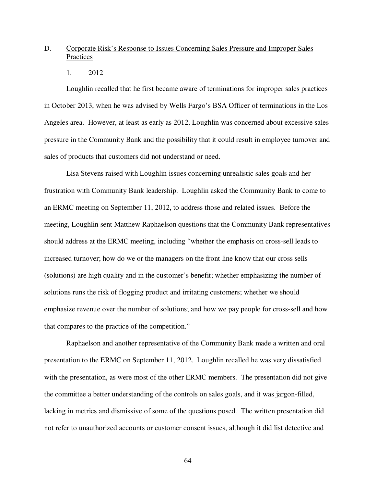# D. Corporate Risk's Response to Issues Concerning Sales Pressure and Improper Sales **Practices**

1. 2012

Loughlin recalled that he first became aware of terminations for improper sales practices in October 2013, when he was advised by Wells Fargo's BSA Officer of terminations in the Los Angeles area. However, at least as early as 2012, Loughlin was concerned about excessive sales pressure in the Community Bank and the possibility that it could result in employee turnover and sales of products that customers did not understand or need.

Lisa Stevens raised with Loughlin issues concerning unrealistic sales goals and her frustration with Community Bank leadership. Loughlin asked the Community Bank to come to an ERMC meeting on September 11, 2012, to address those and related issues. Before the meeting, Loughlin sent Matthew Raphaelson questions that the Community Bank representatives should address at the ERMC meeting, including "whether the emphasis on cross-sell leads to increased turnover; how do we or the managers on the front line know that our cross sells (solutions) are high quality and in the customer's benefit; whether emphasizing the number of solutions runs the risk of flogging product and irritating customers; whether we should emphasize revenue over the number of solutions; and how we pay people for cross-sell and how that compares to the practice of the competition."

Raphaelson and another representative of the Community Bank made a written and oral presentation to the ERMC on September 11, 2012. Loughlin recalled he was very dissatisfied with the presentation, as were most of the other ERMC members. The presentation did not give the committee a better understanding of the controls on sales goals, and it was jargon-filled, lacking in metrics and dismissive of some of the questions posed. The written presentation did not refer to unauthorized accounts or customer consent issues, although it did list detective and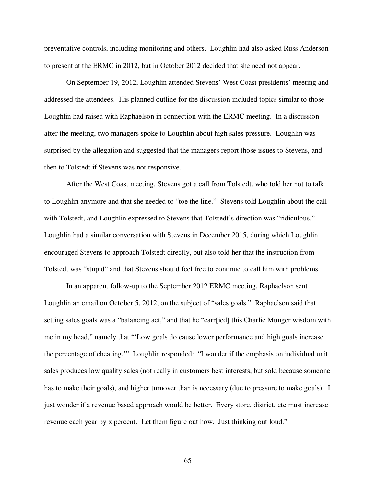preventative controls, including monitoring and others. Loughlin had also asked Russ Anderson to present at the ERMC in 2012, but in October 2012 decided that she need not appear.

On September 19, 2012, Loughlin attended Stevens' West Coast presidents' meeting and addressed the attendees. His planned outline for the discussion included topics similar to those Loughlin had raised with Raphaelson in connection with the ERMC meeting. In a discussion after the meeting, two managers spoke to Loughlin about high sales pressure. Loughlin was surprised by the allegation and suggested that the managers report those issues to Stevens, and then to Tolstedt if Stevens was not responsive.

After the West Coast meeting, Stevens got a call from Tolstedt, who told her not to talk to Loughlin anymore and that she needed to "toe the line." Stevens told Loughlin about the call with Tolstedt, and Loughlin expressed to Stevens that Tolstedt's direction was "ridiculous." Loughlin had a similar conversation with Stevens in December 2015, during which Loughlin encouraged Stevens to approach Tolstedt directly, but also told her that the instruction from Tolstedt was "stupid" and that Stevens should feel free to continue to call him with problems.

In an apparent follow-up to the September 2012 ERMC meeting, Raphaelson sent Loughlin an email on October 5, 2012, on the subject of "sales goals." Raphaelson said that setting sales goals was a "balancing act," and that he "carr[ied] this Charlie Munger wisdom with me in my head," namely that "'Low goals do cause lower performance and high goals increase the percentage of cheating.'" Loughlin responded: "I wonder if the emphasis on individual unit sales produces low quality sales (not really in customers best interests, but sold because someone has to make their goals), and higher turnover than is necessary (due to pressure to make goals). I just wonder if a revenue based approach would be better. Every store, district, etc must increase revenue each year by x percent. Let them figure out how. Just thinking out loud."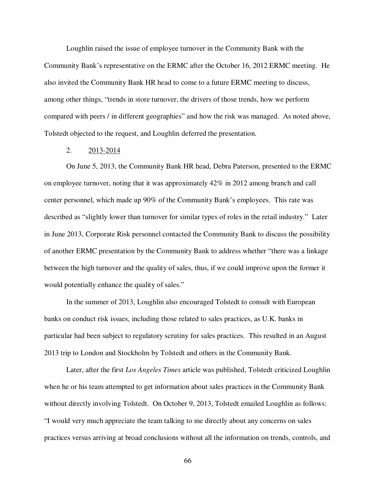Loughlin raised the issue of employee turnover in the Community Bank with the Community Bank's representative on the ERMC after the October 16, 2012 ERMC meeting. He also invited the Community Bank HR head to come to a future ERMC meeting to discuss, among other things, "trends in store turnover, the drivers of those trends, how we perform compared with peers / in different geographies" and how the risk was managed. As noted above, Tolstedt objected to the request, and Loughlin deferred the presentation.

# 2. 2013-2014

On June 5, 2013, the Community Bank HR head, Debra Paterson, presented to the ERMC on employee turnover, noting that it was approximately 42% in 2012 among branch and call center personnel, which made up 90% of the Community Bank's employees. This rate was described as "slightly lower than turnover for similar types of roles in the retail industry." Later in June 2013, Corporate Risk personnel contacted the Community Bank to discuss the possibility of another ERMC presentation by the Community Bank to address whether "there was a linkage between the high turnover and the quality of sales, thus, if we could improve upon the former it would potentially enhance the quality of sales."

In the summer of 2013, Loughlin also encouraged Tolstedt to consult with European banks on conduct risk issues, including those related to sales practices, as U.K. banks in particular had been subject to regulatory scrutiny for sales practices. This resulted in an August 2013 trip to London and Stockholm by Tolstedt and others in the Community Bank.

Later, after the first *Los Angeles Times* article was published, Tolstedt criticized Loughlin when he or his team attempted to get information about sales practices in the Community Bank without directly involving Tolstedt. On October 9, 2013, Tolstedt emailed Loughlin as follows: "I would very much appreciate the team talking to me directly about any concerns on sales practices versus arriving at broad conclusions without all the information on trends, controls, and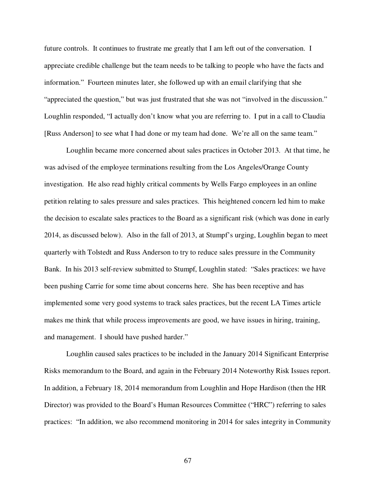future controls. It continues to frustrate me greatly that I am left out of the conversation. I appreciate credible challenge but the team needs to be talking to people who have the facts and information." Fourteen minutes later, she followed up with an email clarifying that she "appreciated the question," but was just frustrated that she was not "involved in the discussion." Loughlin responded, "I actually don't know what you are referring to. I put in a call to Claudia [Russ Anderson] to see what I had done or my team had done. We're all on the same team."

Loughlin became more concerned about sales practices in October 2013. At that time, he was advised of the employee terminations resulting from the Los Angeles/Orange County investigation. He also read highly critical comments by Wells Fargo employees in an online petition relating to sales pressure and sales practices. This heightened concern led him to make the decision to escalate sales practices to the Board as a significant risk (which was done in early 2014, as discussed below). Also in the fall of 2013, at Stumpf's urging, Loughlin began to meet quarterly with Tolstedt and Russ Anderson to try to reduce sales pressure in the Community Bank. In his 2013 self-review submitted to Stumpf, Loughlin stated: "Sales practices: we have been pushing Carrie for some time about concerns here. She has been receptive and has implemented some very good systems to track sales practices, but the recent LA Times article makes me think that while process improvements are good, we have issues in hiring, training, and management. I should have pushed harder."

Loughlin caused sales practices to be included in the January 2014 Significant Enterprise Risks memorandum to the Board, and again in the February 2014 Noteworthy Risk Issues report. In addition, a February 18, 2014 memorandum from Loughlin and Hope Hardison (then the HR Director) was provided to the Board's Human Resources Committee ("HRC") referring to sales practices: "In addition, we also recommend monitoring in 2014 for sales integrity in Community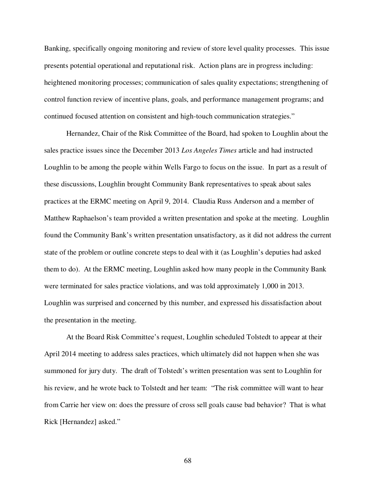Banking, specifically ongoing monitoring and review of store level quality processes. This issue presents potential operational and reputational risk. Action plans are in progress including: heightened monitoring processes; communication of sales quality expectations; strengthening of control function review of incentive plans, goals, and performance management programs; and continued focused attention on consistent and high-touch communication strategies."

Hernandez, Chair of the Risk Committee of the Board, had spoken to Loughlin about the sales practice issues since the December 2013 *Los Angeles Times* article and had instructed Loughlin to be among the people within Wells Fargo to focus on the issue. In part as a result of these discussions, Loughlin brought Community Bank representatives to speak about sales practices at the ERMC meeting on April 9, 2014. Claudia Russ Anderson and a member of Matthew Raphaelson's team provided a written presentation and spoke at the meeting. Loughlin found the Community Bank's written presentation unsatisfactory, as it did not address the current state of the problem or outline concrete steps to deal with it (as Loughlin's deputies had asked them to do). At the ERMC meeting, Loughlin asked how many people in the Community Bank were terminated for sales practice violations, and was told approximately 1,000 in 2013. Loughlin was surprised and concerned by this number, and expressed his dissatisfaction about the presentation in the meeting.

At the Board Risk Committee's request, Loughlin scheduled Tolstedt to appear at their April 2014 meeting to address sales practices, which ultimately did not happen when she was summoned for jury duty. The draft of Tolstedt's written presentation was sent to Loughlin for his review, and he wrote back to Tolstedt and her team: "The risk committee will want to hear from Carrie her view on: does the pressure of cross sell goals cause bad behavior? That is what Rick [Hernandez] asked."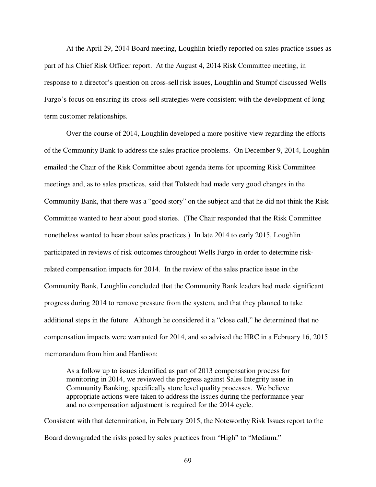At the April 29, 2014 Board meeting, Loughlin briefly reported on sales practice issues as part of his Chief Risk Officer report. At the August 4, 2014 Risk Committee meeting, in response to a director's question on cross-sell risk issues, Loughlin and Stumpf discussed Wells Fargo's focus on ensuring its cross-sell strategies were consistent with the development of longterm customer relationships.

Over the course of 2014, Loughlin developed a more positive view regarding the efforts of the Community Bank to address the sales practice problems. On December 9, 2014, Loughlin emailed the Chair of the Risk Committee about agenda items for upcoming Risk Committee meetings and, as to sales practices, said that Tolstedt had made very good changes in the Community Bank, that there was a "good story" on the subject and that he did not think the Risk Committee wanted to hear about good stories. (The Chair responded that the Risk Committee nonetheless wanted to hear about sales practices.) In late 2014 to early 2015, Loughlin participated in reviews of risk outcomes throughout Wells Fargo in order to determine riskrelated compensation impacts for 2014. In the review of the sales practice issue in the Community Bank, Loughlin concluded that the Community Bank leaders had made significant progress during 2014 to remove pressure from the system, and that they planned to take additional steps in the future. Although he considered it a "close call," he determined that no compensation impacts were warranted for 2014, and so advised the HRC in a February 16, 2015 memorandum from him and Hardison:

As a follow up to issues identified as part of 2013 compensation process for monitoring in 2014, we reviewed the progress against Sales Integrity issue in Community Banking, specifically store level quality processes. We believe appropriate actions were taken to address the issues during the performance year and no compensation adjustment is required for the 2014 cycle.

Consistent with that determination, in February 2015, the Noteworthy Risk Issues report to the Board downgraded the risks posed by sales practices from "High" to "Medium."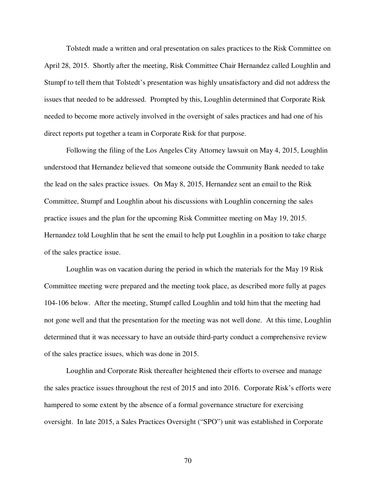Tolstedt made a written and oral presentation on sales practices to the Risk Committee on April 28, 2015. Shortly after the meeting, Risk Committee Chair Hernandez called Loughlin and Stumpf to tell them that Tolstedt's presentation was highly unsatisfactory and did not address the issues that needed to be addressed. Prompted by this, Loughlin determined that Corporate Risk needed to become more actively involved in the oversight of sales practices and had one of his direct reports put together a team in Corporate Risk for that purpose.

Following the filing of the Los Angeles City Attorney lawsuit on May 4, 2015, Loughlin understood that Hernandez believed that someone outside the Community Bank needed to take the lead on the sales practice issues. On May 8, 2015, Hernandez sent an email to the Risk Committee, Stumpf and Loughlin about his discussions with Loughlin concerning the sales practice issues and the plan for the upcoming Risk Committee meeting on May 19, 2015. Hernandez told Loughlin that he sent the email to help put Loughlin in a position to take charge of the sales practice issue.

Loughlin was on vacation during the period in which the materials for the May 19 Risk Committee meeting were prepared and the meeting took place, as described more fully at pages 104-106 below. After the meeting, Stumpf called Loughlin and told him that the meeting had not gone well and that the presentation for the meeting was not well done. At this time, Loughlin determined that it was necessary to have an outside third-party conduct a comprehensive review of the sales practice issues, which was done in 2015.

Loughlin and Corporate Risk thereafter heightened their efforts to oversee and manage the sales practice issues throughout the rest of 2015 and into 2016. Corporate Risk's efforts were hampered to some extent by the absence of a formal governance structure for exercising oversight. In late 2015, a Sales Practices Oversight ("SPO") unit was established in Corporate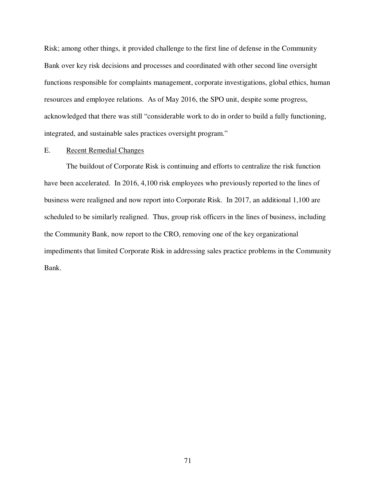Risk; among other things, it provided challenge to the first line of defense in the Community Bank over key risk decisions and processes and coordinated with other second line oversight functions responsible for complaints management, corporate investigations, global ethics, human resources and employee relations. As of May 2016, the SPO unit, despite some progress, acknowledged that there was still "considerable work to do in order to build a fully functioning, integrated, and sustainable sales practices oversight program."

# E. Recent Remedial Changes

The buildout of Corporate Risk is continuing and efforts to centralize the risk function have been accelerated. In 2016, 4,100 risk employees who previously reported to the lines of business were realigned and now report into Corporate Risk. In 2017, an additional 1,100 are scheduled to be similarly realigned. Thus, group risk officers in the lines of business, including the Community Bank, now report to the CRO, removing one of the key organizational impediments that limited Corporate Risk in addressing sales practice problems in the Community Bank.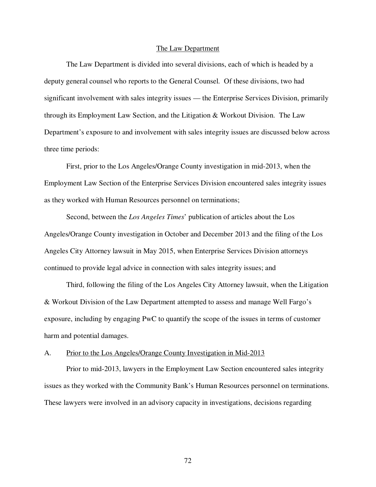#### The Law Department

The Law Department is divided into several divisions, each of which is headed by a deputy general counsel who reports to the General Counsel. Of these divisions, two had significant involvement with sales integrity issues — the Enterprise Services Division, primarily through its Employment Law Section, and the Litigation & Workout Division. The Law Department's exposure to and involvement with sales integrity issues are discussed below across three time periods:

First, prior to the Los Angeles/Orange County investigation in mid-2013, when the Employment Law Section of the Enterprise Services Division encountered sales integrity issues as they worked with Human Resources personnel on terminations;

Second, between the *Los Angeles Times*' publication of articles about the Los Angeles/Orange County investigation in October and December 2013 and the filing of the Los Angeles City Attorney lawsuit in May 2015, when Enterprise Services Division attorneys continued to provide legal advice in connection with sales integrity issues; and

Third, following the filing of the Los Angeles City Attorney lawsuit, when the Litigation & Workout Division of the Law Department attempted to assess and manage Well Fargo's exposure, including by engaging PwC to quantify the scope of the issues in terms of customer harm and potential damages.

# A. Prior to the Los Angeles/Orange County Investigation in Mid-2013

Prior to mid-2013, lawyers in the Employment Law Section encountered sales integrity issues as they worked with the Community Bank's Human Resources personnel on terminations. These lawyers were involved in an advisory capacity in investigations, decisions regarding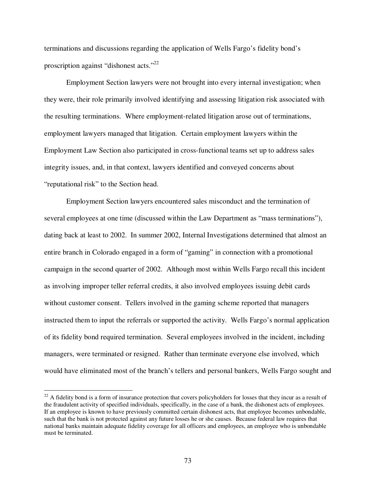terminations and discussions regarding the application of Wells Fargo's fidelity bond's proscription against "dishonest acts."<sup>22</sup>

Employment Section lawyers were not brought into every internal investigation; when they were, their role primarily involved identifying and assessing litigation risk associated with the resulting terminations. Where employment-related litigation arose out of terminations, employment lawyers managed that litigation. Certain employment lawyers within the Employment Law Section also participated in cross-functional teams set up to address sales integrity issues, and, in that context, lawyers identified and conveyed concerns about "reputational risk" to the Section head.

Employment Section lawyers encountered sales misconduct and the termination of several employees at one time (discussed within the Law Department as "mass terminations"), dating back at least to 2002. In summer 2002, Internal Investigations determined that almost an entire branch in Colorado engaged in a form of "gaming" in connection with a promotional campaign in the second quarter of 2002. Although most within Wells Fargo recall this incident as involving improper teller referral credits, it also involved employees issuing debit cards without customer consent. Tellers involved in the gaming scheme reported that managers instructed them to input the referrals or supported the activity. Wells Fargo's normal application of its fidelity bond required termination. Several employees involved in the incident, including managers, were terminated or resigned. Rather than terminate everyone else involved, which would have eliminated most of the branch's tellers and personal bankers, Wells Fargo sought and

 $\overline{a}$ 

 $2<sup>22</sup>$  A fidelity bond is a form of insurance protection that covers policyholders for losses that they incur as a result of the fraudulent activity of specified individuals, specifically, in the case of a bank, the dishonest acts of employees. If an employee is known to have previously committed certain dishonest acts, that employee becomes unbondable, such that the bank is not protected against any future losses he or she causes. Because federal law requires that national banks maintain adequate fidelity coverage for all officers and employees, an employee who is unbondable must be terminated.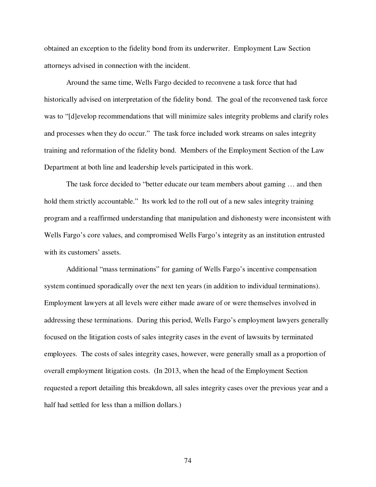obtained an exception to the fidelity bond from its underwriter. Employment Law Section attorneys advised in connection with the incident.

Around the same time, Wells Fargo decided to reconvene a task force that had historically advised on interpretation of the fidelity bond. The goal of the reconvened task force was to "[d]evelop recommendations that will minimize sales integrity problems and clarify roles and processes when they do occur." The task force included work streams on sales integrity training and reformation of the fidelity bond. Members of the Employment Section of the Law Department at both line and leadership levels participated in this work.

The task force decided to "better educate our team members about gaming … and then hold them strictly accountable." Its work led to the roll out of a new sales integrity training program and a reaffirmed understanding that manipulation and dishonesty were inconsistent with Wells Fargo's core values, and compromised Wells Fargo's integrity as an institution entrusted with its customers' assets.

Additional "mass terminations" for gaming of Wells Fargo's incentive compensation system continued sporadically over the next ten years (in addition to individual terminations). Employment lawyers at all levels were either made aware of or were themselves involved in addressing these terminations. During this period, Wells Fargo's employment lawyers generally focused on the litigation costs of sales integrity cases in the event of lawsuits by terminated employees. The costs of sales integrity cases, however, were generally small as a proportion of overall employment litigation costs. (In 2013, when the head of the Employment Section requested a report detailing this breakdown, all sales integrity cases over the previous year and a half had settled for less than a million dollars.)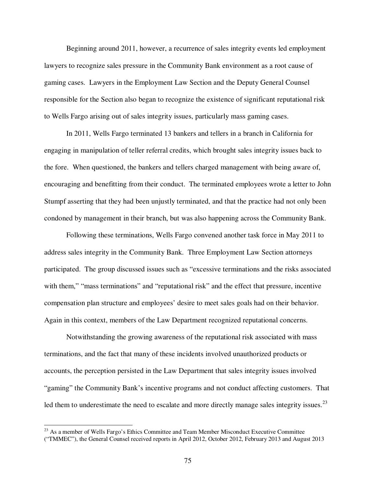Beginning around 2011, however, a recurrence of sales integrity events led employment lawyers to recognize sales pressure in the Community Bank environment as a root cause of gaming cases. Lawyers in the Employment Law Section and the Deputy General Counsel responsible for the Section also began to recognize the existence of significant reputational risk to Wells Fargo arising out of sales integrity issues, particularly mass gaming cases.

In 2011, Wells Fargo terminated 13 bankers and tellers in a branch in California for engaging in manipulation of teller referral credits, which brought sales integrity issues back to the fore. When questioned, the bankers and tellers charged management with being aware of, encouraging and benefitting from their conduct. The terminated employees wrote a letter to John Stumpf asserting that they had been unjustly terminated, and that the practice had not only been condoned by management in their branch, but was also happening across the Community Bank.

Following these terminations, Wells Fargo convened another task force in May 2011 to address sales integrity in the Community Bank. Three Employment Law Section attorneys participated. The group discussed issues such as "excessive terminations and the risks associated with them," "mass terminations" and "reputational risk" and the effect that pressure, incentive compensation plan structure and employees' desire to meet sales goals had on their behavior. Again in this context, members of the Law Department recognized reputational concerns.

Notwithstanding the growing awareness of the reputational risk associated with mass terminations, and the fact that many of these incidents involved unauthorized products or accounts, the perception persisted in the Law Department that sales integrity issues involved "gaming" the Community Bank's incentive programs and not conduct affecting customers. That led them to underestimate the need to escalate and more directly manage sales integrity issues.<sup>23</sup>

 $\overline{a}$ 

<sup>&</sup>lt;sup>23</sup> As a member of Wells Fargo's Ethics Committee and Team Member Misconduct Executive Committee ("TMMEC"), the General Counsel received reports in April 2012, October 2012, February 2013 and August 2013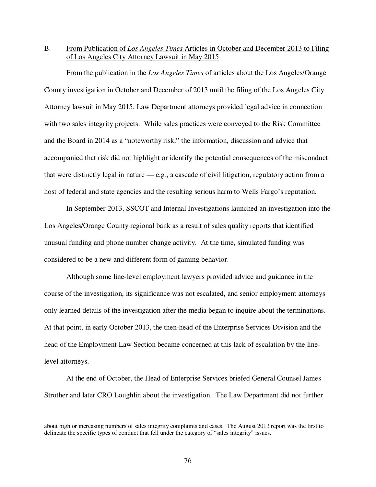# B. From Publication of *Los Angeles Times* Articles in October and December 2013 to Filing of Los Angeles City Attorney Lawsuit in May 2015

From the publication in the *Los Angeles Times* of articles about the Los Angeles/Orange County investigation in October and December of 2013 until the filing of the Los Angeles City Attorney lawsuit in May 2015, Law Department attorneys provided legal advice in connection with two sales integrity projects. While sales practices were conveyed to the Risk Committee and the Board in 2014 as a "noteworthy risk," the information, discussion and advice that accompanied that risk did not highlight or identify the potential consequences of the misconduct that were distinctly legal in nature — e.g*.*, a cascade of civil litigation, regulatory action from a host of federal and state agencies and the resulting serious harm to Wells Fargo's reputation.

In September 2013, SSCOT and Internal Investigations launched an investigation into the Los Angeles/Orange County regional bank as a result of sales quality reports that identified unusual funding and phone number change activity. At the time, simulated funding was considered to be a new and different form of gaming behavior.

Although some line-level employment lawyers provided advice and guidance in the course of the investigation, its significance was not escalated, and senior employment attorneys only learned details of the investigation after the media began to inquire about the terminations. At that point, in early October 2013, the then-head of the Enterprise Services Division and the head of the Employment Law Section became concerned at this lack of escalation by the linelevel attorneys.

At the end of October, the Head of Enterprise Services briefed General Counsel James Strother and later CRO Loughlin about the investigation. The Law Department did not further

-

about high or increasing numbers of sales integrity complaints and cases. The August 2013 report was the first to delineate the specific types of conduct that fell under the category of "sales integrity" issues.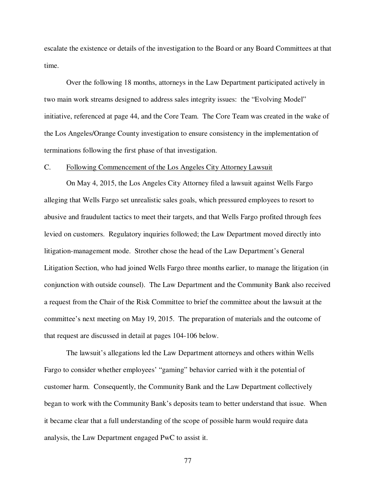escalate the existence or details of the investigation to the Board or any Board Committees at that time.

Over the following 18 months, attorneys in the Law Department participated actively in two main work streams designed to address sales integrity issues: the "Evolving Model" initiative, referenced at page 44, and the Core Team. The Core Team was created in the wake of the Los Angeles/Orange County investigation to ensure consistency in the implementation of terminations following the first phase of that investigation.

#### C. Following Commencement of the Los Angeles City Attorney Lawsuit

On May 4, 2015, the Los Angeles City Attorney filed a lawsuit against Wells Fargo alleging that Wells Fargo set unrealistic sales goals, which pressured employees to resort to abusive and fraudulent tactics to meet their targets, and that Wells Fargo profited through fees levied on customers. Regulatory inquiries followed; the Law Department moved directly into litigation-management mode. Strother chose the head of the Law Department's General Litigation Section, who had joined Wells Fargo three months earlier, to manage the litigation (in conjunction with outside counsel). The Law Department and the Community Bank also received a request from the Chair of the Risk Committee to brief the committee about the lawsuit at the committee's next meeting on May 19, 2015. The preparation of materials and the outcome of that request are discussed in detail at pages 104-106 below.

The lawsuit's allegations led the Law Department attorneys and others within Wells Fargo to consider whether employees' "gaming" behavior carried with it the potential of customer harm. Consequently, the Community Bank and the Law Department collectively began to work with the Community Bank's deposits team to better understand that issue. When it became clear that a full understanding of the scope of possible harm would require data analysis, the Law Department engaged PwC to assist it.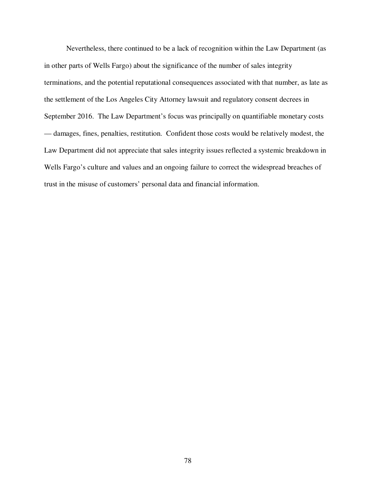Nevertheless, there continued to be a lack of recognition within the Law Department (as in other parts of Wells Fargo) about the significance of the number of sales integrity terminations, and the potential reputational consequences associated with that number, as late as the settlement of the Los Angeles City Attorney lawsuit and regulatory consent decrees in September 2016. The Law Department's focus was principally on quantifiable monetary costs — damages, fines, penalties, restitution. Confident those costs would be relatively modest, the Law Department did not appreciate that sales integrity issues reflected a systemic breakdown in Wells Fargo's culture and values and an ongoing failure to correct the widespread breaches of trust in the misuse of customers' personal data and financial information.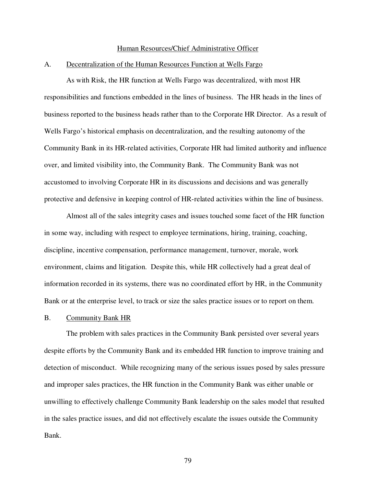#### Human Resources/Chief Administrative Officer

### A. Decentralization of the Human Resources Function at Wells Fargo

As with Risk, the HR function at Wells Fargo was decentralized, with most HR responsibilities and functions embedded in the lines of business. The HR heads in the lines of business reported to the business heads rather than to the Corporate HR Director. As a result of Wells Fargo's historical emphasis on decentralization, and the resulting autonomy of the Community Bank in its HR-related activities, Corporate HR had limited authority and influence over, and limited visibility into, the Community Bank. The Community Bank was not accustomed to involving Corporate HR in its discussions and decisions and was generally protective and defensive in keeping control of HR-related activities within the line of business.

Almost all of the sales integrity cases and issues touched some facet of the HR function in some way, including with respect to employee terminations, hiring, training, coaching, discipline, incentive compensation, performance management, turnover, morale, work environment, claims and litigation. Despite this, while HR collectively had a great deal of information recorded in its systems, there was no coordinated effort by HR, in the Community Bank or at the enterprise level, to track or size the sales practice issues or to report on them.

### B. Community Bank HR

The problem with sales practices in the Community Bank persisted over several years despite efforts by the Community Bank and its embedded HR function to improve training and detection of misconduct. While recognizing many of the serious issues posed by sales pressure and improper sales practices, the HR function in the Community Bank was either unable or unwilling to effectively challenge Community Bank leadership on the sales model that resulted in the sales practice issues, and did not effectively escalate the issues outside the Community Bank.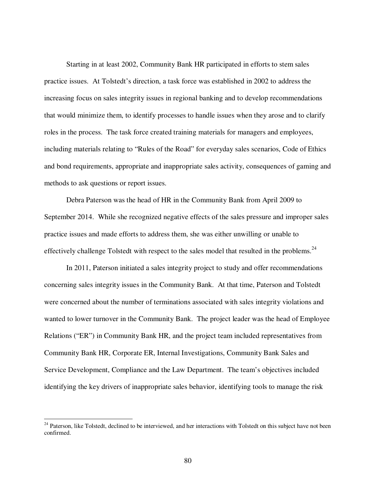Starting in at least 2002, Community Bank HR participated in efforts to stem sales practice issues. At Tolstedt's direction, a task force was established in 2002 to address the increasing focus on sales integrity issues in regional banking and to develop recommendations that would minimize them, to identify processes to handle issues when they arose and to clarify roles in the process. The task force created training materials for managers and employees, including materials relating to "Rules of the Road" for everyday sales scenarios, Code of Ethics and bond requirements, appropriate and inappropriate sales activity, consequences of gaming and methods to ask questions or report issues.

Debra Paterson was the head of HR in the Community Bank from April 2009 to September 2014. While she recognized negative effects of the sales pressure and improper sales practice issues and made efforts to address them, she was either unwilling or unable to effectively challenge Tolstedt with respect to the sales model that resulted in the problems.<sup>24</sup>

In 2011, Paterson initiated a sales integrity project to study and offer recommendations concerning sales integrity issues in the Community Bank. At that time, Paterson and Tolstedt were concerned about the number of terminations associated with sales integrity violations and wanted to lower turnover in the Community Bank. The project leader was the head of Employee Relations ("ER") in Community Bank HR, and the project team included representatives from Community Bank HR, Corporate ER, Internal Investigations, Community Bank Sales and Service Development, Compliance and the Law Department. The team's objectives included identifying the key drivers of inappropriate sales behavior, identifying tools to manage the risk

-

<sup>&</sup>lt;sup>24</sup> Paterson, like Tolstedt, declined to be interviewed, and her interactions with Tolstedt on this subject have not been confirmed.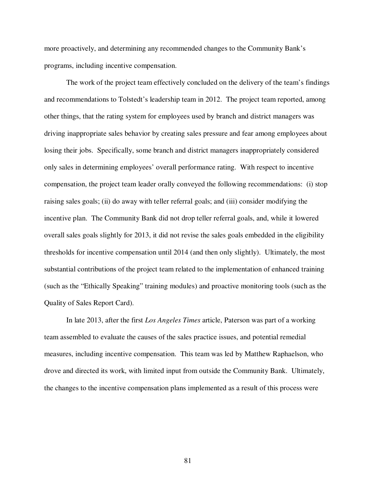more proactively, and determining any recommended changes to the Community Bank's programs, including incentive compensation.

The work of the project team effectively concluded on the delivery of the team's findings and recommendations to Tolstedt's leadership team in 2012. The project team reported, among other things, that the rating system for employees used by branch and district managers was driving inappropriate sales behavior by creating sales pressure and fear among employees about losing their jobs. Specifically, some branch and district managers inappropriately considered only sales in determining employees' overall performance rating. With respect to incentive compensation, the project team leader orally conveyed the following recommendations: (i) stop raising sales goals; (ii) do away with teller referral goals; and (iii) consider modifying the incentive plan. The Community Bank did not drop teller referral goals, and, while it lowered overall sales goals slightly for 2013, it did not revise the sales goals embedded in the eligibility thresholds for incentive compensation until 2014 (and then only slightly). Ultimately, the most substantial contributions of the project team related to the implementation of enhanced training (such as the "Ethically Speaking" training modules) and proactive monitoring tools (such as the Quality of Sales Report Card).

In late 2013, after the first *Los Angeles Times* article, Paterson was part of a working team assembled to evaluate the causes of the sales practice issues, and potential remedial measures, including incentive compensation. This team was led by Matthew Raphaelson, who drove and directed its work, with limited input from outside the Community Bank. Ultimately, the changes to the incentive compensation plans implemented as a result of this process were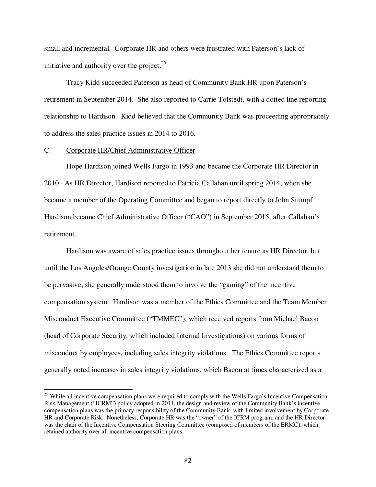small and incremental. Corporate HR and others were frustrated with Paterson's lack of initiative and authority over the project. $25$ 

Tracy Kidd succeeded Paterson as head of Community Bank HR upon Paterson's retirement in September 2014. She also reported to Carrie Tolstedt, with a dotted line reporting relationship to Hardison. Kidd believed that the Community Bank was proceeding appropriately to address the sales practice issues in 2014 to 2016.

### C. Corporate HR/Chief Administrative Officer

 $\overline{a}$ 

Hope Hardison joined Wells Fargo in 1993 and became the Corporate HR Director in 2010. As HR Director, Hardison reported to Patricia Callahan until spring 2014, when she became a member of the Operating Committee and began to report directly to John Stumpf. Hardison became Chief Administrative Officer ("CAO") in September 2015, after Callahan's retirement.

Hardison was aware of sales practice issues throughout her tenure as HR Director, but until the Los Angeles/Orange County investigation in late 2013 she did not understand them to be pervasive; she generally understood them to involve the "gaming" of the incentive compensation system. Hardison was a member of the Ethics Committee and the Team Member Misconduct Executive Committee ("TMMEC"), which received reports from Michael Bacon (head of Corporate Security, which included Internal Investigations) on various forms of misconduct by employees, including sales integrity violations. The Ethics Committee reports generally noted increases in sales integrity violations, which Bacon at times characterized as a

<sup>&</sup>lt;sup>25</sup> While all incentive compensation plans were required to comply with the Wells Fargo's Incentive Compensation Risk Management ("ICRM") policy adopted in 2011, the design and review of the Community Bank's incentive compensation plans was the primary responsibility of the Community Bank, with limited involvement by Corporate HR and Corporate Risk. Nonetheless, Corporate HR was the "owner" of the ICRM program, and the HR Director was the chair of the Incentive Compensation Steering Committee (composed of members of the ERMC), which retained authority over all incentive compensation plans.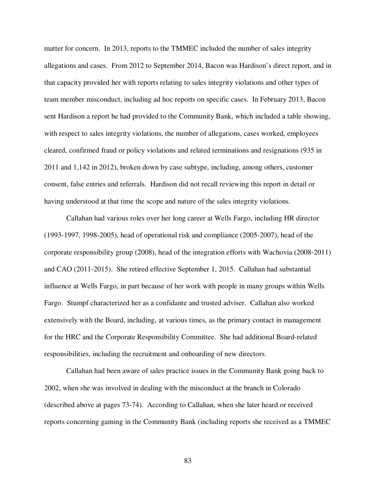matter for concern. In 2013, reports to the TMMEC included the number of sales integrity allegations and cases. From 2012 to September 2014, Bacon was Hardison's direct report, and in that capacity provided her with reports relating to sales integrity violations and other types of team member misconduct, including ad hoc reports on specific cases. In February 2013, Bacon sent Hardison a report he had provided to the Community Bank, which included a table showing, with respect to sales integrity violations, the number of allegations, cases worked, employees cleared, confirmed fraud or policy violations and related terminations and resignations (935 in 2011 and 1,142 in 2012), broken down by case subtype, including, among others, customer consent, false entries and referrals. Hardison did not recall reviewing this report in detail or having understood at that time the scope and nature of the sales integrity violations.

Callahan had various roles over her long career at Wells Fargo, including HR director (1993-1997, 1998-2005), head of operational risk and compliance (2005-2007), head of the corporate responsibility group (2008), head of the integration efforts with Wachovia (2008-2011) and CAO (2011-2015). She retired effective September 1, 2015. Callahan had substantial influence at Wells Fargo, in part because of her work with people in many groups within Wells Fargo. Stumpf characterized her as a confidante and trusted adviser. Callahan also worked extensively with the Board, including, at various times, as the primary contact in management for the HRC and the Corporate Responsibility Committee. She had additional Board-related responsibilities, including the recruitment and onboarding of new directors.

Callahan had been aware of sales practice issues in the Community Bank going back to 2002, when she was involved in dealing with the misconduct at the branch in Colorado (described above at pages 73-74). According to Callahan, when she later heard or received reports concerning gaming in the Community Bank (including reports she received as a TMMEC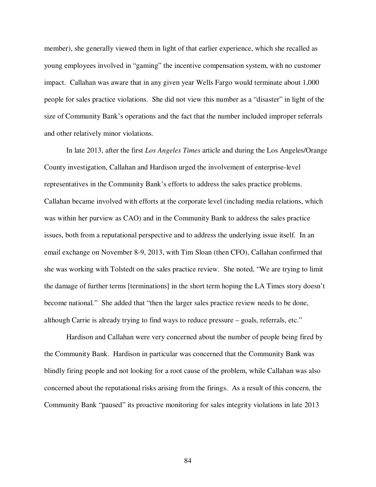member), she generally viewed them in light of that earlier experience, which she recalled as young employees involved in "gaming" the incentive compensation system, with no customer impact. Callahan was aware that in any given year Wells Fargo would terminate about 1,000 people for sales practice violations. She did not view this number as a "disaster" in light of the size of Community Bank's operations and the fact that the number included improper referrals and other relatively minor violations.

In late 2013, after the first *Los Angeles Times* article and during the Los Angeles/Orange County investigation, Callahan and Hardison urged the involvement of enterprise-level representatives in the Community Bank's efforts to address the sales practice problems. Callahan became involved with efforts at the corporate level (including media relations, which was within her purview as CAO) and in the Community Bank to address the sales practice issues, both from a reputational perspective and to address the underlying issue itself. In an email exchange on November 8-9, 2013, with Tim Sloan (then CFO), Callahan confirmed that she was working with Tolstedt on the sales practice review. She noted, "We are trying to limit the damage of further terms [terminations] in the short term hoping the LA Times story doesn't become national." She added that "then the larger sales practice review needs to be done, although Carrie is already trying to find ways to reduce pressure – goals, referrals, etc."

Hardison and Callahan were very concerned about the number of people being fired by the Community Bank. Hardison in particular was concerned that the Community Bank was blindly firing people and not looking for a root cause of the problem, while Callahan was also concerned about the reputational risks arising from the firings. As a result of this concern, the Community Bank "paused" its proactive monitoring for sales integrity violations in late 2013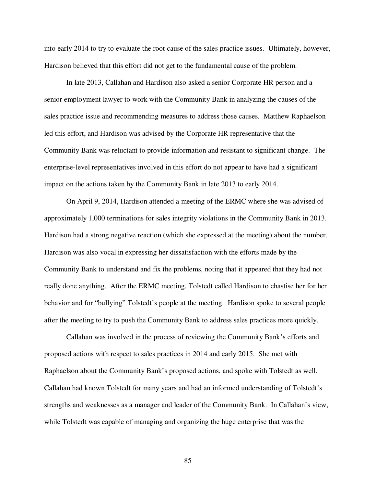into early 2014 to try to evaluate the root cause of the sales practice issues. Ultimately, however, Hardison believed that this effort did not get to the fundamental cause of the problem.

In late 2013, Callahan and Hardison also asked a senior Corporate HR person and a senior employment lawyer to work with the Community Bank in analyzing the causes of the sales practice issue and recommending measures to address those causes. Matthew Raphaelson led this effort, and Hardison was advised by the Corporate HR representative that the Community Bank was reluctant to provide information and resistant to significant change. The enterprise-level representatives involved in this effort do not appear to have had a significant impact on the actions taken by the Community Bank in late 2013 to early 2014.

On April 9, 2014, Hardison attended a meeting of the ERMC where she was advised of approximately 1,000 terminations for sales integrity violations in the Community Bank in 2013. Hardison had a strong negative reaction (which she expressed at the meeting) about the number. Hardison was also vocal in expressing her dissatisfaction with the efforts made by the Community Bank to understand and fix the problems, noting that it appeared that they had not really done anything. After the ERMC meeting, Tolstedt called Hardison to chastise her for her behavior and for "bullying" Tolstedt's people at the meeting. Hardison spoke to several people after the meeting to try to push the Community Bank to address sales practices more quickly.

Callahan was involved in the process of reviewing the Community Bank's efforts and proposed actions with respect to sales practices in 2014 and early 2015. She met with Raphaelson about the Community Bank's proposed actions, and spoke with Tolstedt as well. Callahan had known Tolstedt for many years and had an informed understanding of Tolstedt's strengths and weaknesses as a manager and leader of the Community Bank. In Callahan's view, while Tolstedt was capable of managing and organizing the huge enterprise that was the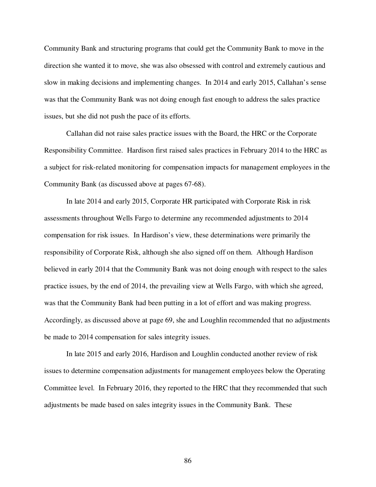Community Bank and structuring programs that could get the Community Bank to move in the direction she wanted it to move, she was also obsessed with control and extremely cautious and slow in making decisions and implementing changes. In 2014 and early 2015, Callahan's sense was that the Community Bank was not doing enough fast enough to address the sales practice issues, but she did not push the pace of its efforts.

Callahan did not raise sales practice issues with the Board, the HRC or the Corporate Responsibility Committee. Hardison first raised sales practices in February 2014 to the HRC as a subject for risk-related monitoring for compensation impacts for management employees in the Community Bank (as discussed above at pages 67-68).

In late 2014 and early 2015, Corporate HR participated with Corporate Risk in risk assessments throughout Wells Fargo to determine any recommended adjustments to 2014 compensation for risk issues. In Hardison's view, these determinations were primarily the responsibility of Corporate Risk, although she also signed off on them. Although Hardison believed in early 2014 that the Community Bank was not doing enough with respect to the sales practice issues, by the end of 2014, the prevailing view at Wells Fargo, with which she agreed, was that the Community Bank had been putting in a lot of effort and was making progress. Accordingly, as discussed above at page 69, she and Loughlin recommended that no adjustments be made to 2014 compensation for sales integrity issues.

In late 2015 and early 2016, Hardison and Loughlin conducted another review of risk issues to determine compensation adjustments for management employees below the Operating Committee level. In February 2016, they reported to the HRC that they recommended that such adjustments be made based on sales integrity issues in the Community Bank. These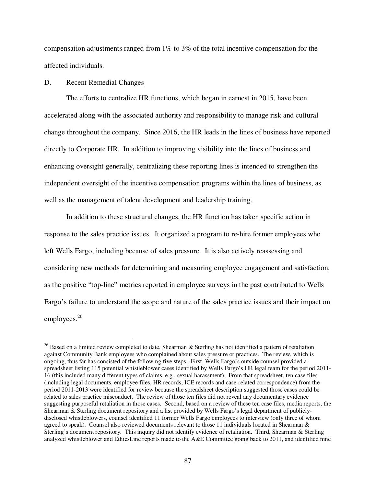compensation adjustments ranged from 1% to 3% of the total incentive compensation for the affected individuals.

# D. Recent Remedial Changes

 $\overline{a}$ 

The efforts to centralize HR functions, which began in earnest in 2015, have been accelerated along with the associated authority and responsibility to manage risk and cultural change throughout the company. Since 2016, the HR leads in the lines of business have reported directly to Corporate HR. In addition to improving visibility into the lines of business and enhancing oversight generally, centralizing these reporting lines is intended to strengthen the independent oversight of the incentive compensation programs within the lines of business, as well as the management of talent development and leadership training.

In addition to these structural changes, the HR function has taken specific action in response to the sales practice issues. It organized a program to re-hire former employees who left Wells Fargo, including because of sales pressure. It is also actively reassessing and considering new methods for determining and measuring employee engagement and satisfaction, as the positive "top-line" metrics reported in employee surveys in the past contributed to Wells Fargo's failure to understand the scope and nature of the sales practice issues and their impact on employees.<sup>26</sup>

 $26$  Based on a limited review completed to date, Shearman & Sterling has not identified a pattern of retaliation against Community Bank employees who complained about sales pressure or practices. The review, which is ongoing, thus far has consisted of the following five steps. First, Wells Fargo's outside counsel provided a spreadsheet listing 115 potential whistleblower cases identified by Wells Fargo's HR legal team for the period 2011- 16 (this included many different types of claims, e.g., sexual harassment). From that spreadsheet, ten case files (including legal documents, employee files, HR records, ICE records and case-related correspondence) from the period 2011-2013 were identified for review because the spreadsheet description suggested those cases could be related to sales practice misconduct. The review of those ten files did not reveal any documentary evidence suggesting purposeful retaliation in those cases. Second, based on a review of these ten case files, media reports, the Shearman & Sterling document repository and a list provided by Wells Fargo's legal department of publiclydisclosed whistleblowers, counsel identified 11 former Wells Fargo employees to interview (only three of whom agreed to speak). Counsel also reviewed documents relevant to those 11 individuals located in Shearman & Sterling's document repository. This inquiry did not identify evidence of retaliation. Third, Shearman & Sterling analyzed whistleblower and EthicsLine reports made to the A&E Committee going back to 2011, and identified nine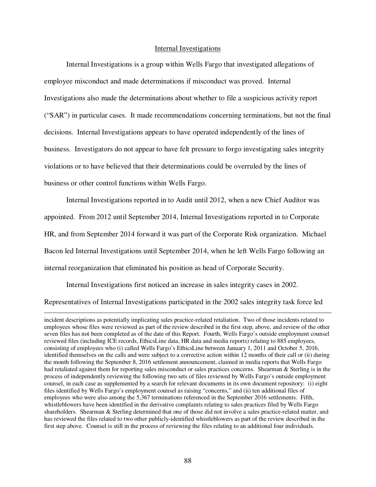#### Internal Investigations

Internal Investigations is a group within Wells Fargo that investigated allegations of employee misconduct and made determinations if misconduct was proved. Internal Investigations also made the determinations about whether to file a suspicious activity report ("SAR") in particular cases. It made recommendations concerning terminations, but not the final decisions. Internal Investigations appears to have operated independently of the lines of business. Investigators do not appear to have felt pressure to forgo investigating sales integrity violations or to have believed that their determinations could be overruled by the lines of business or other control functions within Wells Fargo.

Internal Investigations reported in to Audit until 2012, when a new Chief Auditor was appointed. From 2012 until September 2014, Internal Investigations reported in to Corporate HR, and from September 2014 forward it was part of the Corporate Risk organization. Michael Bacon led Internal Investigations until September 2014, when he left Wells Fargo following an internal reorganization that eliminated his position as head of Corporate Security.

Internal Investigations first noticed an increase in sales integrity cases in 2002.

 $\overline{a}$ 

Representatives of Internal Investigations participated in the 2002 sales integrity task force led

incident descriptions as potentially implicating sales practice-related retaliation. Two of those incidents related to employees whose files were reviewed as part of the review described in the first step, above, and review of the other seven files has not been completed as of the date of this Report. Fourth, Wells Fargo's outside employment counsel reviewed files (including ICE records, EthicsLine data, HR data and media reports) relating to 885 employees, consisting of employees who (i) called Wells Fargo's EthicsLine between January 1, 2011 and October 5, 2016, identified themselves on the calls and were subject to a corrective action within 12 months of their call or (ii) during the month following the September 8, 2016 settlement announcement, claimed in media reports that Wells Fargo had retaliated against them for reporting sales misconduct or sales practices concerns. Shearman & Sterling is in the process of independently reviewing the following two sets of files reviewed by Wells Fargo's outside employment counsel, in each case as supplemented by a search for relevant documents in its own document repository: (i) eight files identified by Wells Fargo's employment counsel as raising "concerns," and (ii) ten additional files of employees who were also among the 5,367 terminations referenced in the September 2016 settlements. Fifth, whistleblowers have been identified in the derivative complaints relating to sales practices filed by Wells Fargo shareholders. Shearman & Sterling determined that one of those did not involve a sales practice-related matter, and has reviewed the files related to two other publicly-identified whistleblowers as part of the review described in the first step above. Counsel is still in the process of reviewing the files relating to an additional four individuals.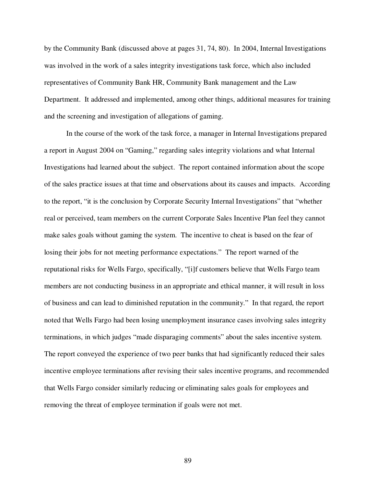by the Community Bank (discussed above at pages 31, 74, 80). In 2004, Internal Investigations was involved in the work of a sales integrity investigations task force, which also included representatives of Community Bank HR, Community Bank management and the Law Department. It addressed and implemented, among other things, additional measures for training and the screening and investigation of allegations of gaming.

In the course of the work of the task force, a manager in Internal Investigations prepared a report in August 2004 on "Gaming," regarding sales integrity violations and what Internal Investigations had learned about the subject. The report contained information about the scope of the sales practice issues at that time and observations about its causes and impacts. According to the report, "it is the conclusion by Corporate Security Internal Investigations" that "whether real or perceived, team members on the current Corporate Sales Incentive Plan feel they cannot make sales goals without gaming the system. The incentive to cheat is based on the fear of losing their jobs for not meeting performance expectations." The report warned of the reputational risks for Wells Fargo, specifically, "[i]f customers believe that Wells Fargo team members are not conducting business in an appropriate and ethical manner, it will result in loss of business and can lead to diminished reputation in the community." In that regard, the report noted that Wells Fargo had been losing unemployment insurance cases involving sales integrity terminations, in which judges "made disparaging comments" about the sales incentive system. The report conveyed the experience of two peer banks that had significantly reduced their sales incentive employee terminations after revising their sales incentive programs, and recommended that Wells Fargo consider similarly reducing or eliminating sales goals for employees and removing the threat of employee termination if goals were not met.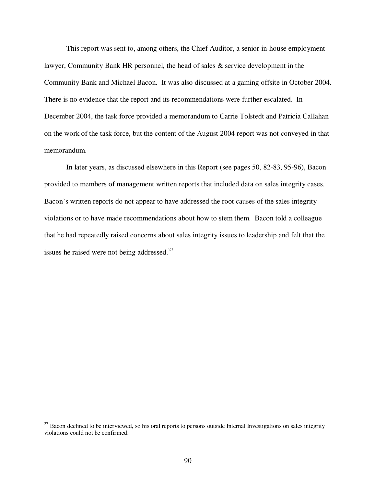This report was sent to, among others, the Chief Auditor, a senior in-house employment lawyer, Community Bank HR personnel, the head of sales & service development in the Community Bank and Michael Bacon. It was also discussed at a gaming offsite in October 2004. There is no evidence that the report and its recommendations were further escalated. In December 2004, the task force provided a memorandum to Carrie Tolstedt and Patricia Callahan on the work of the task force, but the content of the August 2004 report was not conveyed in that memorandum.

In later years, as discussed elsewhere in this Report (see pages 50, 82-83, 95-96), Bacon provided to members of management written reports that included data on sales integrity cases. Bacon's written reports do not appear to have addressed the root causes of the sales integrity violations or to have made recommendations about how to stem them. Bacon told a colleague that he had repeatedly raised concerns about sales integrity issues to leadership and felt that the issues he raised were not being addressed. $27$ 

 $\overline{a}$ 

 $27$  Bacon declined to be interviewed, so his oral reports to persons outside Internal Investigations on sales integrity violations could not be confirmed.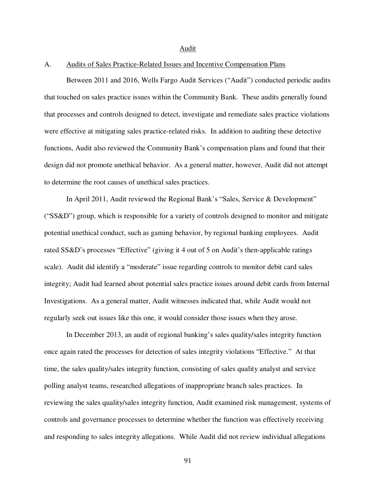#### Audit

# A. Audits of Sales Practice-Related Issues and Incentive Compensation Plans

Between 2011 and 2016, Wells Fargo Audit Services ("Audit") conducted periodic audits that touched on sales practice issues within the Community Bank. These audits generally found that processes and controls designed to detect, investigate and remediate sales practice violations were effective at mitigating sales practice-related risks. In addition to auditing these detective functions, Audit also reviewed the Community Bank's compensation plans and found that their design did not promote unethical behavior. As a general matter, however, Audit did not attempt to determine the root causes of unethical sales practices.

In April 2011, Audit reviewed the Regional Bank's "Sales, Service & Development" ("SS&D") group, which is responsible for a variety of controls designed to monitor and mitigate potential unethical conduct, such as gaming behavior, by regional banking employees. Audit rated SS&D's processes "Effective" (giving it 4 out of 5 on Audit's then-applicable ratings scale). Audit did identify a "moderate" issue regarding controls to monitor debit card sales integrity; Audit had learned about potential sales practice issues around debit cards from Internal Investigations. As a general matter, Audit witnesses indicated that, while Audit would not regularly seek out issues like this one, it would consider those issues when they arose.

In December 2013, an audit of regional banking's sales quality/sales integrity function once again rated the processes for detection of sales integrity violations "Effective." At that time, the sales quality/sales integrity function, consisting of sales quality analyst and service polling analyst teams, researched allegations of inappropriate branch sales practices. In reviewing the sales quality/sales integrity function, Audit examined risk management, systems of controls and governance processes to determine whether the function was effectively receiving and responding to sales integrity allegations. While Audit did not review individual allegations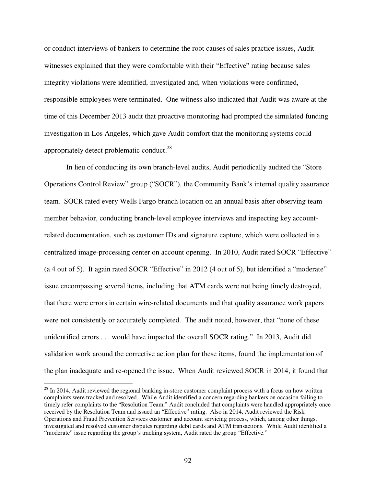or conduct interviews of bankers to determine the root causes of sales practice issues, Audit witnesses explained that they were comfortable with their "Effective" rating because sales integrity violations were identified, investigated and, when violations were confirmed, responsible employees were terminated. One witness also indicated that Audit was aware at the time of this December 2013 audit that proactive monitoring had prompted the simulated funding investigation in Los Angeles, which gave Audit comfort that the monitoring systems could appropriately detect problematic conduct.<sup>28</sup>

In lieu of conducting its own branch-level audits, Audit periodically audited the "Store Operations Control Review" group ("SOCR"), the Community Bank's internal quality assurance team. SOCR rated every Wells Fargo branch location on an annual basis after observing team member behavior, conducting branch-level employee interviews and inspecting key accountrelated documentation, such as customer IDs and signature capture, which were collected in a centralized image-processing center on account opening. In 2010, Audit rated SOCR "Effective" (a 4 out of 5). It again rated SOCR "Effective" in 2012 (4 out of 5), but identified a "moderate" issue encompassing several items, including that ATM cards were not being timely destroyed, that there were errors in certain wire-related documents and that quality assurance work papers were not consistently or accurately completed. The audit noted, however, that "none of these unidentified errors . . . would have impacted the overall SOCR rating." In 2013, Audit did validation work around the corrective action plan for these items, found the implementation of the plan inadequate and re-opened the issue. When Audit reviewed SOCR in 2014, it found that

<u>.</u>

 $2<sup>28</sup>$  In 2014, Audit reviewed the regional banking in-store customer complaint process with a focus on how written complaints were tracked and resolved. While Audit identified a concern regarding bankers on occasion failing to timely refer complaints to the "Resolution Team," Audit concluded that complaints were handled appropriately once received by the Resolution Team and issued an "Effective" rating. Also in 2014, Audit reviewed the Risk Operations and Fraud Prevention Services customer and account servicing process, which, among other things, investigated and resolved customer disputes regarding debit cards and ATM transactions. While Audit identified a "moderate" issue regarding the group's tracking system, Audit rated the group "Effective."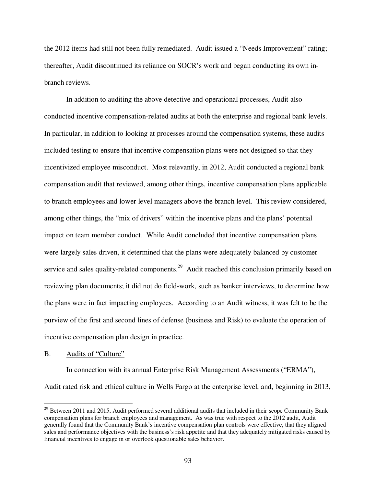the 2012 items had still not been fully remediated. Audit issued a "Needs Improvement" rating; thereafter, Audit discontinued its reliance on SOCR's work and began conducting its own inbranch reviews.

In addition to auditing the above detective and operational processes, Audit also conducted incentive compensation-related audits at both the enterprise and regional bank levels. In particular, in addition to looking at processes around the compensation systems, these audits included testing to ensure that incentive compensation plans were not designed so that they incentivized employee misconduct. Most relevantly, in 2012, Audit conducted a regional bank compensation audit that reviewed, among other things, incentive compensation plans applicable to branch employees and lower level managers above the branch level. This review considered, among other things, the "mix of drivers" within the incentive plans and the plans' potential impact on team member conduct. While Audit concluded that incentive compensation plans were largely sales driven, it determined that the plans were adequately balanced by customer service and sales quality-related components.<sup>29</sup> Audit reached this conclusion primarily based on reviewing plan documents; it did not do field-work, such as banker interviews, to determine how the plans were in fact impacting employees. According to an Audit witness, it was felt to be the purview of the first and second lines of defense (business and Risk) to evaluate the operation of incentive compensation plan design in practice.

#### B. Audits of "Culture"

 $\overline{a}$ 

In connection with its annual Enterprise Risk Management Assessments ("ERMA"), Audit rated risk and ethical culture in Wells Fargo at the enterprise level, and, beginning in 2013,

 $29$  Between 2011 and 2015, Audit performed several additional audits that included in their scope Community Bank compensation plans for branch employees and management. As was true with respect to the 2012 audit, Audit generally found that the Community Bank's incentive compensation plan controls were effective, that they aligned sales and performance objectives with the business's risk appetite and that they adequately mitigated risks caused by financial incentives to engage in or overlook questionable sales behavior.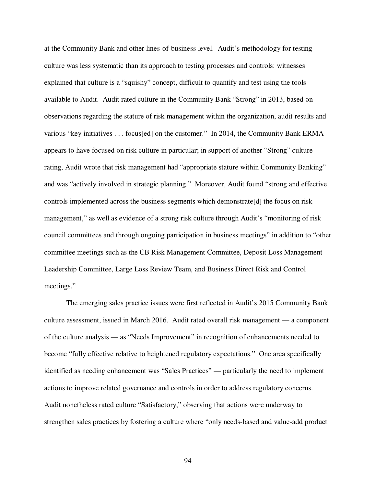at the Community Bank and other lines-of-business level. Audit's methodology for testing culture was less systematic than its approach to testing processes and controls: witnesses explained that culture is a "squishy" concept, difficult to quantify and test using the tools available to Audit. Audit rated culture in the Community Bank "Strong" in 2013, based on observations regarding the stature of risk management within the organization, audit results and various "key initiatives . . . focus[ed] on the customer." In 2014, the Community Bank ERMA appears to have focused on risk culture in particular; in support of another "Strong" culture rating, Audit wrote that risk management had "appropriate stature within Community Banking" and was "actively involved in strategic planning." Moreover, Audit found "strong and effective controls implemented across the business segments which demonstrate[d] the focus on risk management," as well as evidence of a strong risk culture through Audit's "monitoring of risk council committees and through ongoing participation in business meetings" in addition to "other committee meetings such as the CB Risk Management Committee, Deposit Loss Management Leadership Committee, Large Loss Review Team, and Business Direct Risk and Control meetings."

The emerging sales practice issues were first reflected in Audit's 2015 Community Bank culture assessment, issued in March 2016. Audit rated overall risk management — a component of the culture analysis — as "Needs Improvement" in recognition of enhancements needed to become "fully effective relative to heightened regulatory expectations." One area specifically identified as needing enhancement was "Sales Practices" — particularly the need to implement actions to improve related governance and controls in order to address regulatory concerns. Audit nonetheless rated culture "Satisfactory," observing that actions were underway to strengthen sales practices by fostering a culture where "only needs-based and value-add product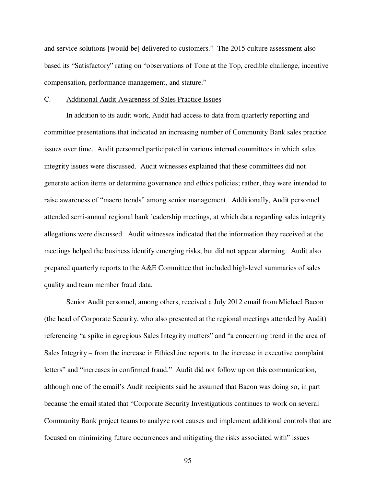and service solutions [would be] delivered to customers." The 2015 culture assessment also based its "Satisfactory" rating on "observations of Tone at the Top, credible challenge, incentive compensation, performance management, and stature."

#### C. Additional Audit Awareness of Sales Practice Issues

In addition to its audit work, Audit had access to data from quarterly reporting and committee presentations that indicated an increasing number of Community Bank sales practice issues over time. Audit personnel participated in various internal committees in which sales integrity issues were discussed. Audit witnesses explained that these committees did not generate action items or determine governance and ethics policies; rather, they were intended to raise awareness of "macro trends" among senior management. Additionally, Audit personnel attended semi-annual regional bank leadership meetings, at which data regarding sales integrity allegations were discussed. Audit witnesses indicated that the information they received at the meetings helped the business identify emerging risks, but did not appear alarming. Audit also prepared quarterly reports to the A&E Committee that included high-level summaries of sales quality and team member fraud data.

Senior Audit personnel, among others, received a July 2012 email from Michael Bacon (the head of Corporate Security, who also presented at the regional meetings attended by Audit) referencing "a spike in egregious Sales Integrity matters" and "a concerning trend in the area of Sales Integrity – from the increase in EthicsLine reports, to the increase in executive complaint letters" and "increases in confirmed fraud." Audit did not follow up on this communication, although one of the email's Audit recipients said he assumed that Bacon was doing so, in part because the email stated that "Corporate Security Investigations continues to work on several Community Bank project teams to analyze root causes and implement additional controls that are focused on minimizing future occurrences and mitigating the risks associated with" issues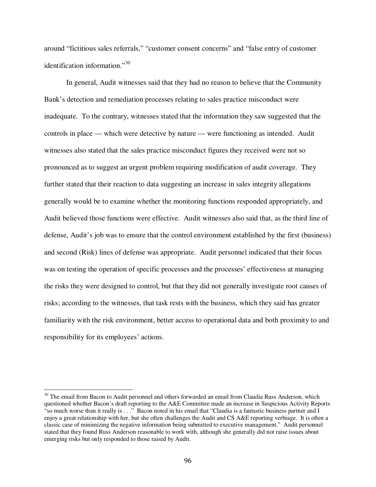around "fictitious sales referrals," "customer consent concerns" and "false entry of customer identification information."<sup>30</sup>

In general, Audit witnesses said that they had no reason to believe that the Community Bank's detection and remediation processes relating to sales practice misconduct were inadequate. To the contrary, witnesses stated that the information they saw suggested that the controls in place — which were detective by nature — were functioning as intended. Audit witnesses also stated that the sales practice misconduct figures they received were not so pronounced as to suggest an urgent problem requiring modification of audit coverage. They further stated that their reaction to data suggesting an increase in sales integrity allegations generally would be to examine whether the monitoring functions responded appropriately, and Audit believed those functions were effective. Audit witnesses also said that, as the third line of defense, Audit's job was to ensure that the control environment established by the first (business) and second (Risk) lines of defense was appropriate. Audit personnel indicated that their focus was on testing the operation of specific processes and the processes' effectiveness at managing the risks they were designed to control, but that they did not generally investigate root causes of risks; according to the witnesses, that task rests with the business, which they said has greater familiarity with the risk environment, better access to operational data and both proximity to and responsibility for its employees' actions.

<u>.</u>

<sup>&</sup>lt;sup>30</sup> The email from Bacon to Audit personnel and others forwarded an email from Claudia Russ Anderson, which questioned whether Bacon's draft reporting to the A&E Committee made an increase in Suspicious Activity Reports "so much worse than it really is . . ." Bacon noted in his email that "Claudia is a fantastic business partner and I enjoy a great relationship with her, but she often challenges the Audit and CS A&E reporting verbiage. It is often a classic case of minimizing the negative information being submitted to executive management." Audit personnel stated that they found Russ Anderson reasonable to work with, although she generally did not raise issues about emerging risks but only responded to those raised by Audit.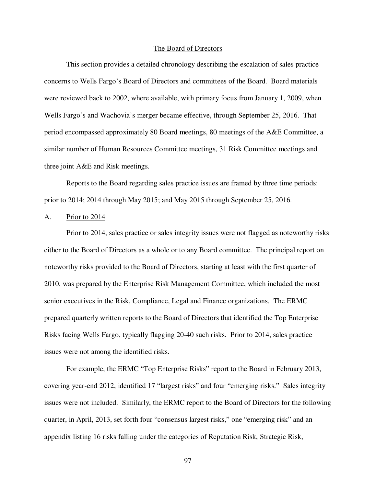#### The Board of Directors

This section provides a detailed chronology describing the escalation of sales practice concerns to Wells Fargo's Board of Directors and committees of the Board. Board materials were reviewed back to 2002, where available, with primary focus from January 1, 2009, when Wells Fargo's and Wachovia's merger became effective, through September 25, 2016. That period encompassed approximately 80 Board meetings, 80 meetings of the A&E Committee, a similar number of Human Resources Committee meetings, 31 Risk Committee meetings and three joint A&E and Risk meetings.

Reports to the Board regarding sales practice issues are framed by three time periods: prior to 2014; 2014 through May 2015; and May 2015 through September 25, 2016.

# A. Prior to 2014

Prior to 2014, sales practice or sales integrity issues were not flagged as noteworthy risks either to the Board of Directors as a whole or to any Board committee. The principal report on noteworthy risks provided to the Board of Directors, starting at least with the first quarter of 2010, was prepared by the Enterprise Risk Management Committee, which included the most senior executives in the Risk, Compliance, Legal and Finance organizations. The ERMC prepared quarterly written reports to the Board of Directors that identified the Top Enterprise Risks facing Wells Fargo, typically flagging 20-40 such risks. Prior to 2014, sales practice issues were not among the identified risks.

For example, the ERMC "Top Enterprise Risks" report to the Board in February 2013, covering year-end 2012, identified 17 "largest risks" and four "emerging risks." Sales integrity issues were not included. Similarly, the ERMC report to the Board of Directors for the following quarter, in April, 2013, set forth four "consensus largest risks," one "emerging risk" and an appendix listing 16 risks falling under the categories of Reputation Risk, Strategic Risk,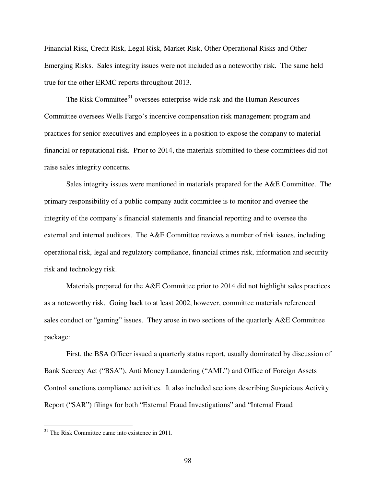Financial Risk, Credit Risk, Legal Risk, Market Risk, Other Operational Risks and Other Emerging Risks. Sales integrity issues were not included as a noteworthy risk. The same held true for the other ERMC reports throughout 2013.

The Risk Committee<sup>31</sup> oversees enterprise-wide risk and the Human Resources Committee oversees Wells Fargo's incentive compensation risk management program and practices for senior executives and employees in a position to expose the company to material financial or reputational risk. Prior to 2014, the materials submitted to these committees did not raise sales integrity concerns.

Sales integrity issues were mentioned in materials prepared for the A&E Committee. The primary responsibility of a public company audit committee is to monitor and oversee the integrity of the company's financial statements and financial reporting and to oversee the external and internal auditors. The A&E Committee reviews a number of risk issues, including operational risk, legal and regulatory compliance, financial crimes risk, information and security risk and technology risk.

Materials prepared for the A&E Committee prior to 2014 did not highlight sales practices as a noteworthy risk. Going back to at least 2002, however, committee materials referenced sales conduct or "gaming" issues. They arose in two sections of the quarterly A&E Committee package:

First, the BSA Officer issued a quarterly status report, usually dominated by discussion of Bank Secrecy Act ("BSA"), Anti Money Laundering ("AML") and Office of Foreign Assets Control sanctions compliance activities. It also included sections describing Suspicious Activity Report ("SAR") filings for both "External Fraud Investigations" and "Internal Fraud

 $\overline{a}$ 

 $31$  The Risk Committee came into existence in 2011.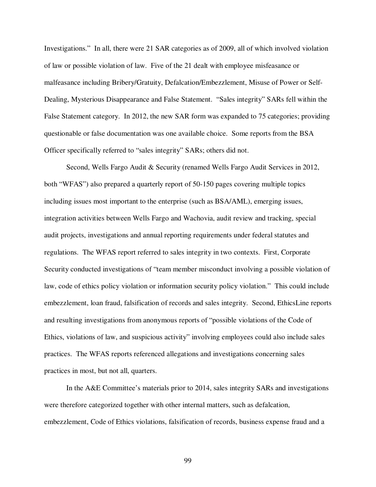Investigations." In all, there were 21 SAR categories as of 2009, all of which involved violation of law or possible violation of law. Five of the 21 dealt with employee misfeasance or malfeasance including Bribery/Gratuity, Defalcation/Embezzlement, Misuse of Power or Self-Dealing, Mysterious Disappearance and False Statement. "Sales integrity" SARs fell within the False Statement category. In 2012, the new SAR form was expanded to 75 categories; providing questionable or false documentation was one available choice. Some reports from the BSA Officer specifically referred to "sales integrity" SARs; others did not.

Second, Wells Fargo Audit & Security (renamed Wells Fargo Audit Services in 2012, both "WFAS") also prepared a quarterly report of 50-150 pages covering multiple topics including issues most important to the enterprise (such as BSA/AML), emerging issues, integration activities between Wells Fargo and Wachovia, audit review and tracking, special audit projects, investigations and annual reporting requirements under federal statutes and regulations. The WFAS report referred to sales integrity in two contexts. First, Corporate Security conducted investigations of "team member misconduct involving a possible violation of law, code of ethics policy violation or information security policy violation." This could include embezzlement, loan fraud, falsification of records and sales integrity. Second, EthicsLine reports and resulting investigations from anonymous reports of "possible violations of the Code of Ethics, violations of law, and suspicious activity" involving employees could also include sales practices. The WFAS reports referenced allegations and investigations concerning sales practices in most, but not all, quarters.

In the A&E Committee's materials prior to 2014, sales integrity SARs and investigations were therefore categorized together with other internal matters, such as defalcation, embezzlement, Code of Ethics violations, falsification of records, business expense fraud and a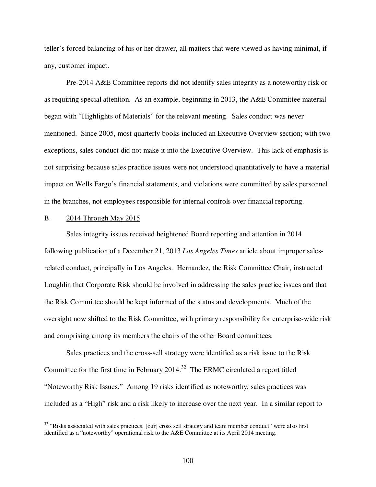teller's forced balancing of his or her drawer, all matters that were viewed as having minimal, if any, customer impact.

Pre-2014 A&E Committee reports did not identify sales integrity as a noteworthy risk or as requiring special attention. As an example, beginning in 2013, the A&E Committee material began with "Highlights of Materials" for the relevant meeting. Sales conduct was never mentioned. Since 2005, most quarterly books included an Executive Overview section; with two exceptions, sales conduct did not make it into the Executive Overview. This lack of emphasis is not surprising because sales practice issues were not understood quantitatively to have a material impact on Wells Fargo's financial statements, and violations were committed by sales personnel in the branches, not employees responsible for internal controls over financial reporting.

# B. 2014 Through May 2015

 $\overline{a}$ 

Sales integrity issues received heightened Board reporting and attention in 2014 following publication of a December 21, 2013 *Los Angeles Times* article about improper salesrelated conduct, principally in Los Angeles. Hernandez, the Risk Committee Chair, instructed Loughlin that Corporate Risk should be involved in addressing the sales practice issues and that the Risk Committee should be kept informed of the status and developments. Much of the oversight now shifted to the Risk Committee, with primary responsibility for enterprise-wide risk and comprising among its members the chairs of the other Board committees.

Sales practices and the cross-sell strategy were identified as a risk issue to the Risk Committee for the first time in February  $2014$ <sup>32</sup> The ERMC circulated a report titled "Noteworthy Risk Issues." Among 19 risks identified as noteworthy, sales practices was included as a "High" risk and a risk likely to increase over the next year. In a similar report to

<sup>&</sup>lt;sup>32</sup> "Risks associated with sales practices, [our] cross sell strategy and team member conduct" were also first identified as a "noteworthy" operational risk to the A&E Committee at its April 2014 meeting.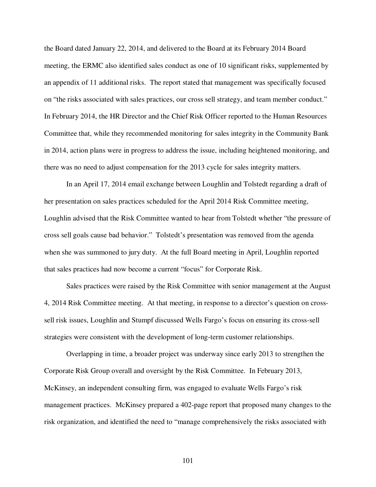the Board dated January 22, 2014, and delivered to the Board at its February 2014 Board meeting, the ERMC also identified sales conduct as one of 10 significant risks, supplemented by an appendix of 11 additional risks. The report stated that management was specifically focused on "the risks associated with sales practices, our cross sell strategy, and team member conduct." In February 2014, the HR Director and the Chief Risk Officer reported to the Human Resources Committee that, while they recommended monitoring for sales integrity in the Community Bank in 2014, action plans were in progress to address the issue, including heightened monitoring, and there was no need to adjust compensation for the 2013 cycle for sales integrity matters.

In an April 17, 2014 email exchange between Loughlin and Tolstedt regarding a draft of her presentation on sales practices scheduled for the April 2014 Risk Committee meeting, Loughlin advised that the Risk Committee wanted to hear from Tolstedt whether "the pressure of cross sell goals cause bad behavior." Tolstedt's presentation was removed from the agenda when she was summoned to jury duty. At the full Board meeting in April, Loughlin reported that sales practices had now become a current "focus" for Corporate Risk.

Sales practices were raised by the Risk Committee with senior management at the August 4, 2014 Risk Committee meeting. At that meeting, in response to a director's question on crosssell risk issues, Loughlin and Stumpf discussed Wells Fargo's focus on ensuring its cross-sell strategies were consistent with the development of long-term customer relationships.

Overlapping in time, a broader project was underway since early 2013 to strengthen the Corporate Risk Group overall and oversight by the Risk Committee. In February 2013, McKinsey, an independent consulting firm, was engaged to evaluate Wells Fargo's risk management practices. McKinsey prepared a 402-page report that proposed many changes to the risk organization, and identified the need to "manage comprehensively the risks associated with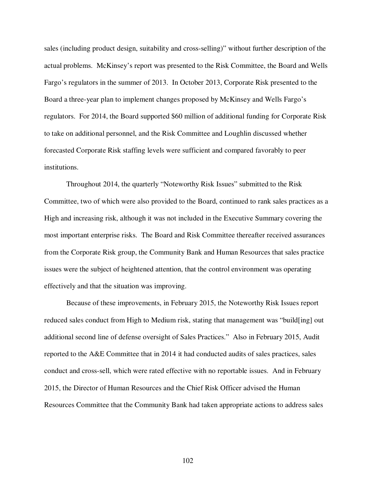sales (including product design, suitability and cross-selling)" without further description of the actual problems. McKinsey's report was presented to the Risk Committee, the Board and Wells Fargo's regulators in the summer of 2013. In October 2013, Corporate Risk presented to the Board a three-year plan to implement changes proposed by McKinsey and Wells Fargo's regulators. For 2014, the Board supported \$60 million of additional funding for Corporate Risk to take on additional personnel, and the Risk Committee and Loughlin discussed whether forecasted Corporate Risk staffing levels were sufficient and compared favorably to peer institutions.

Throughout 2014, the quarterly "Noteworthy Risk Issues" submitted to the Risk Committee, two of which were also provided to the Board, continued to rank sales practices as a High and increasing risk, although it was not included in the Executive Summary covering the most important enterprise risks. The Board and Risk Committee thereafter received assurances from the Corporate Risk group, the Community Bank and Human Resources that sales practice issues were the subject of heightened attention, that the control environment was operating effectively and that the situation was improving.

Because of these improvements, in February 2015, the Noteworthy Risk Issues report reduced sales conduct from High to Medium risk, stating that management was "build[ing] out additional second line of defense oversight of Sales Practices." Also in February 2015, Audit reported to the A&E Committee that in 2014 it had conducted audits of sales practices, sales conduct and cross-sell, which were rated effective with no reportable issues. And in February 2015, the Director of Human Resources and the Chief Risk Officer advised the Human Resources Committee that the Community Bank had taken appropriate actions to address sales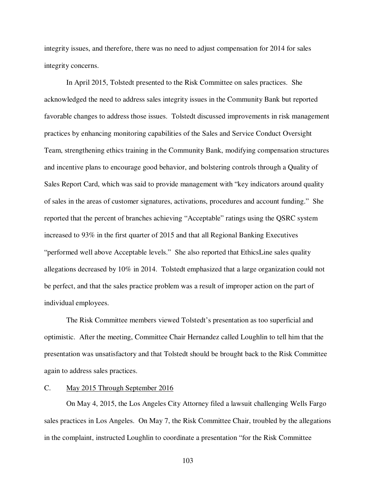integrity issues, and therefore, there was no need to adjust compensation for 2014 for sales integrity concerns.

In April 2015, Tolstedt presented to the Risk Committee on sales practices. She acknowledged the need to address sales integrity issues in the Community Bank but reported favorable changes to address those issues. Tolstedt discussed improvements in risk management practices by enhancing monitoring capabilities of the Sales and Service Conduct Oversight Team, strengthening ethics training in the Community Bank, modifying compensation structures and incentive plans to encourage good behavior, and bolstering controls through a Quality of Sales Report Card, which was said to provide management with "key indicators around quality of sales in the areas of customer signatures, activations, procedures and account funding." She reported that the percent of branches achieving "Acceptable" ratings using the QSRC system increased to 93% in the first quarter of 2015 and that all Regional Banking Executives "performed well above Acceptable levels." She also reported that EthicsLine sales quality allegations decreased by 10% in 2014. Tolstedt emphasized that a large organization could not be perfect, and that the sales practice problem was a result of improper action on the part of individual employees.

The Risk Committee members viewed Tolstedt's presentation as too superficial and optimistic. After the meeting, Committee Chair Hernandez called Loughlin to tell him that the presentation was unsatisfactory and that Tolstedt should be brought back to the Risk Committee again to address sales practices.

### C. May 2015 Through September 2016

On May 4, 2015, the Los Angeles City Attorney filed a lawsuit challenging Wells Fargo sales practices in Los Angeles. On May 7, the Risk Committee Chair, troubled by the allegations in the complaint, instructed Loughlin to coordinate a presentation "for the Risk Committee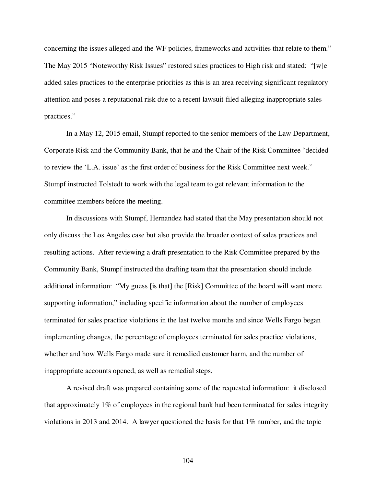concerning the issues alleged and the WF policies, frameworks and activities that relate to them." The May 2015 "Noteworthy Risk Issues" restored sales practices to High risk and stated: "[w]e added sales practices to the enterprise priorities as this is an area receiving significant regulatory attention and poses a reputational risk due to a recent lawsuit filed alleging inappropriate sales practices."

In a May 12, 2015 email, Stumpf reported to the senior members of the Law Department, Corporate Risk and the Community Bank, that he and the Chair of the Risk Committee "decided to review the 'L.A. issue' as the first order of business for the Risk Committee next week." Stumpf instructed Tolstedt to work with the legal team to get relevant information to the committee members before the meeting.

In discussions with Stumpf, Hernandez had stated that the May presentation should not only discuss the Los Angeles case but also provide the broader context of sales practices and resulting actions. After reviewing a draft presentation to the Risk Committee prepared by the Community Bank, Stumpf instructed the drafting team that the presentation should include additional information: "My guess [is that] the [Risk] Committee of the board will want more supporting information," including specific information about the number of employees terminated for sales practice violations in the last twelve months and since Wells Fargo began implementing changes, the percentage of employees terminated for sales practice violations, whether and how Wells Fargo made sure it remedied customer harm, and the number of inappropriate accounts opened, as well as remedial steps.

A revised draft was prepared containing some of the requested information: it disclosed that approximately 1% of employees in the regional bank had been terminated for sales integrity violations in 2013 and 2014. A lawyer questioned the basis for that 1% number, and the topic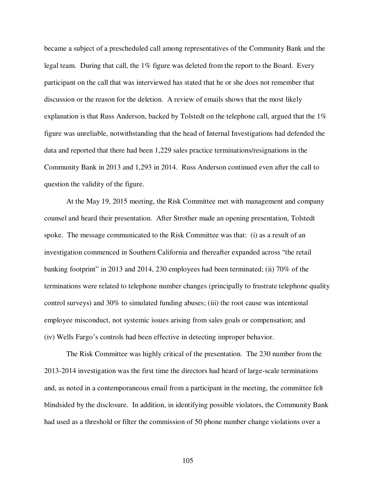became a subject of a prescheduled call among representatives of the Community Bank and the legal team. During that call, the 1% figure was deleted from the report to the Board. Every participant on the call that was interviewed has stated that he or she does not remember that discussion or the reason for the deletion. A review of emails shows that the most likely explanation is that Russ Anderson, backed by Tolstedt on the telephone call, argued that the 1% figure was unreliable, notwithstanding that the head of Internal Investigations had defended the data and reported that there had been 1,229 sales practice terminations/resignations in the Community Bank in 2013 and 1,293 in 2014. Russ Anderson continued even after the call to question the validity of the figure.

At the May 19, 2015 meeting, the Risk Committee met with management and company counsel and heard their presentation. After Strother made an opening presentation, Tolstedt spoke. The message communicated to the Risk Committee was that: (i) as a result of an investigation commenced in Southern California and thereafter expanded across "the retail banking footprint" in 2013 and 2014, 230 employees had been terminated; (ii) 70% of the terminations were related to telephone number changes (principally to frustrate telephone quality control surveys) and 30% to simulated funding abuses; (iii) the root cause was intentional employee misconduct, not systemic issues arising from sales goals or compensation; and (iv) Wells Fargo's controls had been effective in detecting improper behavior.

The Risk Committee was highly critical of the presentation. The 230 number from the 2013-2014 investigation was the first time the directors had heard of large-scale terminations and, as noted in a contemporaneous email from a participant in the meeting, the committee felt blindsided by the disclosure. In addition, in identifying possible violators, the Community Bank had used as a threshold or filter the commission of 50 phone number change violations over a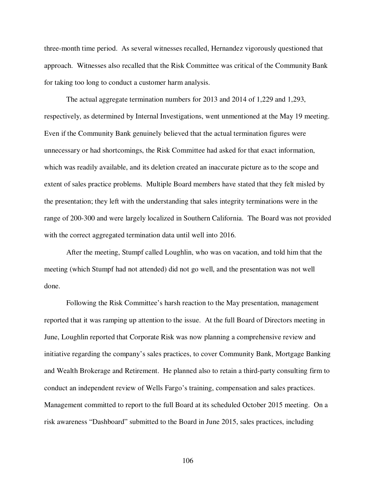three-month time period. As several witnesses recalled, Hernandez vigorously questioned that approach. Witnesses also recalled that the Risk Committee was critical of the Community Bank for taking too long to conduct a customer harm analysis.

The actual aggregate termination numbers for 2013 and 2014 of 1,229 and 1,293, respectively, as determined by Internal Investigations, went unmentioned at the May 19 meeting. Even if the Community Bank genuinely believed that the actual termination figures were unnecessary or had shortcomings, the Risk Committee had asked for that exact information, which was readily available, and its deletion created an inaccurate picture as to the scope and extent of sales practice problems. Multiple Board members have stated that they felt misled by the presentation; they left with the understanding that sales integrity terminations were in the range of 200-300 and were largely localized in Southern California. The Board was not provided with the correct aggregated termination data until well into 2016.

After the meeting, Stumpf called Loughlin, who was on vacation, and told him that the meeting (which Stumpf had not attended) did not go well, and the presentation was not well done.

Following the Risk Committee's harsh reaction to the May presentation, management reported that it was ramping up attention to the issue. At the full Board of Directors meeting in June, Loughlin reported that Corporate Risk was now planning a comprehensive review and initiative regarding the company's sales practices, to cover Community Bank, Mortgage Banking and Wealth Brokerage and Retirement. He planned also to retain a third-party consulting firm to conduct an independent review of Wells Fargo's training, compensation and sales practices. Management committed to report to the full Board at its scheduled October 2015 meeting. On a risk awareness "Dashboard" submitted to the Board in June 2015, sales practices, including

106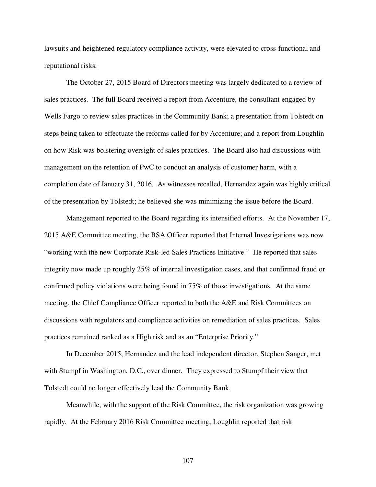lawsuits and heightened regulatory compliance activity, were elevated to cross-functional and reputational risks.

The October 27, 2015 Board of Directors meeting was largely dedicated to a review of sales practices. The full Board received a report from Accenture, the consultant engaged by Wells Fargo to review sales practices in the Community Bank; a presentation from Tolstedt on steps being taken to effectuate the reforms called for by Accenture; and a report from Loughlin on how Risk was bolstering oversight of sales practices. The Board also had discussions with management on the retention of PwC to conduct an analysis of customer harm, with a completion date of January 31, 2016. As witnesses recalled, Hernandez again was highly critical of the presentation by Tolstedt; he believed she was minimizing the issue before the Board.

Management reported to the Board regarding its intensified efforts. At the November 17, 2015 A&E Committee meeting, the BSA Officer reported that Internal Investigations was now "working with the new Corporate Risk-led Sales Practices Initiative." He reported that sales integrity now made up roughly 25% of internal investigation cases, and that confirmed fraud or confirmed policy violations were being found in 75% of those investigations. At the same meeting, the Chief Compliance Officer reported to both the A&E and Risk Committees on discussions with regulators and compliance activities on remediation of sales practices. Sales practices remained ranked as a High risk and as an "Enterprise Priority."

In December 2015, Hernandez and the lead independent director, Stephen Sanger, met with Stumpf in Washington, D.C., over dinner. They expressed to Stumpf their view that Tolstedt could no longer effectively lead the Community Bank.

Meanwhile, with the support of the Risk Committee, the risk organization was growing rapidly. At the February 2016 Risk Committee meeting, Loughlin reported that risk

107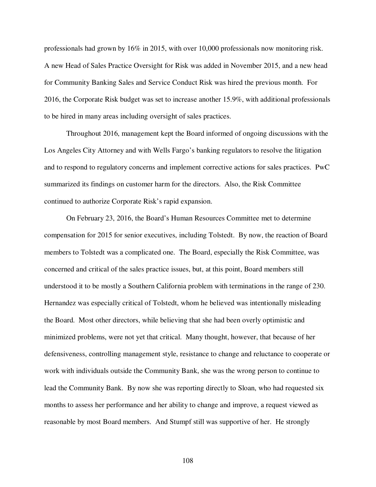professionals had grown by 16% in 2015, with over 10,000 professionals now monitoring risk. A new Head of Sales Practice Oversight for Risk was added in November 2015, and a new head for Community Banking Sales and Service Conduct Risk was hired the previous month. For 2016, the Corporate Risk budget was set to increase another 15.9%, with additional professionals to be hired in many areas including oversight of sales practices.

Throughout 2016, management kept the Board informed of ongoing discussions with the Los Angeles City Attorney and with Wells Fargo's banking regulators to resolve the litigation and to respond to regulatory concerns and implement corrective actions for sales practices. PwC summarized its findings on customer harm for the directors. Also, the Risk Committee continued to authorize Corporate Risk's rapid expansion.

On February 23, 2016, the Board's Human Resources Committee met to determine compensation for 2015 for senior executives, including Tolstedt. By now, the reaction of Board members to Tolstedt was a complicated one. The Board, especially the Risk Committee, was concerned and critical of the sales practice issues, but, at this point, Board members still understood it to be mostly a Southern California problem with terminations in the range of 230. Hernandez was especially critical of Tolstedt, whom he believed was intentionally misleading the Board. Most other directors, while believing that she had been overly optimistic and minimized problems, were not yet that critical. Many thought, however, that because of her defensiveness, controlling management style, resistance to change and reluctance to cooperate or work with individuals outside the Community Bank, she was the wrong person to continue to lead the Community Bank. By now she was reporting directly to Sloan, who had requested six months to assess her performance and her ability to change and improve, a request viewed as reasonable by most Board members. And Stumpf still was supportive of her. He strongly

108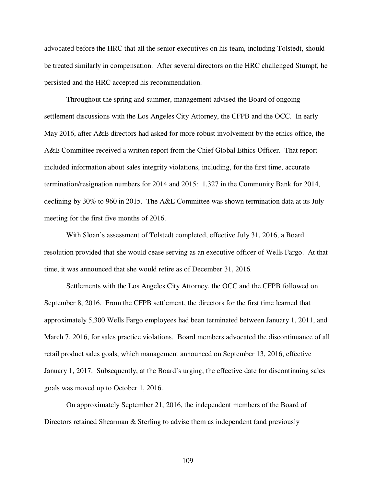advocated before the HRC that all the senior executives on his team, including Tolstedt, should be treated similarly in compensation. After several directors on the HRC challenged Stumpf, he persisted and the HRC accepted his recommendation.

Throughout the spring and summer, management advised the Board of ongoing settlement discussions with the Los Angeles City Attorney, the CFPB and the OCC. In early May 2016, after A&E directors had asked for more robust involvement by the ethics office, the A&E Committee received a written report from the Chief Global Ethics Officer. That report included information about sales integrity violations, including, for the first time, accurate termination/resignation numbers for 2014 and 2015: 1,327 in the Community Bank for 2014, declining by 30% to 960 in 2015. The A&E Committee was shown termination data at its July meeting for the first five months of 2016.

With Sloan's assessment of Tolstedt completed, effective July 31, 2016, a Board resolution provided that she would cease serving as an executive officer of Wells Fargo. At that time, it was announced that she would retire as of December 31, 2016.

Settlements with the Los Angeles City Attorney, the OCC and the CFPB followed on September 8, 2016. From the CFPB settlement, the directors for the first time learned that approximately 5,300 Wells Fargo employees had been terminated between January 1, 2011, and March 7, 2016, for sales practice violations. Board members advocated the discontinuance of all retail product sales goals, which management announced on September 13, 2016, effective January 1, 2017. Subsequently, at the Board's urging, the effective date for discontinuing sales goals was moved up to October 1, 2016.

On approximately September 21, 2016, the independent members of the Board of Directors retained Shearman & Sterling to advise them as independent (and previously